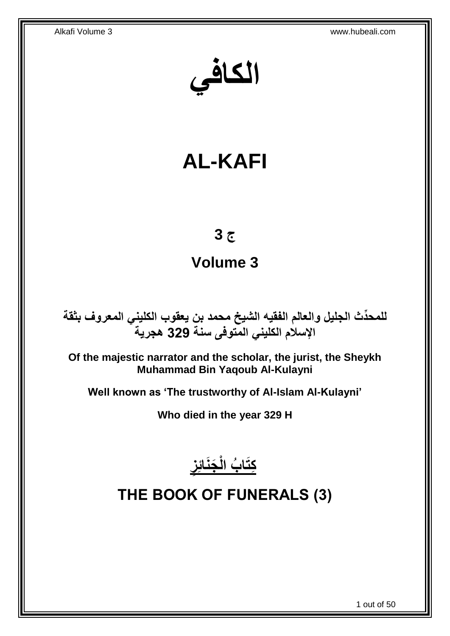**الكافي**

# **AL-KAFI**

# **ج 3**

# **Volume 3**

**دث الجليل والعالم الفقيه الشيخ محمد بن يعقوب الكليني المعروف بثقة للمح ِّ اإلسالم الكليني المتوفى سنة 329 هجرية**

**Of the majestic narrator and the scholar, the jurist, the Sheykh Muhammad Bin Yaqoub Al-Kulayni**

**Well known as 'The trustworthy of Al-Islam Al-Kulayni'**

**Who died in the year 329 H**



<span id="page-0-0"></span>**THE BOOK OF FUNERALS (3)**

1 out of 50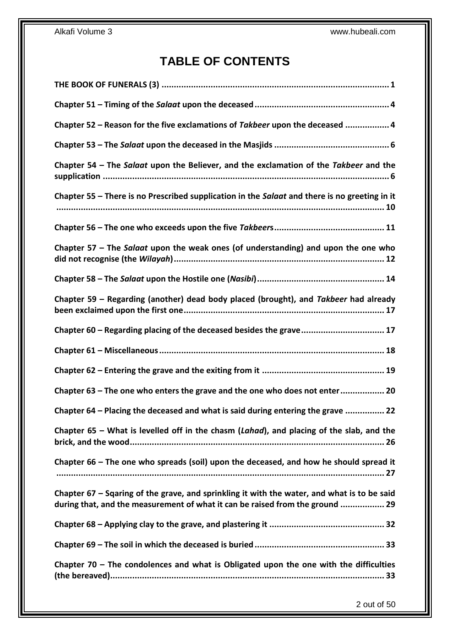# **TABLE OF CONTENTS**

| Chapter 52 - Reason for the five exclamations of Takbeer upon the deceased  4                                                                                                |
|------------------------------------------------------------------------------------------------------------------------------------------------------------------------------|
|                                                                                                                                                                              |
| Chapter 54 – The Salaat upon the Believer, and the exclamation of the Takbeer and the                                                                                        |
| Chapter 55 - There is no Prescribed supplication in the Salaat and there is no greeting in it                                                                                |
|                                                                                                                                                                              |
| Chapter 57 - The Salaat upon the weak ones (of understanding) and upon the one who                                                                                           |
|                                                                                                                                                                              |
| Chapter 59 – Regarding (another) dead body placed (brought), and Takbeer had already                                                                                         |
| Chapter 60 - Regarding placing of the deceased besides the grave 17                                                                                                          |
|                                                                                                                                                                              |
|                                                                                                                                                                              |
| Chapter 63 - The one who enters the grave and the one who does not enter 20                                                                                                  |
| Chapter 64 - Placing the deceased and what is said during entering the grave  22                                                                                             |
| Chapter 65 - What is levelled off in the chasm (Lahad), and placing of the slab, and the                                                                                     |
| Chapter 66 – The one who spreads (soil) upon the deceased, and how he should spread it                                                                                       |
| Chapter 67 - Sqaring of the grave, and sprinkling it with the water, and what is to be said<br>during that, and the measurement of what it can be raised from the ground  29 |
|                                                                                                                                                                              |
|                                                                                                                                                                              |
| Chapter $70$ – The condolences and what is Obligated upon the one with the difficulties                                                                                      |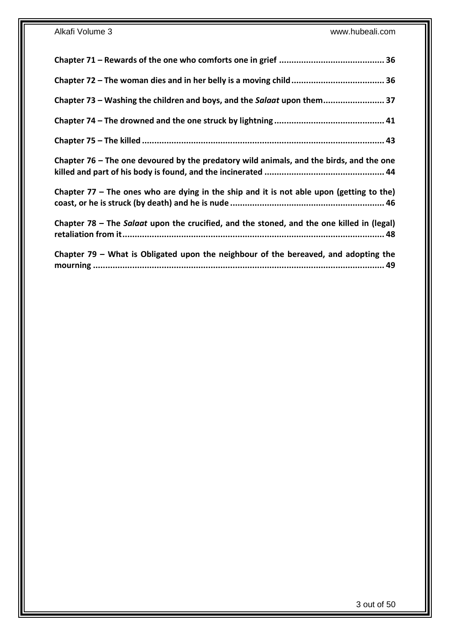| Chapter 73 – Washing the children and boys, and the Salaat upon them 37                    |
|--------------------------------------------------------------------------------------------|
|                                                                                            |
|                                                                                            |
| Chapter 76 – The one devoured by the predatory wild animals, and the birds, and the one    |
| Chapter $77$ – The ones who are dying in the ship and it is not able upon (getting to the) |
| Chapter 78 - The Salaat upon the crucified, and the stoned, and the one killed in (legal)  |
| Chapter 79 - What is Obligated upon the neighbour of the bereaved, and adopting the        |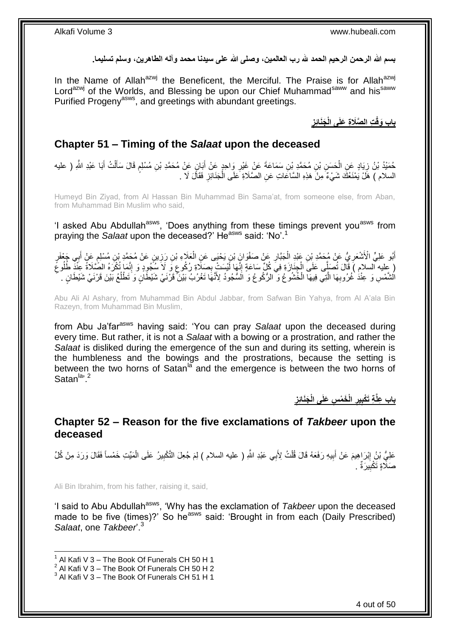**بسم هللا الرحمن الرحيم الحمد هلل رب العالمين، وصلى هللا على سيدنا محمد وآله الطاهرين، وسلم تسليما.**

In the Name of Allah<sup>azwj</sup> the Beneficent, the Merciful. The Praise is for Allah<sup>azwj</sup> Lord<sup>azwj</sup> of the Worlds, and Blessing be upon our Chief Muhammad<sup>saww</sup> and his<sup>saww</sup> Purified Progeny<sup>asws</sup>, and greetings with abundant greetings.

> **ِ َجَنائِز ِت ال َّصَال ِة َعلَى الْ باب َوقْ**

### <span id="page-3-0"></span>**Chapter 51 – Timing of the** *Salaat* **upon the deceased**

حُمَيْدُ بْنُ زِيَادٍ عَنِ الْحَسَنِ بْنِ مُحَمَّدٍ بْنِ سَمَاعَةَ عَنْ غَيْرِ وَاحِدٍ عَنْ أَبَانٍ عَنْ مُحَمَّدِ بْنِ مُسْلِمٍ قَالَ سَأَلْتُ أَبَا عَبْدِ اللَّهِ ( عليه َ ِ ْ ¦ َ ْ اً<br>أ م السلام ) هَلْ يَمْنَعُكَ شَيْءٌ مِنْ هَذِهِ السَّاعَاتِ عَنِ الصَّلَاةِ عَلَى الْجَذَائِزِ فَقَالَ لَا . ِ ْ

Humeyd Bin Ziyad, from Al Hassan Bin Muhammad Bin Sama'at, from someone else, from Aban, from Muhammad Bin Muslim who said,

'I asked Abu Abdullah<sup>asws</sup>, 'Does anything from these timings prevent you<sup>asws</sup> from praying the *Salaat* upon the deceased?' Heasws said: 'No'.<sup>1</sup>

أَبُو عَلِيٍّ الْأَشْعَرِيُّ عَنْ مُحَمَّدِ بْنِ عَنْدِ الْجَبَّارِ عَنْ صَفْوَانٍَ بْنِ يَحْيَى عَنِ الْعَلَاءِ بْنِ رَزِينٍ عَنْ مُحَمَّدِ بْنِ مُسْلِمٍ عَنْ أَبِي جَعْفَرٍ **∶** ْ **ٍ** ْ **∶** َ َ ֧֖֖֖֦֧֦֧֦֧֧֦֧֚֚֚֩֘֝֬֝֝֓֝֓֜*֬* ْ كِلِيهِ ٱلسلامِ ﴾ قَالَ تُصَلِّى عَلَى الْجِنَارَةِ فِي كُلِّ سَاعَةٍ إِنَّهَا لَيْسَتْ بِصَلَّاةٍ رُكُوعٍ وَ لَأَ سُجُودٍ وَ إِنَّمَا تُكْرَهُ الصِّلَاةَ عِنَّذٌ طُلُوعٌ ;<br>; ِ ِ ْ ِ الْشَّمْسِ وَ عِنْدُ غُرُوبِهَا الَّذِي فِيهَا الْخُشُوعُ وَ الرُّكُوعُ وَ الَسُّجُودُ لِأَنَّهَا تَغْرُبُ بَيْنَ ۖ قَرْنَنِي شَيْطَانٍ وَ تَطْلُعُ بَيْنَ قَرْنَيْ شَيْطَانٍ . َّ ِ ا<br>ا

Abu Ali Al Ashary, from Muhammad Bin Abdul Jabbar, from Safwan Bin Yahya, from Al A'ala Bin Razeyn, from Muhammad Bin Muslim,

from Abu Ja'far<sup>asws</sup> having said: 'You can pray Salaat upon the deceased during every time. But rather, it is not a *Salaat* with a bowing or a prostration, and rather the *Salaat* is disliked during the emergence of the sun and during its setting, wherein is the humbleness and the bowings and the prostrations, because the setting is between the two horns of Satan $\frac{a}{a}$  and the emergence is between the two horns of Satan<sup>la, 2</sup>

> **ِ َجَنائِز ِس َعلَى الْ الْ َخ ْم ير ِة َتْكب باب ِعلَّ ِ ِ**

### <span id="page-3-1"></span>**Chapter 52 – Reason for the five exclamations of** *Takbeer* **upon the deceased**

عَلِيُّ بْنُِ إِبْرَاهِيمَ عَنْ أَبِيهِ رَفَعَهُ قَالَ قُلْتُ لِأَبِي عَبْدِ اللَّهِ ( عليه السلام ) لِمَ جُعِلَ التَّكْبِيرُ عَلَى الْمَيِّتِ خَمْساً فَقَالَ وَرَدَ مِنْ كُلِّ ِ ْ ِ َ ِ ْ صَلَّاةٍ تَكْبِيرَةٌ . **!** 

Ali Bin Ibrahim, from his father, raising it, said,

'I said to Abu Abdullah<sup>asws</sup>, 'Why has the exclamation of *Takbeer* upon the deceased made to be five (times)?' So he<sup>asws</sup> said: 'Brought in from each (Daily Prescribed) *Salaat*, one *Takbeer*'.<sup>3</sup>

 $1$  Al Kafi V 3 – The Book Of Funerals CH 50 H 1

 $^2$  Al Kafi V 3 – The Book Of Funerals CH 50 H 2

 $3$  Al Kafi V  $3$  – The Book Of Funerals CH 51 H 1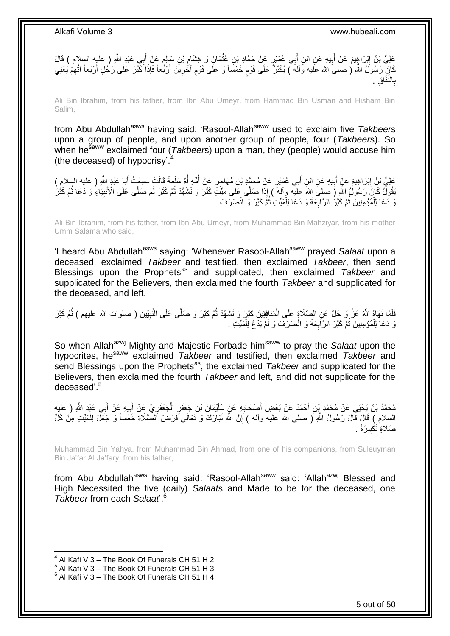

Ali Bin Ibrahim, from his father, from Ibn Abu Umeyr, from Hammad Bin Usman and Hisham Bin Salim,

from Abu Abdullah<sup>asws</sup> having said: 'Rasool-Allah<sup>saww</sup> used to exclaim five *Takbeers* upon a group of people, and upon another group of people, four (*Takbeer*s). So when he<sup>saww</sup> exclaimed four (*Takbeers*) upon a man, they (people) would accuse him (the deceased) of hypocrisy'.

عَلِيُّ بْنُ إِبْرَاهِيمَ عَنٍْ أَبِيهِ عَنِ ابْنِ أَبِي عُمَيْرٍ عَنْ مُحَمَّدٍ بْنِ مُهَاجِرٍ عَنْ أُمِّهِ أُمِّ سَلَمَةَ قَالَتْ سَمِعْتُ أَبَا عَبْدٍ اللَّهِ ( عليه السلامِ )<br>- اللہ اللہ اللہ اللہ عنها اللہ عن اللہ عنه ُ ُ َ **!** َ ِ َ َقُولٌ كَانَ رَسُولُ الثَّهِ (َ صلى اللهُ عَلَيْه وآلهٌ ) إِذَا صَلَّى عَلَى مَيِّتٍّ كَبَّرَ وَ تَشَهَّدَ ثُمَّ كَبَرَ لَمَّ صَلَّى عَلَى الْأُنْبِيَاءُ وَ دَعَا ثُمَّ كَبُرَ ا<br>المقام ِ ا<br>المقام ا دیکھیے نَ دَعَا لِلْمُؤْمِنِينَ ثُمَّ كَبَّرَ الرَّابِعَةَ وَ دَعَا لِلْمَيِّتِ ثُمََّ كَبَّرَ وَ انْصَرَفَ ُ ْ **∶** ُ ْ

Ali Bin Ibrahim, from his father, from Ibn Abu Umeyr, from Muhammad Bin Mahziyar, from his mother Umm Salama who said,

'I heard Abu Abdullah<sup>asws</sup> saying: 'Whenever Rasool-Allah<sup>saww</sup> prayed Salaat upon a deceased, exclaimed *Takbeer* and testified, then exclaimed *Takbeer*, then send Blessings upon the Prophets<sup>as</sup> and supplicated, then exclaimed *Takbeer* and supplicated for the Believers, then exclaimed the fourth *Takbeer* and supplicated for the deceased, and left.

َفَلَّمَا نَهَاهُ اللَّهُ عَزَّ وَ جَلَّ عَنِ الصِّلَاةِ عَلَى الْمُنَافِقِينَ كَبَّرَ وَ تَشْهَّدَ ثُمَّ كَبَّرَ وَ<br>فَلَمَا النَّبِيِّينَ ( صلوات الله عَزَّ وَ جَلَّ عَنِ الصِّلَاةِ عَلَى الْمُنَافِقِينَ كَبَّرَ وَ تَشْه ا<br>ا ْ ر<br>ا ِ نَ دَعَا لِلْمُؤْمِنِينَ ثُمَّ كَبَّرَ الرَّابِعَةَ وَ انْصَرَفَ وَ لَمْ يَدْعُ لِلْمَيِّتِ . **∶** ُ ْ ْ

So when Allah<sup>azwj</sup> Mighty and Majestic Forbade him<sup>saww</sup> to pray the *Salaat* upon the hypocrites, he<sup>saww</sup> exclaimed *Takbeer* and testified, then exclaimed *Takbeer* and send Blessings upon the Prophets<sup>as</sup>, the exclaimed *Takbeer* and supplicated for the Believers, then exclaimed the fourth *Takbeer* and left, and did not supplicate for the deceased'.<sup>5</sup>

مُحَمَّدُ بْنُ يَحْيَى عَنْ مُحَمَّدِ بْنِ أَحْمَدَ عَنْ بَعْضِ أَصْحَابِهِ عَنٍْ سُلَيْمَانَ بْنِ جَعْفَرٍ الْجَعْفَرِيِّ عَنْ أَبِيهِ عَنْ أَبِي عَبْدِ اللَّهِ ( عليه<br>. ِ ْ ِ َ َ َ ِ َ السلام ) قَالَ قَالَ رَسُولُ اللَّهِ ( صلى الله عليه وأله ) َإِنَّ اللَّهَ تَبَارَكَ وَ تَعَالَى َٔفَرَضَ الصَّلَاةَ خَمْساً وَ جَعَلَ لِلْمَنِّتِ مِنْ كُلِّ יֲ<br>י ْ صَلَاةٍ تَكْبِيرَةً . **!** 

Muhammad Bin Yahya, from Muhammad Bin Ahmad, from one of his companions, from Suleuyman Bin Ja'far Al Ja'fary, from his father,

from Abu Abdullah<sup>asws</sup> having said: 'Rasool-Allah<sup>saww</sup> said: 'Allah<sup>azwj</sup> Blessed and High Necessited the five (daily) *Salaat*s and Made to be for the deceased, one *Takbeer* from each *Salaat*'.<sup>6</sup>

 $^4$  Al Kafi V 3 – The Book Of Funerals CH 51 H 2

 $<sup>5</sup>$  Al Kafi V 3 – The Book Of Funerals CH 51 H 3</sup>

 $^6$  Al Kafi V 3 – The Book Of Funerals CH 51 H 4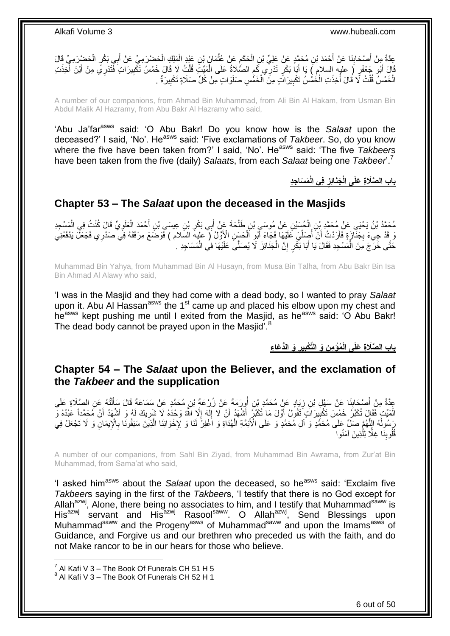عِدَّةٌ مِنْ أَصْحَابِنَا عَنْ أَحْمَدَ بْنِ مُحَمَّدٍ عَنْ عَلِيٍّ بْنِ الْحَكَمِ عَنْ عُثْمَانَ بْنِ عَبْدِ الْمَلِكِ الْحَضْرَمِيِّ عَنْ أَبِي بَكْرٍ الْحَضْرِرَمِيِّ قَالَ ْ ْ **ٔ** ِ ْ َ ِ ْ َ ْ قَالَ أَبُو جَعْفَرٍ ( عليه السلام ) يَا أَبَا بَكْرٍ تَدْرِي كَمِ الصَّلَاةُ عَلَى الْمَيِّتَ قُلْتُ لَا قَال<br>أَوَيَدِ الْمُؤْمِنَ بَيْنَ أَوَيَ أَنْ أَبَا إِنَّ أَبَا بَكْرٍ تَدْرِي كَمِ الصَّلَاةُ عَلَى الْمَيِّتَ فَتَ ֧֧֧֧֧֧֧֧֧ׅ֧֧֧֧֧֚֚֚֚֚֚֚֚֚֚֚֚֚֚֚֚֚֚֚֚֚֚֚֝֝֝֝֝֝֓֝֓֝֓֝֓֝֓֝֓֝֓֜֓֝֓֝֬֝֬֝֬ َ َ ُ َ ِ ْ الْخَمْسُ قُلْتُ لَا قَالَ أَخِذَتِ الْخَمْسُ تَكْبِيرَ اتٍّ مِنَ الْخَمّْسِ صَلَوَ اتٍ مِنْ كُلِّ صَلَاةٍ تَكْبِيرَةٌ ۚ **!** ْ **!** ْ ا<br>ا ْ ْ

A number of our companions, from Ahmad Bin Muhammad, from Ali Bin Al Hakam, from Usman Bin Abdul Malik Al Hazramy, from Abu Bakr Al Hazramy who said,

'Abu Ja'farasws said: 'O Abu Bakr! Do you know how is the *Salaat* upon the deceased?' I said, 'No'. Heasws said: 'Five exclamations of *Takbeer*. So, do you know where the five have been taken from?' I said, 'No'. He<sup>asws</sup> said: 'The five *Takbeers* have been taken from the five (daily) *Salaat*s, from each *Salaat* being one *Takbeer*'.<sup>7</sup>

> **ِجِد َم َسا فِي الْ َجَنائِز باب ال َّصَال ِة َعلَى الْ ِ**

### <span id="page-5-0"></span>**Chapter 53 – The** *Salaat* **upon the deceased in the Masjids**

مُحَمَّدُ بْنُ يَحْيَىِ عَنْ مُحَمَّدٍ بْنِ الْحُسَيْنِ عَنْ مُوسَىٍ بْنِ طَلْحَةَ عَنْ أَبِي بَكْرِ بْنِ عِيسَىِ بْنِ أَحْمَدَ الْعَلَوِيِّ قَالَ كُنْتُ فِي الْمَسْجِدِ َ **∶** ْ ْ ِ ْ وَ قَدْ جِيءَ بِجَذَارَةٍ فَأَرَدْتُ أَنْ أُصِلِّيَ عَلَيْهَا فَجَاءَ أَبُو الْحَسَنِ الْأَوَّلُ ( عليه السّلام ) فَوَضَعَ مِرْفَقَهُ فِي صَدْرِي فَجَعَلَّ يَدْفَعُنِيَ ْ َ ِّ ُ اً َ حَتَّى خَرَجَ مِنَ الْمَسْجِدِ فَقَالَ يَا أَبَا بَكْرٍ إِنَّ الْجَذَائِزَ لَا يُصَلَّىَ عَلَيْهَا فِي الْمَسَاجِدِ . ْ ِ َ ْ ْ

Muhammad Bin Yahya, from Muhammad Bin Al Husayn, from Musa Bin Talha, from Abu Bakr Bin Isa Bin Ahmad Al Alawy who said,

'I was in the Masjid and they had come with a dead body, so I wanted to pray *Salaat* upon it. Abu AI Hassan<sup>asws</sup> the 1<sup>st</sup> came up and placed his elbow upon my chest and he<sup>asws</sup> kept pushing me until I exited from the Masjid, as he<sup>asws</sup> said: 'O Abu Bakr! The dead body cannot be prayed upon in the Masjid<sup>".8</sup>

> **ِن َو الَّت ُمْؤ ِم باب ال َّص َو الُّد َعا ِء َال ِة َعلَى الْ ير ْكب ِ ِ**

### <span id="page-5-1"></span>**Chapter 54 – The** *Salaat* **upon the Believer, and the exclamation of the** *Takbeer* **and the supplication**

عِدَّةٌ مِنْ أَصْحَابِنَا عَنْ سَهْلِ بْنِ زِيَادٍ عَنْ مُحَمَّدٍ بْنِ أُورَمَةً عَنْ زُرْعَةً بْنِ مُحَمَّدٍ ع<br>وَقَدَّةٌ مَا َ يَعْلُمُ مَعْ الْعَمَّامِ بِأَنْ رَبَّهُ مُحَمَّدٍ بِّنِ أُورَمَةً عَنْ زُرْعَةً بِنَّ مُحَمَ ان<br>ا ِ **∣** َ ْ َ الْمَيِّتِ فَقَالَ تُكَبِّرُ خَمْسَ تَكْبِيرَاتٍ تَقُولُ أَوَّلَ مَا تُكَبِّرُ أَشْهَدُ أَنْ لَا إِلَهَ إِلَّا اللَّهُ وَحْدَهُ لَا شَرِيكَ لَهُ وَ أَشْهَدُ أَنَّ مُحَمَّداً عَبْدُهُ وَ ِ لَ ِ َ َ ِ َ َ ِ رَسُولُهُ اللَّهُمَّ صَلِّ عَلَى مُحَمَّدٍ وَ ال مُحَمَّدٍ وَ عَلَى الْأَئِمَّةِ الْهُدَاةِ وَ اَغْفِرْ لَذَا وَ لِإِخْوَانِذَا الَّذِينَ سَبَقُونَا بِالْإِيمَانِ وَ لَا تَجْعَلْ فِي َّ ِ َّ ْ .<br>قُلُوبِنَا غِلَّا لِلَّذِينَ آمَنُوا َّ **ِ** 

A number of our companions, from Sahl Bin Ziyad, from Muhammad Bin Awrama, from Zur'at Bin Muhammad, from Sama'at who said,

'I asked him<sup>asws</sup> about the *Salaat* upon the deceased, so he<sup>asws</sup> said: 'Exclaim five *Takbeer*s saying in the first of the *Takbeer*s, 'I testify that there is no God except for Allah<sup>azwj</sup>, Alone, there being no associates to him, and I testify that Muhammad<sup>saww</sup> is His<sup>azwj</sup> servant and His<sup>azwj</sup> Rasool<sup>saww</sup>. O Allah<sup>azwj</sup>, Send Blessings upon Muhammad<sup>saww</sup> and the Progeny<sup>asws</sup> of Muhammad<sup>saww</sup> and upon the Imams<sup>asws</sup> of Guidance, and Forgive us and our brethren who preceded us with the faith, and do not Make rancor to be in our hears for those who believe.

 7 Al Kafi V 3 – The Book Of Funerals CH 51 H 5

 $8$  Al Kafi V 3 – The Book Of Funerals CH 52 H 1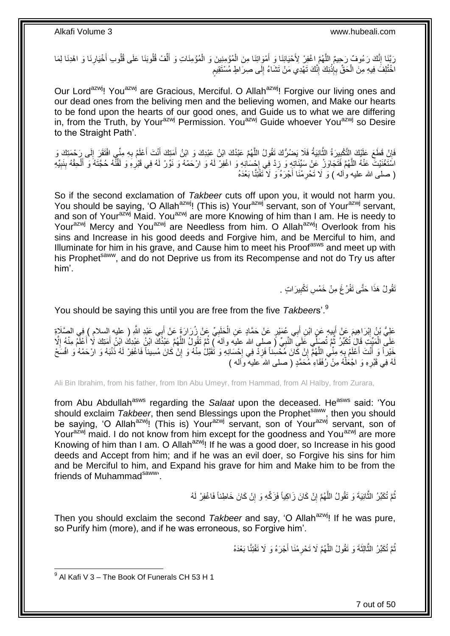َ رَبَّنَا إِنَّكَ رَءُوفٌ رَحِيمٌ اللَّهُمَّ اغْفِرْ لِأَحْيَائِنَا وَ أَمْوَاتِنَا مِنَ الْمُؤْمِنِينَ وَ الْمُؤْمِنَاتِ وَ أَلْفْ قُلُوبَنَا عَلَى قُلُوب أَخْيَارِنَا وَ اهْدِنَا لِمَا ْ ْ َ َّ ِ ِ َ ِّ ֧֖֖֖֧֖֧֧֧֧֧֧֧֧֧֧֧֚֚֚֚֓֝֝֝֝֟֓֟֓֝֬֝֓֝֬֟֓֟֓֬֝֓֟֓֟֓֝֬֝֓֝֓֟֓֝֬֝֬֝֓֝֬֝֓֝֬ اخْتُلِفَ فِيهِ مِنَ الْحَقِّ بِإِذْنِكَ إِنَّكَ تَهْدِي مَنْ تَشَاءُ إِلَى صِرَاطٍ مُسْتَقِيمٍ ِ יִי (ו **ٔ** ِ ْ

Our Lord<sup>azwj</sup>! You<sup>azwj</sup> are Gracious, Merciful. O Allah<sup>azwj</sup>! Forgive our living ones and our dead ones from the beliving men and the believing women, and Make our hearts to be fond upon the hearts of our good ones, and Guide us to what we are differing in, from the Truth, by Your<sup>azwj</sup> Permission. You<sup>azwj</sup> Guide whoever You<sup>azwj</sup> so Desire to the Straight Path'.

فَإِنْ فَطَعَ عَلَيْكَ اِلتَّكْبِيرَةُ الثَّانِيَةُ فَلَا يَصْرُكَ تَقُولُ اللَّهُمَّ عَبْدُكَ ابْنُ عَبْدِكَ وَ ابْنُ أَمَتِكَ أَنِّفَ أَعْلَمُ بِهِ مِنِّي افْتَقَرَ إِلَى رَحْمَتِكَ وَ **∣** ֝׀֧<br>֧֢֦֦֧֝֝֜֝ **ٔ ∶** َ َ َ َّ لَ ِ اسَّتَغْنَيْتَ عَنْهُ اللَّهُمَّ فَتَجَاوَزْ عَنْ سَيِّئَاتِهِ وَ زِدْ فِي إِحْسَانِهِ وَ اغْفِرْ لَهُ وَ ارْحَمْهُ وَ نَوِّرْ لَهُ فِي قَبْرِهِ وَ لَقَنَّهُ حُجَّتَهُ وَ أَلْحِقْهُ بِنَبِيِّهِ ¦<br>∶ ِ َّ ِ ِ ْ َ **∶** ( صلى الله عليه وألمه ) وَ لَا تَحْرِمْنَا أَجْرَهُ وَ لَا تَفْتِنَّا بَعْدَهُ َ ِ

So if the second exclamation of *Takbeer* cuts off upon you, it would not harm you. You should be saying, 'O Allah<sup>azwj</sup>! (This is) Your<sup>azwj</sup> servant, son of Your<sup>azwj</sup> servant, and son of Your<sup>azwj</sup> Maid. You<sup>azwj</sup> are more Knowing of him than I am. He is needy to Yourazwj Mercy and You<sup>azwj</sup> are Needless from him. O Allah<sup>azwj</sup>! Overlook from his sins and Increase in his good deeds and Forgive him, and be Merciful to him, and Illuminate for him in his grave, and Cause him to meet his Proof<sup>asws</sup> and meet up with his Prophet<sup>saww</sup>, and do not Deprive us from its Recompense and not do Try us after him'.

> َقُولُ هَذَا حَتَّى تَفْرُغَ مِنْ خَمْسِ تَكْبِيرَاتٍ . ِ

You should be saying this until you are free from the five *Takbeer*s'.<sup>9</sup>

عَلِيُّ بْنُ إِبْرَاهِيمَ عَنْ أَبِيهِ عَنِ ابْنِ أَبِي عُمَيْرٍ عَنْ حَمَّادٍ عَنِ الْحَلَبِيِّ عَنْ زُرَارَةَ عَنْ أَبِي عَبْدِ اللَّهِ ( عليه السلام ) فِي الصَّلَاةِ َ ِ ْ َ ِ َ ِ عَلَى الْمَيِّتِ قَالَ تُكَبِّرُ ثَمَّ تُصَلِّي عَلَى النَّبِيِّ ( صلى الله عليه وآله ) ثُمَّ تَقُولُ اللَّهُمَّ عَبْدُكَ ابْنِ عَبْدِكَ ابْنِ أَمَنِكَ لَا أَعْلَمُ مِنْهُ إِلَّا َّ ا پایا<br>سال ِ ا<br>ا ْ ا<br>ا َ َ خَيْراً وَ أَنْتَ أَعْلَمُ بِهِ مِنِّي اللَّهُمَّ إِنْ كَانَ مُحْسِنًا فَزِدْ فِي إِحْسَانِهِ وَ تُقَبَّلْ مِنْهُ وَ إِنْ كَانَ مُسِيئاً فَاغْفِرْ لَهُ ذَنْبَهُ وَ ارْحَمْهُ وَ افْسَحْ **∶** َ َ ِ  $\cdot$ ِ ِ ْ هُ فِي قَبْرِهِ وَ اجْعَلْهُ مِنْ رُفَقَاءِ مُحَمَّدٍ ( صلى الله عليه وأله ) ْ ِ لَ

Ali Bin Ibrahim, from his father, from Ibn Abu Umeyr, from Hammad, from Al Halby, from Zurara,

from Abu Abdullah<sup>asws</sup> regarding the Salaat upon the deceased. He<sup>asws</sup> said: 'You should exclaim *Takbeer*, then send Blessings upon the Prophet<sup>saww</sup>, then you should be saying, 'O Allah<sup>azwj</sup>! (This is) Your<sup>azwj</sup> servant, son of Your<sup>azwj</sup> servant, son of Yourazwj maid. I do not know from him except for the goodness and You<sup>azwj</sup> are more Knowing of him than I am. O Allah<sup>azwj</sup>! If he was a good doer, so Increase in his good deeds and Accept from him; and if he was an evil doer, so Forgive his sins for him and be Merciful to him, and Expand his grave for him and Make him to be from the friends of Muhammad<sup>saww</sup>.

> ُّمَّ تُكَبِّرُ الثَّانِيَةَ وَ تَقُولُ اللَّهُمَّ إِنْ كَانَ زَاكِياً فَزَكِّهِ وَ إِنْ كَانَ خَاطِئاً فَاغْفِرْ لَهُ ِ ֧<u>׀</u> َّ َّ

Then you should exclaim the second *Takbeer* and say, 'O Allah<sup>azwj</sup>! If he was pure, so Purify him (more), and if he was erroneous, so Forgive him'.

> نُّمَّ تُكَبِّرُ الثَّالِثَةَ وَ تَقُولُ اللَّهُمَّ لَا تَحْرِمْنَا أَجْرَهُ وَ لَا تَفْتِنَّا بَعْدَهُ َ ِ َّ َّ ُ

9 Al Kafi V 3 – The Book Of Funerals CH 53 H 1

7 out of 50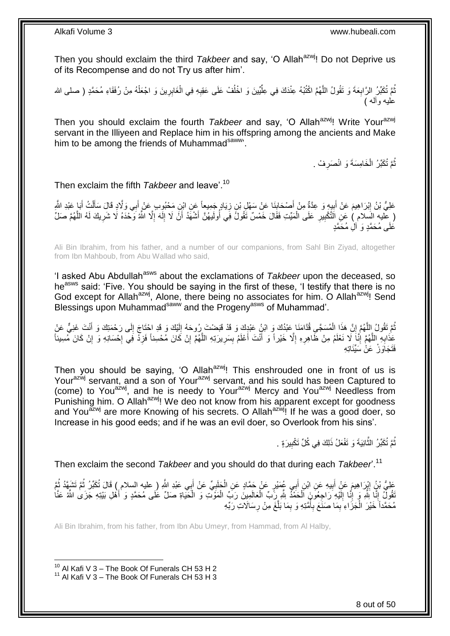Then you should exclaim the third *Takbeer* and say, 'O Allah<sup>azwj</sup>! Do not Deprive us of its Recompense and do not Try us after him'.

نُّمَّ تُكَبِّرُ الرَّابِعَةَ وَ تَقُولُ اللَّهُمَّ اكْتُبْهُ عِنْدَكَ فِي عِلَّيِّينَ وَ اخْلُفْ عَلَى عَقِبِهِ فِي الْغَابِرِينَ وَ اجْعَلْهُ مِنْ رُفَقَاءِ مُحَمَّدٍ ( صلى الله ا<br>ا ِّ َّ ِ ْ ِ ْ **∶** عليه وأله )

Then you should exclaim the fourth *Takbeer* and say, 'O Allah<sup>azwj</sup>! Write Your<sup>azwj</sup> servant in the Illiyeen and Replace him in his offspring among the ancients and Make him to be among the friends of Muhammadsaww.

> ثُمَّ تُكَبِّرُ الْخَامِسَةَ وَ انْصَرِفْ . ِ ْ ُ

### Then exclaim the fifth *Takbeer* and leave'.<sup>10</sup>

عَلِيُّ بْنُ إِبْرَاهِيمَ عَنْ أَبِيهٍ وَ عِدَّةٌ مِنْ أَصْحَابِنَا عَنْ سَهْلِ بْنِ زِيَادٍ جَمِيعاً عَنِ ابْنِ مَحْبُوبِ عَنْ أَبِي وَلَادٍ قَالَ سَأَلْتُ أَبَا عَبْدِ اللَّهِ ۚ ِ **↓** َ ِ َ ِ َ ْ َ َ ( عِلْيه السِّلام ) عَنِ الَتَّكْبِيرِ عَلَى الْمَيِّتِ فَقَالَ خَمْسٌ تَقُولُ فِي أُولَيهُنَّ أَشْهَدُ أَنَّ لَا إِلَهَ إِلَّا اللَّهُ وَحْدَهُ لَا شَرِيكَ لَهُ اللَّهُمَّ صَلِّ ِ لَ ِ اُ َ ا<br>ا ْ **∶** ِ َّ ِ عَلَى مُحَمَّدٍ وَ ٱلَٰٓ مُحَمَّدٍ

Ali Bin Ibrahim, from his father, and a number of our companions, from Sahl Bin Ziyad, altogether from Ibn Mahboub, from Abu Wallad who said,

'I asked Abu Abdullah<sup>asws</sup> about the exclamations of *Takbeer* upon the deceased, so he<sup>asws</sup> said: 'Five. You should be saying in the first of these, 'I testify that there is no God except for Allah<sup>azwj</sup>, Alone, there being no associates for him. O Allah<sup>azwj</sup>! Send Blessings upon Muhammad<sup>saww</sup> and the Progeny<sup>asws</sup> of Muhammad'.

نُّمَّ تَقُولُ اِللَّهُمَّ إِنَّ هَذَا الْمُسَجَّىِ قُدَّامَنَا عَبْدُكَ وَ ابْنُِ عَبْدِكَ وَ قَدْ قَبَضْتَ رِرُوحَهُ إِلَيْكَ وَ قَدِ احْتَاجَ إِلَى رَحْمَتِكَ وَ أَنْتَ غَنِيٌّ عَنْ ِ َّ ُ َ ِ لَ ِ عَذَابِهِ اللَّهُمَّ إِنَّا لَا نَعْلَمُ مِنْ ظَاهِرِهِ إِلَّا خَيْراً وَ أَنْتَ أَعْلَمُ بِسَرِيرَتِهِ اللَّهُمَّ إِنْ كَانَ مُحْسِناً فَزِدْ فَبِي إِحْسَانِهِ وَ إِنْ كَانَ مُسِيئاً َّ **∶** ِ َ َ ِ **∶** ِ َّ **∶** ِ **∶ ٍ** ِ ِ<br>فَتَحَاوَ زُلُّ عَنْ سَبِّئَاته

Then you should be saying, 'O Allah<sup>azwj</sup>! This enshrouded one in front of us is Your<sup>azwj</sup> servant, and a son of Your<sup>azwj</sup> servant, and his sould has been Captured to (come) to Youazwj, and he is needy to Yourazwj Mercy and Youazwj Needless from Punishing him. O Allah<sup>azwj</sup>! We deo not know from his apparent except for goodness and You<sup>azwj</sup> are more Knowing of his secrets. O Allah<sup>azwj</sup>! If he was a good doer, so Increase in his good eeds; and if he was an evil doer, so Overlook from his sins'.

> ُّمَّ تُكَبِّرُ الثَّانِيَةَ وَ تَفْعَلُ ذَلِكَ فِي كُلِّ تَكْبِيرَةٍ . **!** َّ ُ

Then exclaim the second *Takbeer* and you should do that during each *Takbeer*'.<sup>11</sup>

ِ عَلِيُّ بْنُِ إِيْرَاهِيمَ عَنِْ أَبِيهِ عَنِ ابْنِ أَبِي عُمَيْرٍ عَنْ حَمَّادٍ عَنِ الْجَلَبِيِّ عَنْ أَبِي عَبْدِ اللَّهِ ( عليه السلام ) قَالَ تُكَبِّرُ ثُمَّ تَشَهَّدُ ثُمَّ َ **∶** ْ َ **!** َ ِ ا<br>ا ُ ُقُولٌ إِنَّا لِّلَّهِ وَ إِنَّا إِلَيْهِ رَاجِعُونَ اَلْحَمْدُ لِلَّهِ رَبِّ الْعَالَمِينَ رَبِّ الْمَوَّتِ وَ الْحَيَاةِ صَلِّ عَلَى مُحَمَّدٍ وَ أَهْلِ بَيْتِهِ جَزَىٰ اللَّهُ عَنَّا ْ ْ ْ ْ لَ  $\frac{1}{2}$ ِ ِ َ مُحَمَّداً خَيْرَ الْجَزَاءِ بِمَا صَنَعَ بِأُمَّتِهِ وَ بِمَا بَلَّغَ مِنْ رِسَالَاتِ رَبِّهِ **∶** َّ ِ ا<br>ا ِ ِ ْ

Ali Bin Ibrahim, from his father, from Ibn Abu Umeyr, from Hammad, from Al Halby,

 $10$  Al Kafi V 3 – The Book Of Funerals CH 53 H 2

 $11$  Al Kafi V 3 – The Book Of Funerals CH 53 H 3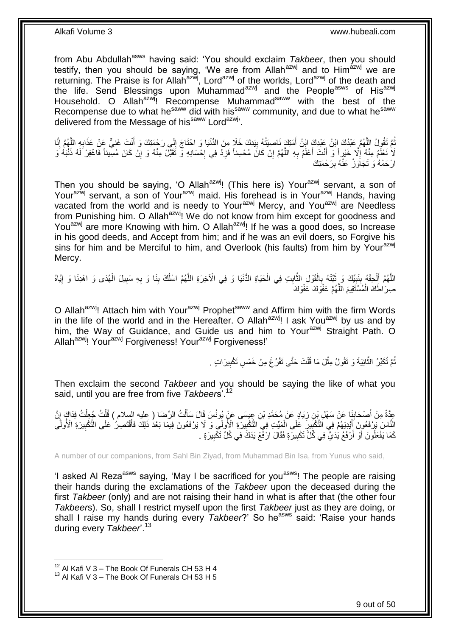from Abu Abdullah<sup>asws</sup> having said: 'You should exclaim *Takbeer*, then you should testify, then you should be saying, 'We are from Allah $a$ <sup>azwj</sup> and to Him $a$ <sup>azwj</sup> we are returning. The Praise is for Allah<sup>azwj</sup>, Lord<sup>azwj</sup> of the worlds, Lord<sup>azwj</sup> of the death and the life. Send Blessings upon Muhammad<sup>azwj</sup> and the People<sup>asws</sup> of His<sup>azwj</sup> Household. O Allah<sup>azwj</sup>! Recompense Muhammad<sup>saww</sup> with the best of the Recompense due to what he<sup>saww</sup> did with his<sup>saww</sup> community, and due to what he<sup>saww</sup> delivered from the Message of his<sup>saww</sup> Lord<sup>azwj</sup>'.

ُّمَّ تَقُولُ اللَّهُمَّ عَبْدُكَ اِبْنُ عَبْدِكَ ابْنُ أَمَتِكَ نَاصِيَتُهُ بِيَدِكَ خَلَا مِنَ الدُّنْيَا وَ احْتَاجَ إِلَى رَجْمَتِكَ وَ أَنْتَ غَنِيٍّ عَنْ عَذَابِهِ اللَّهُمَّ إِنَّا  $\frac{1}{2}$ ِ َ َّ ُ ِ َّ ِ َ لَا نَعْلَمُ مِنْهُ إِلَّا خَيْراً وَ أَنْتَ أَعْلَمُ بِهِ اللَّهُمَّ إِنْ كَانَ مُحْسِناً فَزِدْ فِي إِحْسَانِهِ وَّ تَقَبَّلْ مِنْهُ وَ إِنْ كَانَ مُسِيئاً فَاغْفِرْ لَهُ ذَنْبَهُ وَ َّ ِ َ َ  $\frac{1}{2}$ ِ **∶ ∶** ֧<u>׀</u> ارْحَمْهُ وَ تَجَاوَرْ عَنْهُ بِرَحْمَتِكَ ِ

Then you should be saying, 'O Allah<sup>azwj</sup>! (This here is) Your<sup>azwj</sup> servant, a son of Yourazwj servant, a son of Yourazwj maid. His forehead is in Yourazwj Hands, having vacated from the world and is needy to Your<sup>azwj</sup> Mercy, and You<sup>azwj</sup> are Needless from Punishing him. O Allah<sup>azwj</sup>! We do not know from him except for goodness and You<sup>azwj</sup> are more Knowing with him. O Allah<sup>azwj</sup>! If he was a good does, so Increase in his good deeds, and Accept from him; and if he was an evil doers, so Forgive his sins for him and be Merciful to him, and Overlook (his faults) from him by Your<sup>azwj</sup> Mercy.

اللَّهُمَّ أَلْحِقْهُ بِنَبِيِّكَ وَ ثَبِّتْهُ بِالْقَوْلِ الثَّابِتِ فِي الْحَيَاةِ الدُّنْيَا وَ فِي الْآخِرَةِ اللَّهُمَّ اسْلُكْ بِنَا وَ بِهِ سَبِيلَ الْهُدَى وَ اهْدِنَا وَ إِيَّاهُ َّ ْ **!** َّ ْ **∶** َ **∣** ِ ْ َ َّ ِ ْ ِ ِ ِ ُ صِرَ اطَّكَ الْمُسْتَقِيمَ اللَّهُمَّ عَفْوَكَ عَفْوَكَ َّ ْ

O Allah<sup>azwj</sup>! Attach him with Your<sup>azwj</sup> Prophet<sup>saww</sup> and Affirm him with the firm Words in the life of the world and in the Hereafter. O Allah $a^{2}$ <sup>wj</sup>! I ask You $a^{2}$ wj by us and by him, the Way of Guidance, and Guide us and him to Your<sup>azwj</sup> Straight Path. O Allah<sup>azwj</sup>! Your<sup>azwj</sup> Forgiveness! Your<sup>azwj</sup> Forgiveness!'

> تُمَّ تُكَبِّرُ الثَّانِيَةَ وَ نَقُولُ مِثْلَ مَا قُلْتَ حَتَّى نَفْرُغَ مِنْ خَمْسِ نَكْبِيرَاتٍ . ِ ْ ْ َّ ُ

Then exclaim the second *Takbeer* and you should be saying the like of what you said, until you are free from five *Takbeer*s'.<sup>12</sup>

َنا َع ْن ْص َحاب ِم ْن أ ِعَّدةٌ ُُ ِفَدا َك إ ُُ ُج ِعل ل ُُ ال ِّر َضا علي السالم ( َُ ل َس ََا ََ َسَ ِن ِعي َسى َع ْن ُيونُ َياٍد َع ْن ُم َح َّمِد ْب ِن ز َِ ْب َس ْه نَّ ِ َ ِ ْ ْ ْ َ ِ الْئَاسَ يَرْفَعُونَ ۚ أَيْدِيَهُمْ فِي التَّكْبِيرِ ۖ عَلَى الْمَيِّتِ فِي التَّكْبِيرَةِ الْإِلَى وَ لَا يَرْفَعُونَ فِيمَا بَعْدُ ذَلِكَ فَأَقْتَصِرُ ۚ عَلَى الْتَكْبِيرَةِ الْأُولَى ِ ْ ِ ِ َ ِ َ كَمَا يَفْعَلُونَ أَوْ أَرْفَعُ يَدَيَّ فِي كُُلِّ َتَكْبِيرَةٍ فَقَالَ ارْفَعْ يَدَكَ فِي كُلِّ تَكْبِيرَةٍ . ِ **!** اً َ

A number of our companions, from Sahl Bin Ziyad, from Muhammad Bin Isa, from Yunus who said,

'I asked AI Reza<sup>asws</sup> saying, 'May I be sacrificed for you<sup>asws</sup>! The people are raising their hands during the exclamations of the *Takbeer* upon the deceased during the first *Takbeer* (only) and are not raising their hand in what is after that (the other four *Takbeer*s). So, shall I restrict myself upon the first *Takbeer* just as they are doing, or shall I raise my hands during every *Takbeer*?' So he<sup>asws</sup> said: 'Raise your hands during every *Takbeer*'.<sup>13</sup>

 $^{12}$  Al Kafi V 3 – The Book Of Funerals CH 53 H 4

 $13$  Al Kafi V 3 – The Book Of Funerals CH 53 H 5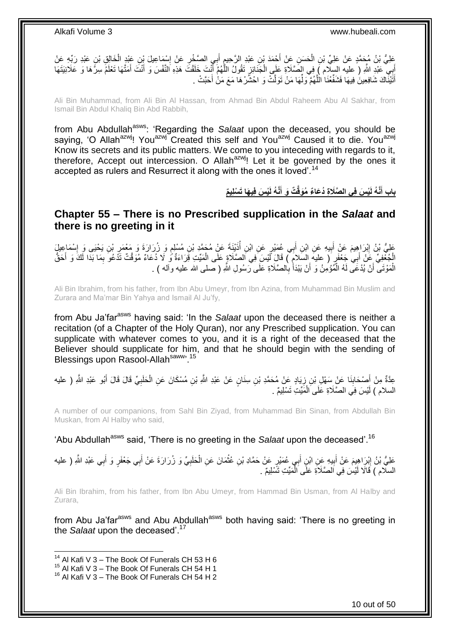َعْلِيُّ بْنُ مُجَمَّدٍ عَنْ عَلِيِّ بْنِ الْحَسَنِ عِنْ أَجْمَدَ بْنِ عَبْدِ الرَّحِيمِ أَبِي الصَّخْرِ عَنْ إِسْمَاعِيلَ بْنِ عَبْدِ الْخَالِقِ بْنِ عَبْدِ رَبِّهِ عَنْ ِ ِ َ ِ ْ ْ إِيِّ عَبْدِ اللَّهِ ( عليه السِّلَام ) فِي الصَّلَاةِ عَلَى الْجَذَائِرِ تَقُولُ اللَّهُمَّ أَنْتَ خَلَقْتَ هَذِهِ النَّفْسَ وَ أَنْتَ أَمَنَّهَا تَعْلَمُ سِرَّهَا وَ عَلَانِيَتَهَا َّ Į. ْ َ َ َ َ أَتَيْنَاكَ شَافِعِينَ فِيهَا فَشَفِّعْنَا الْلَّهُمَّ وَلِّمَا مَنْ تَوَلَّتْ وَ احْشُرْهَا مَعَ مَنْ أَحَبَّتْ . َ ِّ َّ َ

Ali Bin Muhammad, from Ali Bin Al Hassan, from Ahmad Bin Abdul Raheem Abu Al Sakhar, from Ismail Bin Abdul Khaliq Bin Abd Rabbih,

from Abu Abdullah<sup>asws</sup>: 'Regarding the Salaat upon the deceased, you should be saying, 'O Allah<sup>azwj</sup>! You<sup>azwj</sup> Created this self and You<sup>azwj</sup> Caused it to die. You<sup>azwj</sup> Know its secrets and its public matters. We come to you inteceding with regards to it, therefore, Accept out intercession. O Allah $^{axwj}$ ! Let it be governed by the ones it accepted as rulers and Resurrect it along with the ones it loved'.<sup>14</sup>

> باب أَنَّهُ لَيْسَ فِى الصَّلَاةِ دُعَاءٌ مُوَقَّتٌ وَ أَنَّهُ لَيْسَ فِيهَا تَسْلِيمٌ **َ َ**

### <span id="page-9-0"></span>**Chapter 55 – There is no Prescribed supplication in the** *Salaat* **and there is no greeting in it**

عَلِيُّ بْنُ إِبْرَاهِيمَ عَنْ أَبِيهِ عَنِ ابْنِ أَبِي عُمَيْرٍ عَنِ ابْنِ أُذَيْنَةَ عَنْ مُجَمَّدٍ بْنِ مُسْلِمٍ وَ زُرَارَةَ وَ مَعْمَرِ بْنِ يَحْيَى وَ إِسْمَاعِيلَ َ ِ َ <u>֖֚֚֚֓</u> ِ ِ ֧֧֧֢֩֘֝֘֝֘׆֧ ُ الْجُعْفِيِّ عَنْ أَبِي جَعْفَرٍ ( عليه السَلامِ ) قَالَ لَّيْسَ فِي الصَّلَاةِ عَلَى الْمَيِّتِ قَرَاءَةٌ ى لَا دُعَاءٌ مُوَقَّتٌ تَذْعُوَ بِمَا بَدَا لَكَ وَ أَحَقُّ ْ َ َ ِ الْمَوْتَى ۚ أَنْ يُدْعَى لَهُ الْمُؤْمِنُ وَ أَنْ يَبْدَأْ بِالصَّلَاةِ عَلَى رَسُولِ اللَّهِ ( صلى الله عليه وآله ) . ِ َ اُ ْ َ ْ

Ali Bin Ibrahim, from his father, from Ibn Abu Umeyr, from Ibn Azina, from Muhammad Bin Muslim and Zurara and Ma'mar Bin Yahya and Ismail Al Ju'fy,

from Abu Ja'far<sup>asws</sup> having said: 'In the *Salaat* upon the deceased there is neither a recitation (of a Chapter of the Holy Quran), nor any Prescribed supplication. You can supplicate with whatever comes to you, and it is a right of the deceased that the Believer should supplicate for him, and that he should begin with the sending of Blessings upon Rasool-Allahsaww, 15

عِدَّةٌ مِنْ أَصِمْحَابِنَا عَنْ ِسَهْلِ بْنِ زِيَادٍ عَنْ مُحَمَّدِ بْنِ سِنَانٍ عَنْ عَبْدِ اللَّهِ بْنِ مُسْكَانَ عَنِ الْحَلَبِيِّ قَالَ قَالَ أَبُو عَبْدِ اللَّهِ ( عليه ْ ِ **∣** َ َ ِ السلام ) لَيْسَ فِي الصَّلَاةِ عَلَى الْمَيِّتِ تَسْلِيمٌ . ْ

A number of our companions, from Sahl Bin Ziyad, from Muhammad Bin Sinan, from Abdullah Bin Muskan, from Al Halby who said,

'Abu Abdullah<sup>asws</sup> said, 'There is no greeting in the *Salaat* upon the deceased'.<sup>16</sup>

عَلِيُّ بْنُ إِبْرَاهِيمَ عَنْ أَبِيهِ عِنِ ابْنٍ أَبِي عُمَيْرٍ عَنْ حَمَّادِ بْنِ عُثْمَانَ عَنِ الْحَلَبِيِّ وَ زُرَارَةَ عَنْ أَبِي جَعْفَرٍ وَ أَبِي عَبْدِ اللَّهِ ( عليه َ ِ َ ِ َ َ ِ ْ ْ السلام ) قَالَا لَيْسَ فِي الصَّلَاةِ عَلَى الْمَيِّتِ تَسْلِيمٌ . ْ

Ali Bin Ibrahim, from his father, from Ibn Abu Umeyr, from Hammad Bin Usman, from Al Halby and Zurara,

from Abu Ja'far<sup>asws</sup> and Abu Abdullah<sup>asws</sup> both having said: 'There is no greeting in the *Salaat* upon the deceased'.<sup>17</sup>

<sup>&</sup>lt;sup>14</sup> Al Kafi V 3 – The Book Of Funerals CH 53 H 6

 $^{15}$  Al Kafi V 3 – The Book Of Funerals CH 54 H 1

<sup>&</sup>lt;sup>16</sup> Al Kafi V 3 – The Book Of Funerals CH 54 H 2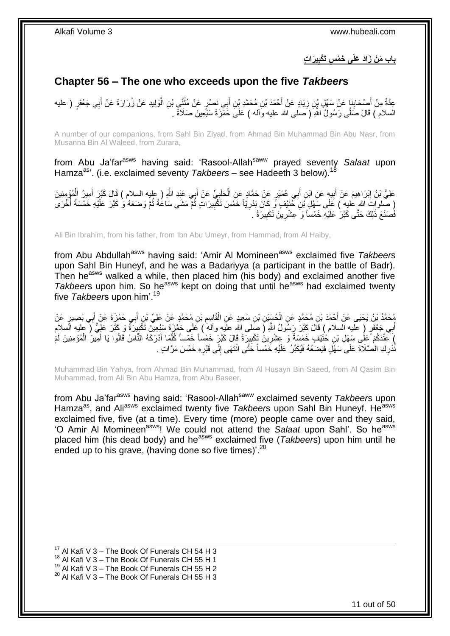**ي َرا ت ِ ِس َتْكب باب َم ْن َزاَد َعلَى َخ ْم**

# <span id="page-10-0"></span>**Chapter 56 – The one who exceeds upon the five** *Takbeer***s**

عِدَّةٌ مِنْ أَصْحَابِذَإٍ عَنْ سَهْلِ بْنِ زِيَادٍ عَنْ أَحْمَدَ بْنِ مُحَمَّدِ بْنِ أَبِي نَصْرٍ عَنْ مُثَنَّيٍ بْنِ الْوَلِيدِ عَنْ زُرَارَةَ عَنْ أَبِي جَعْفَرٍ ( عليه **∣** َ **∶** َ ْ َ َ ِ السلام ) قَالَ صَلَّـى رَسُولُ اللَّهِ ( َصلـى الله عليه وَالـه ) عَلَـىَ خَفَّزَة سَبْعِينَ صَلَاةً .

A number of our companions, from Sahl Bin Ziyad, from Ahmad Bin Muhammad Bin Abu Nasr, from Musanna Bin Al Waleed, from Zurara,

from Abu Ja'far<sup>asws</sup> having said: 'Rasool-Allah<sup>saww</sup> prayed seventy Salaat upon Hamza<sup>as</sup>'. (i.e. exclaimed seventy *Takbeers* – see Hadeeth 3 below).<sup>18</sup>

عَلِيُّ بْنُ إِبْرَاهِيمَ عَنْ أَبِيهٍ عَنِ ابْنِ أَبِي عُمَيْرٍ عَنْ حَمَّادٍ عَنِ الْحَلَبِيِّ عَنْ أَبِي عَبْدِ اللَّهِ ( عِليه السلام ) قَالَ كَبَّرَ أَمِيرُ الْمُؤْمِنِينَ َ ِ ْ َ **!** َ ِ ْ َ ِ ( صَّلواتَ اللهِ عليهِ ) عَلَى سَهْلِ نَن َحُنَيْفٍ وَ كَانَ بَدْرِيّاً خَمْسَ تَكْبَيرَاتٍ ثُمَّ مَشَى سَاعَةً ثُمَّ وَضَعَهُ وَ كَبَرَ عَلَيْهِ خَمْسَةً أُخْرَى **∶** ر<br>ا ا د ا ماہور<br>موقعہ کا فَُصَنَعَ ذَلِكَ حَتَّى كَبَّر<sup>َ</sup> عَلَيْهِ خَمْساً وَ عِشْرِينَ تَكْبِيرَةً . ِ ِ

Ali Bin Ibrahim, from his father, from Ibn Abu Umeyr, from Hammad, from Al Halby,

from Abu Abdullah<sup>asws</sup> having said: 'Amir Al Momineen<sup>asws</sup> exclaimed five *Takbeers* upon Sahl Bin Huneyf, and he was a Badariyya (a participant in the battle of Badr). Then he<sup>asws</sup> walked a while, then placed him (his body) and exclaimed another five *Takbeer*s upon him. So he<sup>asws</sup> kept on doing that until he<sup>asws</sup> had exclaimed twenty five *Takbeer*s upon him'.<sup>19</sup>

مُحَمَّدُ بْنُ يَحْيَى عَنْ أَحْمَدَ بْنِ مُحَمَّدٍ عَنِ الْحُسَيْنِ بْنِ سَعِيدٍ عَنِ الْقَاسِمِ بْنِ مُحَمَّدٍ عَنْ عَلِيٍّ بْنِ أَبِي حَمْزَةَ عَنْ أَبِي بَصِبيرٍ عَنْ ِ ْ ْ َ َ أَبِي جَعْفَرٍ ( عَليه السلام ) قَالَ كَبَّرَ رَسُولُ اللَّهِ ( صِّلمى اللَّه علَيهِ وآلم ) عَلَي حَمْزَةَ سَبْعِينَ تَكَبِيرَةً وَ كِمَّرَ عَلِّيُّ ( عليه السلام ِ ِ كَفْدَكُمْ عَلَى سَهْلِ بْنِ خُنَيْفٍ خَمْسَةً وَ عِشْرِينَ تَكْبِيرَةً قَالَ كَبَّرٍ خَمْساً خَمْساً كُلِّمَا أَدْرَكَهُ النَّاسُ قَالُوا يَا أَمِيرَ الْمُؤْمِنِينَ لَمْ َ َّ ِ ِ ْ َ نُّذْرِكِ الْصَّلَاةَ عَلَى سَهْلٍ فَيَضَعُهُ فَيُكَبِّرُ عَلَيْهِ خَمْساً خَتَّى انْتَهَى إِلَى قَبْرِهِ خَمْسَ مَرَّاتٍ . **∶ ∶**  $\frac{1}{2}$ 

Muhammad Bin Yahya, from Ahmad Bin Muhammad, from Al Husayn Bin Saeed, from Al Qasim Bin Muhammad, from Ali Bin Abu Hamza, from Abu Baseer,

from Abu Ja'far<sup>asws</sup> having said: 'Rasool-Allah<sup>saww</sup> exclaimed seventy *Takbeer*s upon Hamza<sup>as</sup>, and Ali<sup>asws</sup> exclaimed twenty five *Takbeer*s upon Sahl Bin Huneyf. He<sup>asws</sup> exclaimed five, five (at a time). Every time (more) people came over and they said, 'O Amir Al Momineenasws! We could not attend the *Salaat* upon Sahl'. So heasws placed him (his dead body) and he<sup>asws</sup> exclaimed five (*Takbeers*) upon him until he ended up to his grave, (having done so five times)'.<sup>20</sup>

19 Al Kafi V 3 – The Book Of Funerals CH 55 H 2

<sup>1</sup>  $17$  Al Kafi V 3 – The Book Of Funerals CH 54 H 3

<sup>&</sup>lt;sup>18</sup> Al Kafi V 3 – The Book Of Funerals CH 55 H 1

 $20$  Al Kafi V 3 – The Book Of Funerals CH 55 H 3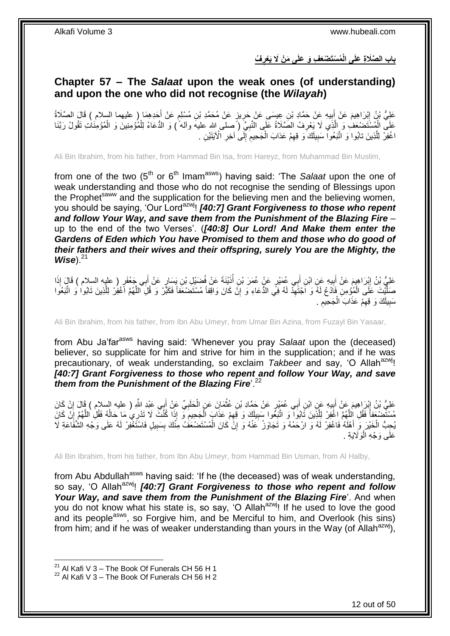**ُف ُم ْسَت ْضَع ِف َو َعلَى َم ْن ََل َيْعر باب ال َّصَال ِة َعلَى الْ ِ**

## <span id="page-11-0"></span>**Chapter 57 – The** *Salaat* **upon the weak ones (of understanding) and upon the one who did not recognise (the** *Wilayah***)**

عَلِيُّ بْنُ إِبْرَاهِيمَ عَنْ أَبِيهِ عَنْ حَمَّادِ بْنِ عِيسَى عَنْ حَرِيزٍ عَنْ مُحَمَّدِ بْنِ مُسْلِمٍ عَنْ أَحَدِهِمَا ( عليهما السلام ) قَالَ الصَّلَاةُ<br>-ِ **!** َ ِ َ ٍ عَلَى الْمُسْتَصْعَفَ وَ الْذِي لَا يَعْرِفُ الصَّلَاةُ عَلَى النَّبِيِّ ( صلى الله عليهُ وأله ً ) وَ الدُّعَاءُ لِلْمُؤْمِنِينَ وَ الْمُؤْمِنَاتِ تَقُولُ رَبَّنَا ْ **∶** ِ َّ ْ ْ َّ اغْفِرْ لِلَّذِينَ تابُوا وَ اتَّبَعُواْ سَبِيلَكَ وَ قِهِمْ عَذابَ الْجَحِيمِ إِلَى أخِرِ الْآيَتَيْنِ . **ٍ** ِ ِ ْ ِ **!** 

Ali Bin Ibrahim, from his father, from Hammad Bin Isa, from Hareyz, from Muhammad Bin Muslim,

from one of the two (5<sup>th</sup> or 6<sup>th</sup> Imam<sup>asws</sup>) having said: 'The *Salaat* upon the one of weak understanding and those who do not recognise the sending of Blessings upon the Prophet<sup>saww</sup> and the supplication for the believing men and the believing women, you should be saying, 'Our Lordazwj! *[40:7] Grant Forgiveness to those who repent and follow Your Way, and save them from the Punishment of the Blazing Fire* – up to the end of the two Verses'. (*[40:8] Our Lord! And Make them enter the Gardens of Eden which You have Promised to them and those who do good of their fathers and their wives and their offspring, surely You are the Mighty, the Wise*).<sup>21</sup>

عَلِيُّ بْنُ إِبْرَاهِيمَ عَنْ أَبِيهِ عَنِ ابْنِ أَبِي عُمَيْرٍ عَنْ عُمَرَ بْنِ أَذَيْنَةَ عَنْ فُضَيْلِ بْنِ يَسَارٍ عَنْ أَبِي جَعْفَرٍ ( عليه السلام ) قَالَ إِذَا ُ َ ِ َ ِ َ صَلَّيْتَ عَلَى الْمُؤْمِنِ فَاَدْعُ لَهُ وَ اَجْتَهِذْ لَهُ فِي الدُّعَاءِ وَ إِنَّ كَانَ وَاقِفاً مُسْتَضْنَعَفَاً فَكَبَّرْ وَ قُلِّ اللَّهُمَّ اَغْفِرْ لِلَّذِينَ تَابُوا وَ اتَّبَعُوا ْ َّ יֲ<br>י ِ َّ سَبِيلَكَ وَ قِهِمْ عَذَابَ الْجَحِيمِ . ِ ْ ِ **∣** 

Ali Bin Ibrahim, from his father, from Ibn Abu Umeyr, from Umar Bin Azina, from Fuzayl Bin Yasaar,

from Abu Ja'farasws having said: 'Whenever you pray *Salaat* upon the (deceased) believer, so supplicate for him and strive for him in the supplication; and if he was precautionary, of weak understanding, so exclaim *Takbeer* and say, 'O Allah<sup>azwj</sup>! *[40:7] Grant Forgiveness to those who repent and follow Your Way, and save them from the Punishment of the Blazing Fire*'.<sup>22</sup>

عَلِيُّ بْنُ إِبْرَاهِيمَ عَنْ أَبِيهِ عَنِ ابْنِ أَبِي عُمَيْرٍ عَنْ حَمَّادِ بْنِ عُثْمَانَ عَنِ الْحَلَبِيِّ عَنْ أَبِي عَبْدِ اللَّهِ ( عليه السلام ) قَالَ إِنْ كَانَ َ ِ ْ ْ َ  $\frac{1}{2}$  ِ ِ مُسْتَضِعَفاً فَقُلِ الْلَّهُمَّ اغْفِرْ لِلَّذِينَ تَابُوا وَ اتَّبَعُوا سَبِيلَكَ وَ قَهِمْ عَذَابَ الْجَحِيمَ وَ إِذَا كُنْتَ لَا تَذرِي مَا حَالُهُ فَقُلِ اللَّهُمَّ إِنْ كَانَ<br>وَيَمْسَنُونَ وَيَزْهُمْ إِنَّهُمْ إِنَّ ِ اً َّ ِ َّ ُ ِ ْ ِ يُحِبُّ الْخَيْرَ وَ أَهْلَهُ فَاغْفِرْ لَهُ وَ ارْحَمْهُ وَ تَجَاوَزْ عَنْهُ وَ إِنَّ كَانَ الْمُسْتَضْعَفُ مِنْكَ بِسَبِيلٍ فَاسْتَغْفِرْ لَهُ عَلَى وَجْهِ الشَّفَاعَةِ لَا ِ ِ ْ ِ َ ْ عَلَى وَجْهِ الْوَلَايَةِ . ر<br>ا

Ali Bin Ibrahim, from his father, from Ibn Abu Umeyr, from Hammad Bin Usman, from Al Halby,

from Abu Abdullah<sup>asws</sup> having said: 'If he (the deceased) was of weak understanding, so say, 'O Allah<sup>azwi</sup>! *[40:7] Grant Forgiveness to those who repent and follow Your Way, and save them from the Punishment of the Blazing Fire*'. And when you do not know what his state is, so say, 'O Allah<sup>azwj</sup>! If he used to love the good and its people<sup>asws</sup>, so Forgive him, and be Merciful to him, and Overlook (his sins) from him; and if he was of weaker understanding than yours in the Way (of Allah<sup>azwj</sup>),

 $^{21}$  Al Kafi V 3 – The Book Of Funerals CH 56 H 1

 $22$  Al Kafi V 3 – The Book Of Funerals CH 56 H 2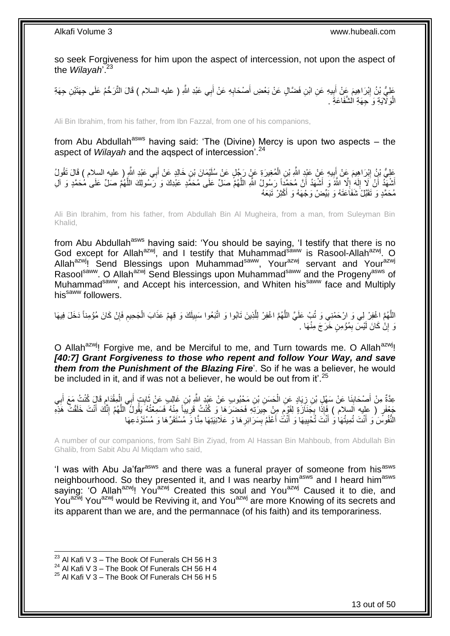so seek Forgiveness for him upon the aspect of intercession, not upon the aspect of the *Wilayah*'.<sup>23</sup>

عَلِيُّ بْنُ إِبْرَاهِيمَ عَنْ أَبِيهِ عَنِ ابْنِ فَضَّالٍ عَنْ بَعْضِ أَصْحَابِهِ عَنْ أَبِي عَبْدِ اللَّهِ ( عليه السلام ) قَالَ التَّرَكُّمُ عَلَى جِهَتْيْنِ جِهَةِ َ ِ **!** َ ِ الْوَلَايَةِ وَ حِهَةِ الشَّفَاعَةِ . ا.<br>ا

Ali Bin Ibrahim, from his father, from Ibn Fazzal, from one of his companions,

from Abu Abdullah<sup>asws</sup> having said: 'The (Divine) Mercy is upon two aspects  $-$  the aspect of *Wilayah* and the agspect of intercession<sup>'.24</sup>

عَلِيُّ بْنُ إِبْرَاهِيمَ عَنْ أَبِيهِ عَنْ عَبْدِ اللَّهِ بْنِ الْمُغِيرَةِ عَنْ رَجُلٍ عَنْ سُلَيْمَانَ بْنِ خَالِدٍ عَنْ أَبِي عَبْدِ اللَّهِ ( عليه السلام ) قَالَ تَقُولُ<br>يُسْمَعُونَ اللَّهُ فَي اللَّهِ عَنْ أَبِيهِ ع ْ ِ َ ِ َ أَشْهَٰذُ أَنْ لَا إِلَهَ إِلَّا اللَّهُ وَ أَشْهَدُ أَنَّ مُحَمَّدٍاً رَسُولُ اللَّهِ اللَّهُمَّ صَلِّ عَلَى مُحَمَّدٍ عَبْدِكَ وَ رَسُولِكَ اللَّهُمَّ صَلِّ عَلَى مُحَمَّدٍ وَ آلِ َّ  $\overline{\phantom{a}}$ لَ  $\frac{1}{2}$ َّ مُحَمَّدٍ وَ تَقَبَّلْ شَفَاعَتَهُ وَ بَيِّضْ وَجْهَهُ وَ أَكْثِرْ تَبَعَهُ َ

Ali Bin Ibrahim, from his father, from Abdullah Bin Al Mugheira, from a man, from Suleyman Bin Khalid,

from Abu Abdullah<sup>asws</sup> having said: 'You should be saying, 'I testify that there is no God except for Allah<sup>azwj</sup>, and I testify that Muhammad<sup>saww</sup> is Rasool-Allah<sup>azwj</sup>. O Allah<sup>azwj</sup>! Send Blessings upon Muhammad<sup>saww</sup>, Your<sup>azwj</sup> servant and Your<sup>azwj</sup> Rasoolsaww. O Allahazwj Send Blessings upon Muhammadsaww and the Progenyasws of Muhammad<sup>saww</sup>, and Accept his intercession, and Whiten his<sup>saww</sup> face and Multiply his<sup>saww</sup> followers.

اللَّهُمَّ اغْفِرْ لِي وَ ارْحَمْنِي وَ تُبْ عَلَيَّ اللَّهُمَّ اغْفِرْ لِلَّذِينَ تَابُوا وَ اتَّبَعُوا سَبِيلَكَ وَ قِهِمْ عَذَابَ الْجَحِيمِ فَإِنْ كَانَ مُؤْمِناً دَخَلَ فِيهَا ِ **!** َّ َّ َّ ِ ِ ْ رَ إِنْ كَانَ لَيْسَ بِمُؤْمِنٍ خَرَجَ مِنْهَا . ِ ِ

O Allah<sup>azwj</sup>! Forgive me, and be Merciful to me, and Turn towards me. O Allah<sup>azwj</sup>! *[40:7] Grant Forgiveness to those who repent and follow Your Way, and save them from the Punishment of the Blazing Fire*'. So if he was a believer, he would be included in it, and if was not a believer, he would be out from it'.<sup>25</sup>

عِدَّةٌ مِنْ أَصْحَابِنَا عَنْ سَهْلِ بْنِ زِيَادٍ عَنِ الْحَسَنِ بْنِ مَحْبُوبٍ عَنْ عَبْدٍ اللَّهِ بْنِ غَالِبٍ عَنْ ثَابِتٍ أَبِي الْمِقْدَامِ قَالَ كُنْتُ مَعَ أَبِي َ ْ ِ ِ َ ِ َ **ื** ْ َ جَعْفَرٍ ( عليه السلام ) فَإِذَا بِجَنَازَةٍ لِقَوْمٍ مِنْ جَبِرَتَهِ فَحَضَرَهَا وَ كُنْتُ قَرِيبَاً مِنْهُ فَسَمِعْتُهُ يَقُولُ اللَّهُمَّ إِنَّكَ أَنْتَ خَلَقْتَ هَذِهِ ٍ **∶** َ ِ َّ **ٍ** النَّفُوسَ وَ أَنْتَ تُمِيتُهَا وَ أَنْتَ تُحْيِيهَا وَ أَنْتُ أَعْلَمُ بِسَرَائِرِ هَا وَ عَلَانِيَتِهَا مِنَّا وَ مُسْتَقَرِّهَا وَ مُسْتَوْدَعِهَا **∶ ∣** َ َ ِ َ

A number of our companions, from Sahl Bin Ziyad, from Al Hassan Bin Mahboub, from Abdullah Bin Ghalib, from Sabit Abu Al Miqdam who said,

'I was with Abu Ja'far<sup>asws</sup> and there was a funeral prayer of someone from his<sup>asws</sup> neighbourhood. So they presented it, and I was nearby him<sup>asws</sup> and I heard him<sup>asws</sup> saying: 'O Allah<sup>azwj</sup>! You<sup>azwj</sup> Created this soul and You<sup>azwj</sup> Caused it to die, and You<sup>azwj</sup> You<sup>azwj</sup> would be Reviving it, and You<sup>azwj</sup> are more Knowing of its secrets and its apparent than we are, and the permannace (of his faith) and its temporariness.

<sup>&</sup>lt;sup>23</sup> Al Kafi V 3 – The Book Of Funerals CH 56 H 3

 $^{24}$  Al Kafi V 3 – The Book Of Funerals CH 56 H 4

 $25$  Al Kafi V 3 – The Book Of Funerals CH 56 H 5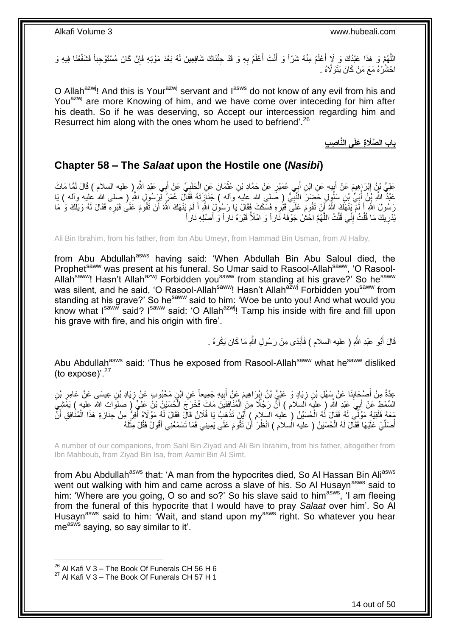اللَّهُمَّ وَ هَذَا عَبْدُكَ وَ لَإٍ أَعْلَمُ مِنْهُ شَرّاً وَ أَنْتَ أَعْلَمُ بِهِ وَ قَدْ جِئْنَاكَ شَافِعِينَ لَهُ بَعْدَ مَوْتِهِ فَإِنْ كَانَ مُسْتَوْجِباً فَشَفِّعْنَا فِيهِ وَ ِ َ َ َ ∣ļ ا ْح ُش ْرهُ َمَع َم ْن َكا َن َيَتَوََّلهُ .

O Allah<sup>azwj</sup>! And this is Your<sup>azwj</sup> servant and l<sup>asws</sup> do not know of any evil from his and You<sup>azwj</sup> are more Knowing of him, and we have come over inteceding for him after his death. So if he was deserving, so Accept our intercession regarding him and Resurrect him along with the ones whom he used to befriend'.<sup>26</sup>

**باب ال َّصَال ِة َعلَى الَّنا ِص ِب**

### <span id="page-13-0"></span>**Chapter 58 – The** *Salaat* **upon the Hostile one (***Nasibi***)**

عَلِيُّ بْنُ إِبْرَاهِيمَ عَنْ أَبِيهِ عَنِ ابْنِ أَبِي عُمَيْرٍ عَنْ حَمَّادِ بْنِ عُثْمَانَ عَنِ الْحَلَبِيِّ عَنْ أَبِي عَبْدِ اللَّهِ إِ عليه السلام ) قَالَ لَمَّا مَاتَ َ ِ ْ **ٔ** َ ِ َ ِ ُّي صلى َّلل علي وآل ( َجَنا َزَت ُ َفَقا ََ ُع َم ُر لِ َر ُسو َِ ََّّللِ ب ُو ٍَ َح َض َر النَّ ِن َسل َب ِّي ْب ََّّللِ ْب ُن أ َعْبُد صلى َّلل علي وآل ( َيا **∶** ُ رَسُولَ اللَّهِ أَ لَمْ يَنْهَكَ اللَّهُ أَنْ تَقُومَ عَلَى قَبْرٍ وِ فَسَكَتَ فَقَالَ يَا رَسُولَ اللَّهِ أَ لَمْ يَنْهَكَ اللَّهُ أَنْ تَقُومَ عَلَى قَبْرِهِ فَقَالَ لَهُ وَيْلَكَ وَ مَا ِ َ لَ َ ِ َ لَ َ يْدَهِ مَا َقُلْتُ ٰ إِنِّي قُلْتُ اللَّهُمَّ اخْشُ جَوْفَهُ نَّاراً وَ امْلَأْ قَبْرَهُ نَاراً وَّ أَصْلِهِ نَاراً َ َّ ْ ِ ْ ِ

Ali Bin Ibrahim, from his father, from Ibn Abu Umeyr, from Hammad Bin Usman, from Al Halby,

from Abu Abdullah<sup>asws</sup> having said: 'When Abdullah Bin Abu Saloul died, the Prophet<sup>saww</sup> was present at his funeral. So Umar said to Rasool-Allah<sup>saww</sup>, 'O Rasool-Allah<sup>saww</sup>! Hasn't Allah<sup>azwj</sup> Forbidden you<sup>saww</sup> from standing at his grave?' So he<sup>saww</sup> was silent, and he said, 'O Rasool-Allah<sup>saww</sup>! Hasn't Allah<sup>azwj</sup> Forbidden you<sup>saww</sup> from standing at his grave?' So he<sup>saww</sup> said to him: 'Woe be unto you! And what would you know what I<sup>saww</sup> said? I<sup>saww</sup> said: 'O Allah<sup>azwj</sup>! Tamp his inside with fire and fill upon his grave with fire, and his origin with fire'.

> قَالَ أَبُو عَبْدِ اللَّهِ ( عليه السلام ) فَأَبْدَى مِنْ رَسُولِ اللَّهِ مَا كَانَ يَكْرَهُ . َ َ

Abu Abdullah<sup>asws</sup> said: 'Thus he exposed from Rasool-Allah<sup>saww</sup> what he<sup>saww</sup> disliked (to expose)'. $27$ 

عِدَّةٌ مِنْ أَصْبِحَابِذَا عَنْ سَمْلِ بْنِ زِيَادٍ وَ عَلِيُّ بْنُ إِبْرَاهِيمَ عَنْ أَبِيهِ جَمِيعاً عَنِ ابْنِ مَحْبُوبٍ عَنْ تِيبَسَى عَنْ عَامِرٍ بْنِ ِ َ ِ ِ ِ َ **∶** ِ السِّمْطِ عَنْ أَبِيَ عَبْدِ اللَّهِ ( عليه أَلَسِلام ) أَنَّ رَجُلًا مِنَ الْمُنَافِقِينَ مَاتَ فَخَرَجَ الْحُسَيْنُ بْنُ عَلِّيٍّ ( صلوات الله عليه ) يَفَشِيَّ اُ ْ ْ مَعَهُ فَلَقِيَهُ مَوْلَـّي لَهُ فَقَالَ لَهُ الْحُسَيْنُ ( عليه السلام ) أَيْنَ تَذْهَبُ يَا فُلَانُ قَالَ فَقَالَ لَهُ مَوْلاهُ أَفِرْ ۢ مِنْ جِنَازَةِ هَذَا الْمُنْافِقِ أَنَّ **ٔ** َ ْ َ ْ أُصَلِّيَ عَلَيْهَا فَقَالَ لَهُ الْحُسَيْنُ ( عليه الُسلام ) انْظُرْ أَنْ تَقُومَ عَلَى يَمِينِي فَمَا تَسْمَعُنِي أَقُولُ فَقُلْ مِثْلَهُ ِّ ُ لَ ْ َ أ ْ

A number of our companions, from Sahl Bin Ziyad and Ali Bin Ibrahim, from his father, altogether from Ibn Mahboub, from Ziyad Bin Isa, from Aamir Bin Al Simt,

from Abu Abdullah<sup>asws</sup> that: 'A man from the hypocrites died, So Al Hassan Bin Ali<sup>asws</sup> went out walking with him and came across a slave of his. So Al Husayn<sup>asws</sup> said to him: 'Where are you going, O so and so?' So his slave said to him<sup>asws</sup>, 'I am fleeing from the funeral of this hypocrite that I would have to pray *Salaat* over him'. So Al Husayn<sup>asws</sup> said to him: 'Wait, and stand upon  $my^{asws}$  right. So whatever you hear measws saying, so say similar to it'.

 $^{26}$  Al Kafi V 3 – The Book Of Funerals CH 56 H 6  $27$  Al Kafi V 3 – The Book Of Funerals CH 57 H 1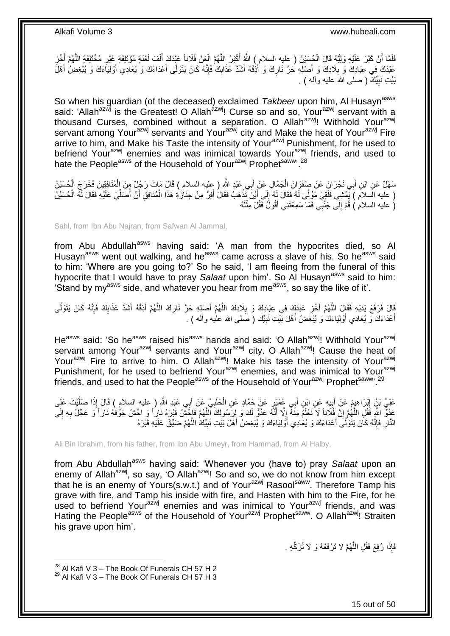فَلَمَّا أَنْ كَبَّرَ عَلَيْهِ وَلِيُّهُ قَالَ الْجُسَيْنُ ( عِليه السلام ِ ) اللَّهُ أَكْبَرُ اللَّهُمَّ الْعَنْ فُلَاناً عَيْدَكَ أَلْفَ لَعْنَةٍ مُؤْتَلِفَةٍ مِنْ خُتَلِفَةٍ اللَّهُمَّ أَخْزِ ْ َّ َ ْ ِ َ َّ ; ْ َ عَبْدَكَ فِي عِبَادِكَ وَ بِلَادِكَ وَ أَصْلِهِ حَرَّ نَارِكَ وَ أَذِْقْهُ أَشَدَّ عَذَابِكَ فَإِنَّهُ كَانَ يَتَوَلَّى أَعْدَاءَكَ وَ يُعَادِي أَوْلِيَاءَكَ وَ يُبْغِضُ أَهْلَ ِ َ ِ َ َ َ ِ ِ َ بَيْتِ نَبِيِّكَ ( صلى الله عليه وألـه ) <sub>.</sub> **ِ** 

So when his guardian (of the deceased) exclaimed *Takbeer* upon him, Al Husayn<sup>asws</sup> said: 'Allah<sup>azwj</sup> is the Greatest! O Allah<sup>azwj</sup>! Curse so and so, Your<sup>azwj</sup> servant with a thousand Curses, combined without a separation. O Allah<sup>azwj</sup>! Withhold Your<sup>azwj</sup> servant among Your<sup>azwj</sup> servants and Your<sup>azwj</sup> city and Make the heat of Your<sup>azwj</sup> Fire arrive to him, and Make his Taste the intensity of Your<sup>azwj</sup> Punishment, for he used to befriend Your<sup>azwj</sup> enemies and was inimical towards Your<sup>azwj</sup> friends, and used to hate the People<sup>asws</sup> of the Household of Your<sup>azwj</sup> Prophetsaww<sup>, 28</sup>

سَهْلٌ عَنِ ابْنِ أَبِي نَجْرَانَ عَنْ صَفْوَانَ الْجَمَّالِ عَنْ أَبِي عَبْدِ اللَّهِ ( عِليه السلام ) قَالَ مَاتَ رَجُلٌ مِنَ الْمُنَافِقِينَ فَخَرَجَ الْحُسَيْنُ َ ْ َ ْ ْ ( عليه الَسلام ) بِمُشِي فَلَقِيَ مَوْلًى لَهُ فَقَالَ لَهُ إِلَى أَيْنَ تَذْهَبُ فَقَالَ أَفِرُّ مِنْ جِنَازَةِ هَذَا الْمُنَافِقِ أَنْ أَصَلِّيَ عَلَيْهِ فَقَالَ لَهُ الْحُسَيْنُ َ **ٔ** َ ِ ْ ِّ ُ َ ْ (َ عليه السلامُ ) قُمْ إِلَى جَنْبِي فَمَا سَمِعْتَنِي أَقُولُ فَقُلْ مِثْلَهُ لَ ْ  $\frac{1}{2}$ 

Sahl, from Ibn Abu Najran, from Safwan Al Jammal,

from Abu Abdullah<sup>asws</sup> having said: 'A man from the hypocrites died, so Al Husayn<sup>asws</sup> went out walking, and he<sup>asws</sup> came across a slave of his. So he<sup>asws</sup> said to him: 'Where are you going to?' So he said, 'I am fleeing from the funeral of this hypocrite that I would have to pray *Salaat* upon him'. So Al Husayn<sup>asws</sup> said to him: 'Stand by myasws side, and whatever you hear from measws, so say the like of it'.

َّ قَالَ فَرَفَعَ يَدَيْهِ فَقَالَ اللَّهُمَّ أُخْزِ عَبْدَكَ فِي عِبَادِكَ و بِلَادِكَ اللَّهُمَّ أَصْلِهِ حَرَّ نَارِكَ اللَّهُمَّ أَذِقْهُ أَشَدَّ عَذَابِكَ فَإِنَّهُ كَانَ يَتَوَلَّى **ٍ** َ َّ ِ **∶** َ َّ َّ ا∣<br>ِ∘ِ ِ َ َ أعْدَاءَكَ وَ يُعَادِي أَوْلِيَاءَكَ وَ يُبْغِضُ أَهْلَ بَيْتِ نَبِيِّكَ ( صَلَّى الله عليه وأله ) . **!** َ َ َ

He<sup>asws</sup> said: 'So he<sup>asws</sup> raised his<sup>asws</sup> hands and said: 'O Allah<sup>azwj</sup>! Withhold Your<sup>azwj</sup> servant among Your<sup>azwj</sup> servants and Your<sup>azwj</sup> city. O Allah<sup>azwj</sup>! Cause the heat of Your<sup>azwj</sup> Fire to arrive to him. O Allah<sup>azwj</sup>! Make his tase the intensity of Your<sup>azwj</sup> Punishment, for he used to befriend Your<sup>azwj</sup> enemies, and was inimical to Your<sup>azwj</sup> friends, and used to hat the People<sup>asws</sup> of the Household of Your<sup>azwj</sup> Prophet<sup>saww, 29</sup>

عَلِيُّ بْنُ إِبْرَاهِيمَ عَنْ أَبِيهِ عَنِ ابْنِ أَبِي عُمَيْرٍ عَنْ حَمَّادٍ عَنِ الْحَلَبِيِّ عَنْ أَبِي عَبْدِ اللَّهِ ( عليه السلام ) قَالَ إِذَا صَلَّيْتَ عَلَى َ **!**  ِ َّ َ ِ ْ عَدُوٌّ اللَّهِ فَقُلِ اللَّهُمَّ إِنَّ فُلَاناً لَا نَعْلَمُ مِنْهُ إِلَّا أَنَّهُ عَدُوٌّ لَكَ وَ لِرَسُولِكَ ٱللَّهُمَّ فَاحَشْنُ قَبْرَهُ نَارٍ أَ وَ احْشُ جَوْفَهُ نَاراً وَ عَجِّلْ بِهِ إِلَى َّ َ  $\frac{1}{2}$ ِ َّ لَ ِ **∶** النَّارِ فَإِنَّهُ كَانَ يَتَوَلَّـَى أَعْدَاءَكَ وَ يُعَادِي أَوْلِيَاءَكَ وَ يُبْغِضُ أَهْلَ بَيْتِ نَبِيِّكَ اللَّهُمَّ ضَيِّقْ عَلَيْهِ قَبْرَهُ َّ ِ َ َ :<br>:<br>: ِ **∶** 

Ali Bin Ibrahim, from his father, from Ibn Abu Umeyr, from Hammad, from Al Halby,

from Abu Abdullah<sup>asws</sup> having said: 'Whenever you (have to) pray Salaat upon an enemy of Allah<sup>azwj</sup>, so say, 'O Allah<sup>azwj</sup>! So and so, we do not know from him except that he is an enemy of Yours(s.w.t.) and of Your<sup>azwj</sup> Rasool<sup>saww</sup>. Therefore Tamp his grave with fire, and Tamp his inside with fire, and Hasten with him to the Fire, for he used to befriend Your<sup>azwj</sup> enemies and was inimical to Your<sup>azwj</sup> friends, and was Hating the People<sup>asws</sup> of the Household of Your<sup>azwj</sup> Prophet<sup>saww</sup>. O Allah<sup>azwj</sup>! Straiten his grave upon him'.

> فَإِذَا رُفِعَ فَقُلِ اللَّهُمَّ لَا تَرْفَعْهُ وَ لَا تُزَكِّهِ . َّ

1

15 out of 50

 $^{28}$  Al Kafi V 3 – The Book Of Funerals CH 57 H 2  $29$  Al Kafi V 3 – The Book Of Funerals CH 57 H 3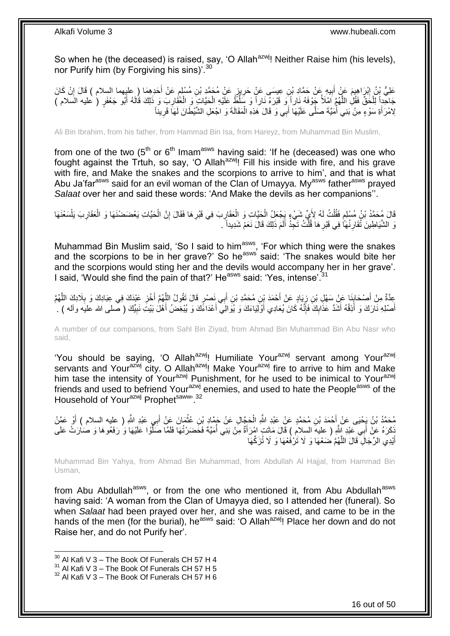So when he (the deceased) is raised, say, 'O Allah<sup>azwj</sup>! Neither Raise him (his levels), nor Purify him (by Forgiving his sins)<sup>'.30</sup>

عَلِيُّ بِْنُ إِبْرَاهِيمَ عَنْ أَبِيهِ عَنْ حَمَّادِ بْنِ عِيسَى عَنْ حَرِيزٍ عَنْ مُحَمَّدٍ بْنِ مُسْلِمٍ عَنْ أَخدِهِمَا (ِ عليهما السلام ) قَالَ إِنْ كَانَ **ֽוּ** ِ َ ٍ ِ **!** ِ جَاحِداً لِلْخُقٌّ فَقُلِ اللَّهُمَّ أَشَلاً جِّوْفَهُ نَاراً وَ فَنُرَهُ نَاراً وَ سَلُّطٌ عَلَّيْهِ الْحَيَّاتِ وَ الْغَفَارِبَ وَ ذَلِكَ قَالَهُ أَبُو جَعْفَرٍ ( عليه السلام ) ْ ْ َّ ْ َ ِ لِامْرَأَةِ سَوْءٍ مِنْ بَنِي أَمَيَّةَ صَلَّى عَلَيْهَا أَبِي وَ قَالَ هَذِهِ الْمَقَالَةَ وَ اجْعَلِ الشَّيْطَانَ لَمَاَ قَرِيناً ْ َ ا<br>ا َ

Ali Bin Ibrahim, from his father, from Hammad Bin Isa, from Hareyz, from Muhammad Bin Muslim,

from one of the two  $(5<sup>th</sup>$  or  $6<sup>th</sup>$  Imam<sup>asws</sup> having said: 'If he (deceased) was one who fought against the Trtuh, so say, 'O Allah<sup>azwj</sup>! Fill his inside with fire, and his grave with fire, and Make the snakes and the scorpions to arrive to him', and that is what Abu Ja'far<sup>asws</sup> said for an evil woman of the Clan of Umayya. My<sup>asws</sup> father<sup>asws</sup> prayed *Salaat* over her and said these words: 'And Make the devils as her companions''.

قَالَ مُِحَمَّدُ بْنُ مُسْلِم فَقُلْتُ لَهُ لِأَيٍّ شَيْءٍ يَِجْعَلُ الْحَيَّاتِ وَ الْعَقَارِبَ فِي قَبْرِ هَا فَقَالَ إِنَّ الْحَيَّاتِ يَعْضَضْنَهَا وَ الْعَقَارِبَ يَلْسَعْنَهَا ْ ٍ ْ ِ ْ ْ ِ **ٍ ∶** ْ ْ نَ الشَّيَاطِينَ ثُقَارِ نُهَاً فِي قَبْرِ هَا قُلْتُ تَجِدُ أَلَمَ ذَلِكَ قَالَ نَعَمْ شَدِيداً ۖ ـِ لَ َ ْ **∶ ∶** 

Muhammad Bin Muslim said, 'So I said to him<sup>asws</sup>, 'For which thing were the snakes and the scorpions to be in her grave?' So he<sup>asws</sup> said: 'The snakes would bite her and the scorpions would sting her and the devils would accompany her in her grave'. I said, 'Would she find the pain of that?' He<sup>asws</sup> said: 'Yes, intense'.<sup>31</sup>

َ عِدَّةٌ مِنْ أَصْحَابِنَا عَنْ سَهْلِ بْنِ زِيَادٍ عَنْ أَحْمَدَ بْنِ مُحَمَّدِ بْنِ أَبِي نَصْرٍ قَالَ تَقُولُ اللَّهُمَّ أُخْزِ عَبْدَكَ فِي عِبَادِكَ وَ بِلَادِكَ اللَّهُمَّ<br>ِ َّ َ Į, ِ َ َّ **∶ ∶** أَصْلِهِ نَارَكَ وَ أَذِقْهُ أَشَدَّ عَذَابِكَ فَإِنَّهُ كَانَ يُعَادِي أَوْلَيْهَاءَكَ وَ يُوَالِيّ أَعْدَاءًكَ وَ يُبْغِضُ أَهْلَ بَيْتَ نَبِيِّكَ ( صلى الله عليه وآله ) . َ اً<br>ا َ ∣اٍ<br>∶ ِ َ َ َ ِ

A number of our companions, from Sahl Bin Ziyad, from Ahmad Bin Muhammad Bin Abu Nasr who said,

'You should be saying, 'O Allah<sup>azwj</sup>! Humiliate Your<sup>azwj</sup> servant among Your<sup>azwj</sup> servants and Your<sup>azwj</sup> city. O Allah<sup>azwj</sup>! Make Your<sup>azwj</sup> fire to arrive to him and Make him tase the intensity of Your<sup>azwj</sup> Punishment, for he used to be inimical to Your<sup>azwj</sup> friends and used to befriend Your<sup>azwj</sup> enemies, and used to hate the People<sup>asws</sup> of the Household of Your<sup>azwj</sup> Prophetsaww. 32

مُحَمَّدُ بْنُ يَجْيَى عَنْ أَحْمَدَ بْنِ مُحَمَّدٍ عَنْ عَبْدِ اللَّهِ الْحَجَّالِ عَنْ جَمَّادٍ بْنِ عُثْمَانَ عَنْ أَبِي عَبْدِ اللَّهِ ( عليه السلام ) أَوْ عَمَّنْ<br>يَحَمَّدُ بْنُ يَجْيَى عَنْ أَحْمَدَ بْنِ مُحَمَّدٍ ع َ **ٔ** ْ َ ا<br>ا َّكَرَهُ عَنْ أَبِي عَبْدِ اللَّهِ ( عليهَ السلامِ ) قَالَ مَاتَتٍ امْرَأَةٌ مِنْ بَنِي أُمَيَّةً فَحَضَرْتُهَا فَلَمًا صَلَّوْا عَلَيْهَا وَ رَفَعُوهَا وَ صَارَتْ عَلَى<br>نَ َ َ َّ أَيْدِي الرِّجَالِ قَالَ اللَّهُمَّ ضَعْهَا وَ لَا تَزْفَعْهَا وَ لَا تُزَكِّهَا َّ َ

Muhammad Bin Yahya, from Ahmad Bin Muhammad, from Abdullah Al Hajjal, from Hammad Bin Usman,

from Abu Abdullah<sup>asws</sup>, or from the one who mentioned it, from Abu Abdullah<sup>asws</sup> having said: 'A woman from the Clan of Umayya died, so I attended her (funeral). So when *Salaat* had been prayed over her, and she was raised, and came to be in the hands of the men (for the burial), he<sup>asws</sup> said: 'O Allah<sup>azwj</sup>! Place her down and do not Raise her, and do not Purify her'.

 $30$  Al Kafi V 3 – The Book Of Funerals CH 57 H 4

 $31$  Al Kafi V  $3 -$  The Book Of Funerals CH 57 H 5

 $32$  Al Kafi V 3 – The Book Of Funerals CH 57 H 6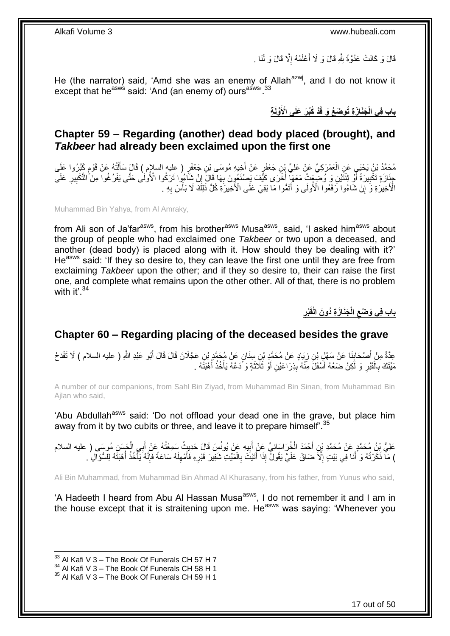قَالَ وَ كَانَتْ عَدُوَّةً بِثَّهِ قَالَ وَ لَا أَعْلَمُهُ إِلَّا قَالَ وَ لَنَا . ِ ا<br>ا ِ

He (the narrator) said, 'Amd she was an enemy of Allah<sup>azwj</sup>, and I do not know it except that he<sup>asws</sup> said: 'And (an enemy of) ours<sup>asws, 33</sup>

**ْد َجَنا َز ِة ُتو َض ُع َو قَ باب فِي ال ِة ْ َّولَ ُكِّب َر َعلَى اْْلَ**

### <span id="page-16-0"></span>**Chapter 59 – Regarding (another) dead body placed (brought), and**  *Takbeer* **had already been exclaimed upon the first one**

مُحَمَّدُ بْنُ يَحْيَيِ عَنِ الْعَمْرَكِيِّ عَنْ عَلِيِّ بْنِ جَعْفَرٍ عَنْ أَخِيهِ مُوسَى بْنِ جَعْفَرٍ ( عليه السلإم ) قَالَ سَأَلْتُهُ عَنْ قَوْمٍ يَجَرُوا عَلَى َ ْ ֧֖֧֦֧֦֧֦֖֚֚֝֝֝֝֓֝֬֟֓֝֓֬֝֬֝֓֬֝֬֝֓**֓** ْ اً<br>أ جِنَازَةٍ تَكْبِيرَةً أَوْ ثِنْثَيْنِ وَ وَضَعَمَا عَمَعَهَا أُخْرَى كَيَّفَ يَصْنَعُونَ بِهَا قَالَ إِنْ شَاءُوا تَرَكُوا الْأُولَٰى حَتَّى يَفْرُغُوا مِنَّ التَّكْبِيرِ عَلَى  $\frac{1}{2}$ **∶** ا<br>ا ر<br>ا **!** ِ ِ الْأَخِيرَةِ وَ إِنْ شَاءُوا رَفَعُوا الْأُولَى وَ أَتَمُّوا مَا بَقِيَ عَلَى الْأَخِيرَةِ كُلُّ ذَلِكَ لَا بَأْسَ بِهِ -ِ ِ ْ َ

Muhammad Bin Yahya, from Al Amraky,

from Ali son of Ja'far<sup>asws</sup>, from his brother<sup>asws</sup> Musa<sup>asws</sup>, said, 'I asked him<sup>asws</sup> about the group of people who had exclaimed one *Takbeer* or two upon a deceased, and another (dead body) is placed along with it. How should they be dealing with it?' He<sup>asws</sup> said: 'If they so desire to, they can leave the first one until they are free from exclaiming *Takbeer* upon the other; and if they so desire to, their can raise the first one, and complete what remains upon the other other. All of that, there is no problem with it'. $34$ 

> **ِ ْبر َجَنا َز ِة ُدو َن الْقَ الْ باب فِي َو ْضع ِ**

### <span id="page-16-1"></span>**Chapter 60 – Regarding placing of the deceased besides the grave**

عِدَّةٌ مِنْ أَصْحَابِنَا عَنْ سَهْلٍ بْنِ زِيَادٍ عَنْ مُحَمَّدٍ بْنِ سِنَانٍ عَنْ مُحَمَّدٍ بْنِ عَجْلَانَ قَالَ قَالَ أَبُو عَبْدِ اللَّهِ ( عليه السلام ) لَا تَفْدَحْ<br>سَنَّةٌ مَنْ أَصْحَابِنَا عَنْ سَهْنَيَّ بِنِ زِيَ َ ِ ِ مَيِّنَكَ بِالْقَبْرِ وَ لَكِنْ ضَعْهُ أَسْفَلََ مِنْهُ بِذِرَاعَيْنِ أَوْ ثَلَاثَةٍ وَ دَعْهُ يَأْخُذُ أُهْبَتَهُ . ا<br>ا ْ َ َ **ِ** َ ِ ْ **∶** 

A number of our companions, from Sahl Bin Ziyad, from Muhammad Bin Sinan, from Muhammad Bin Ajlan who said,

'Abu Abdullah<sup>asws</sup> said: 'Do not offload your dead one in the grave, but place him away from it by two cubits or three, and leave it to prepare himself'.<sup>35</sup>

عَلِيُّ بِنُ مُحَمَّدٍ عَنْ مُحَمَّدِ بْنِ أَحْمَدَ الْخُرَاسَانِيِّ عَنْ أَبِيهِ عَنْ يُونُسَ قَالَ حَدِيثٌ سَمِعْتُهُ عَنْ أَبِي الْحَسَنِ مُوسَى ( عليه السلام<br>عَلَيُّ يَهِ مُسْمَّدَ ِ َ َ ْ َ ) مَاۤ ذَكَرْتُهُ وَ ۗ أَنَا فِي بَيْتٍ إِلَّا ضَاقَ عَلَيَّ يَقُولُۢ إِذَا أَتَيْتَ بِالْمَيِّتِ شَفِيرَ قَبْرِهِ فَأَمْهِلْهُ سَاعَةً فَإِنَّهُ يَأْخُذُ أُهْبَتَهُ لِلسُّؤَالِ ُ . ْ ِ َ ِ ْ **∶** َ ِ ا<br>ا ْ ا∣<br>ِ∘ِ

Ali Bin Muhammad, from Muhammad Bin Ahmad Al Khurasany, from his father, from Yunus who said,

'A Hadeeth I heard from Abu AI Hassan Musa<sup>asws</sup>, I do not remember it and I am in the house except that it is straitening upon me. He<sup>asws</sup> was saying: 'Whenever you

 $33$  Al Kafi V 3 – The Book Of Funerals CH 57 H 7

 $34$  Al Kafi V 3 – The Book Of Funerals CH 58 H 1

 $35$  Al Kafi V 3 – The Book Of Funerals CH 59 H 1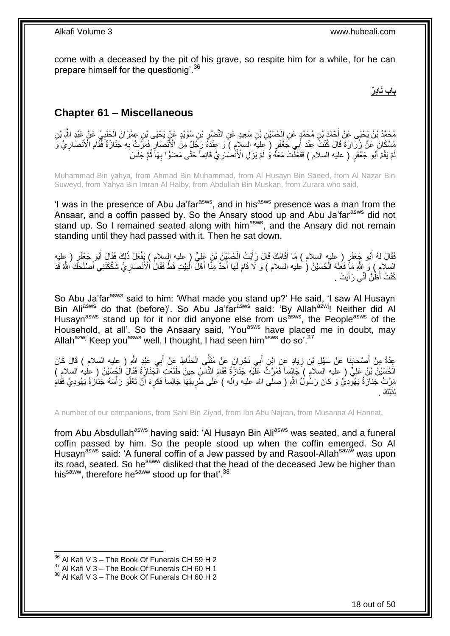come with a deceased by the pit of his grave, so respite him for a while, for he can prepare himself for the questionig'.<sup>36</sup>

**باب َناِدٌر**

## <span id="page-17-0"></span>**Chapter 61 – Miscellaneous**

مُحَمَّدُ بْنُ يَحْيَى عَنْ أَحْمَدَ بْنِ مُحَمَّدٍ عَنِ الْحُسَيْنِ بْنِ سَعِيدٍ عَنِ النَّصْرِ بْنِ سُوَيْدٍ عَنْ يَحْيَى بْنِ عِمْرَانَ الْحَلَبِيِّ عَنْ عَبْدِ الثَّمِ بْنِ<br>مُحَمَّدُ بْنُ يَحْيَى عَنْ أَحْمَدُ بْنِ مُ ِ ْ َ ِ ْ مُسْكَانَ عَنْ زُرِّارَةَ قَالَ كُنْتُ عِنْدَ أَبِي جَعْفَرٍ ( عِليه السلام ) وَ عِنْدَهُ رَجِّيٌ مِنَ الْأَنْصَارِ فَمَرَّتِ بِهِ جَنَازَةٌ فَقَامَ الْأَنْصَارِيُّ وَ ِ ِ ِ اُ مْ يَقُمْ أَبُو جَعْفَرٍ ۚ ( عليه السلام ) فَقَعَذَّتُ مَعَهُ وَ لَمْ يَزَلِ الْأَنْصُارِيُّ قَائِماً حَتَّى مَضَوْا بِهَاَ ثُمَّ جَلَسَ ا<br>المقام ِ **∶** َ لَ

Muhammad Bin yahya, from Ahmad Bin Muhammad, from Al Husayn Bin Saeed, from Al Nazar Bin Suweyd, from Yahya Bin Imran Al Halby, from Abdullah Bin Muskan, from Zurara who said,

'I was in the presence of Abu Ja'far<sup>asws</sup>, and in his<sup>asws</sup> presence was a man from the Ansaar, and a coffin passed by. So the Ansary stood up and Abu Ja'far<sup>asws</sup> did not stand up. So I remained seated along with him<sup>asws</sup>, and the Ansary did not remain standing until they had passed with it. Then he sat down.

ُبو َج ْعَف ُ أ ُبو َج َفَقا ََ ل ْعَف َ لِ َك َفَقا ََ أ َع َُ ذَ ُح َسْي َن ْب َن َعلِ ٍّي علي السالم ( َيفْ ْي ُُ ال ََا َم َك ََا ََ َرأ ٍر علي السالم ( َما أ ٍر علي َ َ ْ َ َ السلامِ ) وَ اللَّهِ مَأٍ فَعَلَهُ الْحُسَيْنُ ( عليه السلام ) وَ لَا قَامَ لَهَا أَحَدٌ مِنَّا أَهْلَّ الْبَيْتِ قَطُّ فَقَالُ الْأَنْصَارِ يُّ شَكَّكْتَنِي أَصْلَحَكَ اللَّهُ قَدْ ْ َ َ ْ َ ِ كُنْتُ أَظُنُّ أَنِّي رَ أَيْتُ ۚ . َ َ

So Abu Ja'far<sup>asws</sup> said to him: 'What made you stand up?' He said, 'I saw Al Husayn Bin Ali<sup>asws</sup> do that (before)'. So Abu Ja'far<sup>asws</sup> said: 'By Allah<sup>azwj</sup>! Neither did Al Husayn<sup>asws</sup> stand up for it nor did anyone else from us<sup>asws</sup>, the People<sup>asws</sup> of the Household, at all'. So the Ansaary said, 'You<sup>asws</sup> have placed me in doubt, may Allah<sup>azwj</sup> Keep you<sup>asws</sup> well. I thought, I had seen him<sup>asws</sup> do so'.<sup>37</sup>

عِدَّةٌ مِنْ أَصْحَابِنَا عَنْ سَهْلِ بْنِ زِيَادٍ عَنِ ابْنِ أَبِي نَجْرَانَ عَنْ مُثَنَّى الْحَنَّاطِ عَنْ أَبِي عَبْدِ اللَّهِ ( عليه السلام ) قَالَ كَانَ<br>\*\*\* **∣** َ ْ **1** َ ِ الْحُسَيْنُ بْنُ عَلِيٍّ ( عليهِ السلامَ ) جَالِساً فَمَرَّتٌ عَلَيْهِ جَنَازَةٌ فَقَامَ النَّاسُ حِينَ طَلَعَتٍ الْجَنَازِةُ فَقَالَ الْجُسَيْنُ ( عليه السلامِ ) ا<br>ا ْ مَرَّتْ جَنَازَةُ يَهُوْدِيٍّ وَ كَانَ رَسُولُ اللَّهِ ( صلى الله عليه وأله ) عَلَى طَرِيقِهَا جَالِساً فَكَرِهَ أَنْ تَعْلُوَ رَأْسَهُ جَنَازَةُ يَهُودِيٍّ فَقَامَ ُ َ ِ **∶ ٔ** لِذَلِكَ .

A number of our companions, from Sahl Bin Ziyad, from Ibn Abu Najran, from Musanna Al Hannat,

from Abu Absdullah<sup>asws</sup> having said: 'Al Husayn Bin Ali<sup>asws</sup> was seated, and a funeral coffin passed by him. So the people stood up when the coffin emerged. So Al Husayn<sup>asws</sup> said: 'A funeral coffin of a Jew passed by and Rasool-Allah<sup>saww</sup> was upon its road, seated. So he<sup>saww</sup> disliked that the head of the deceased Jew be higher than his<sup>saww</sup>, therefore he<sup>saww</sup> stood up for that'.<sup>38</sup>

 $36$  Al Kafi V 3 – The Book Of Funerals CH 59 H 2

 $37$  Al Kafi V 3 – The Book Of Funerals CH 60 H 1

<sup>&</sup>lt;sup>38</sup> Al Kafi V 3 – The Book Of Funerals CH 60 H 2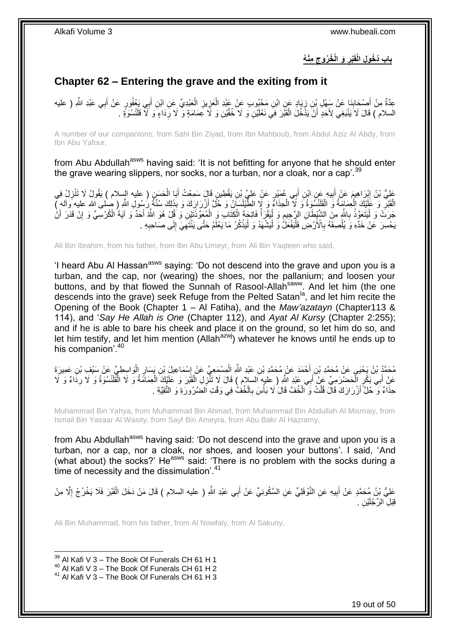### **ِمْن ُه َو الْ ُخ ُروج ْبر باب ُد ُخو ِل الْقَ ِ ِ**

## <span id="page-18-0"></span>**Chapter 62 – Entering the grave and the exiting from it**

عِدَّةٌ مِنْ أَصْحَابِنَا عَنْ سَفْلِ بْنِ زِيَادٍ عَنِ ابْنِ مَحْبُوبٍ عَنْ عَبْدِ الْعَزِيزِ الْعَبْدِيِّ عَنِ ابْنِ أَبِي يَعْفُورٍ عَنْ أَبِي عَبْدِ اللَّهِ ( عليه َ ْ ِ **∶** ْ ِ **ِ** َ السلام ) قَالَ لَا يَنْبَغِي لِأَحَدٍ أَنْ يَذَّخُلُ الْقَبَّرَ فِي نَعْلَيْنِ وَ لَا خُفَّيْنِ وَ لَا خَمَامَةٍ وَ لَا رِّدَاءٍ وَ لَا قَلْنْسُوَّةٍ . **ٍ** ْ َ

A number of our companions, from Sahl Bin Ziyad, from Ibn Mahboub, from Abdul Aziz Al Abdy, from Ibn Abu Yafour,

from Abu Abdullah<sup>asws</sup> having said: 'It is not befitting for anyone that he should enter the grave wearing slippers, nor socks, nor a turban, nor a cloak, nor a cap<sup>'.39</sup>

عَلِيُّ بْنُ إِبْرَاهِيمَ عَنْ أَبِيهِ عَنِ ابْنِ أَبِي عُمَيْرٍ عَنْ عَلِيِّ بْنِ يَقْطِينٍ قَالَ سَمِعْتُ أَبَا الْحَسَنِ ( عليه السلام ) يَقُولُ لَا تَنْزِلْ فِي َ **!**  ِ ِ ْ َ الْقَبْرِ ۚ وَ عَلَيْكَ الْعِمَامَةُ وَ الْقَلْنْسُوَةُ وَ لَا الْحِذَاءُ وَ لَإِ الطُّّنْيِلَسَانُ وَ حُلَّ أَزْرَارَكَ وَ بِذَلِكَ سُنَّةً رَسُولِ اللَّهِ ( صلى الله عليه وآله مِّ اً ْ ْ ْ **ٍ** جَرَتْ وَ لَيْتَعَوَّذْ بِاللَّهِ مِنَ الشَّيْطَانِ الرَّجِيمِ وَ لَيَقْرَأُ فَاتِحَةَ الْكِتَابِ وَ الْمُعَوِّذَتَيْنِ وَ قُلْ هُوَ اللَّهُ أَحَدٌ وَ آيَةَ الْكُرْسِيِّ وَ إِنْ قَدَرَ أَنْ ْ ْ ْ ا<br>ا ِ **∶** ْ ا.<br>إ َ ِ َ يَحْسِرَ عَنْ خَدِّهِ وَ يُلْصِقَهُ بِالْأَرْضِ فَلْيَفْعَلُّ وَ لْيَشْهَدْ وَ لْيَذْكُرْ مَا يَعْلَمُ حَتَّى يَنْتَهِيَ إِلَى صَاحِبِهِ . ْ **∶** ْ ِ ِ ِ **ٔ** :<br>ا :<br>ا

Ali Bin Ibrahim, from his father, from Ibn Abu Umeyr, from Ali Bin Yaqteen who said,

'I heard Abu AI Hassan<sup>asws</sup> saying: 'Do not descend into the grave and upon you is a turban, and the cap, nor (wearing) the shoes, nor the pallanium; and loosen your buttons, and by that flowed the Sunnah of Rasool-Allah<sup>saww</sup>. And let him (the one descends into the grave) seek Refuge from the Pelted Satan<sup>la</sup>, and let him recite the Opening of the Book (Chapter 1 – Al Fatiha), and the *Maw'azatayn* (Chapter113 & 114), and '*Say He Allah is One* (Chapter 112), and *Ayat Al Kursy* (Chapter 2:255); and if he is able to bare his cheek and place it on the ground, so let him do so, and let him testify, and let him mention (Allah $a$ <sup>azwj</sup>) whatever he knows until he ends up to his companion'.<sup>40</sup>

مُحَمَّدُ بْنُ يَحْيَى عَنْ مُحَمَّدِ بْنِ أَحْمَدَ عَنْ مُحَمَّدِ بْنِ عَبْدِ اللَّهِ الْمِسْمَعِيِّ عَنْ إِسْمَاعِيلَ بْنِ يَسَارٍ الْوَاسِطِيِّ عَنْ سَبْفِ بْنِ عَمِيرَةَ  $\frac{1}{2}$ ْ َ ْ عَنْ أَبِي بَكْرٍ الْحَضْرَمِيِّ عَنْ أَبِي عَبْدِ اللَّهِ ( عليه السلام ) قَالَ لَا تَنْزِلِ الْقَنْدَ وَ عَلَيْكَ الْعِمَامَةُ وَ لَا الْقَلَنْسُوَةُ وَ لَا رِدَاءٌ وَ لَا ْ ْ ِ َ ْ َ ِ ْ حِذَاءٌ وَ حُلَّ أَزْرَارَكَ قَالَ قُلْتُ وَ الْخُفَّ قَالَ لَا بَأْسَ بِالْخُفّْ فِي وَقْتِ اَلضَّرُورَةِ وَ التَّقِيَّةِ . ِ **ٔ** ْ َ

Muhammad Bin Yahya, from Muhammad Bin Ahmad, from Muhammad Bin Abdullah Al Mismaiy, from Ismail Bin Yasaar Al Wasity, from Sayf Bin Ameyra, from Abu Bakr Al Hazramy,

from Abu Abdullah<sup>asws</sup> having said: 'Do not descend into the grave and upon you is a turban, nor a cap, nor a cloak, nor shoes, and loosen your buttons'. I said, 'And (what about) the socks?' He<sup>asws</sup> said: 'There is no problem with the socks during a time of necessity and the dissimulation<sup>'.41</sup>

عَلِيُّ بْنُ مُحَمَّدٍ عَنْ أَبِيهِ عَنِ النَّوْفَلِيِّ عَنِ السَّكُونِيِّ عَنْ أَبِي عَبْدِ اللَّهِ ( عليه السلام ) قَالَ مَنْ دَخَلَ الْقَبْرَ فَلَا يَخْرُجْ إِلَّا مِنْ َ ِ ِ ْ قِبَلِ الرِّجْلَيْنِ <sub>.</sub>

Ali Bin Muhammad, from his father, from Al Nowfaly, from Al Sakuny,

 $39$  Al Kafi V 3 – The Book Of Funerals CH 61 H 1

 $40$  Al Kafi V 3 – The Book Of Funerals CH 61 H 2

<sup>41</sup> Al Kafi V 3 – The Book Of Funerals CH 61 H 3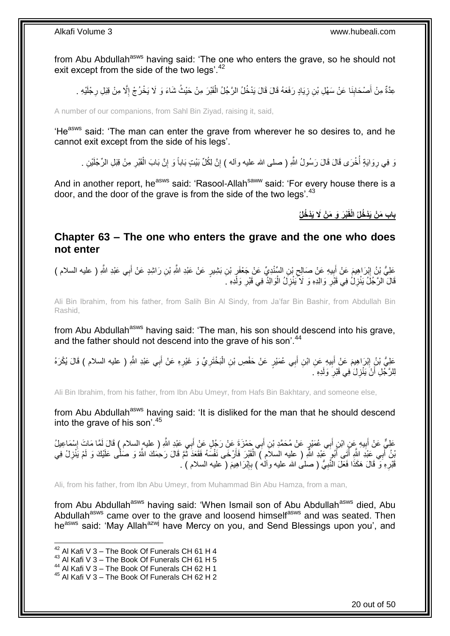from Abu Abdullah<sup>asws</sup> having said: 'The one who enters the grave, so he should not exit except from the side of the two legs'.<sup>42</sup>

عِدَّةٌ مِنْ أَصْحَابِنَا عَنْ سَهْلِ بْنِ زِيَادٍ رَفَعَهُ قَالَ قَالَ يَدْخُلُ الرَّجُلُ الْقَبْرَ مِنْ حَيْثُ شَاءَ وَ لَا يَخْرُجْ إِلَّا مِنْ قِبَلِ رِجْلَيْهِ . ْ ِ **∣** َ ِ ِ

A number of our companions, from Sahl Bin Ziyad, raising it, said,

'He<sup>asws</sup> said: 'The man can enter the grave from wherever he so desires to, and he cannot exit except from the side of his legs'.

َو فِي رِوَايَةٍ أُخْرَى قَالَ قَالَ رَسُولُ اللَّهِ ( صلى الله عليه وآلم ) إِنَّ لِكُلِّ بَيْتٍ بَاباً وَ إِنَّ بَابَ الْقَبْرِ مِنْ قِبَلِ الرِّجْلَيْنِ . ا<br>ا ِ ِ ْ ِ ِ

And in another report, he<sup>asws</sup> said: 'Rasool-Allah<sup>saww</sup> said: 'For every house there is a door, and the door of the grave is from the side of the two legs'.  $43$ 

**ْب َر َو َم ْن ََل َيْد ُخلُ باب َم ْن َيْد ُخلُ الْقَ**

### <span id="page-19-0"></span>**Chapter 63 – The one who enters the grave and the one who does not enter**

َعْلِيُّ بْنُ إِبْرَاهِيمَ عَنْ أَبِيهِ عَنْ صَالِحٍ بْنِ السِّنْدِيِّ عَنْ جَعْفَرٍ بْنِ بَشِيرٍ عَنْ عَبْدِ اللَّهِ بْنِ رَاشِدٍ عَنْ أَبِي عَبْدِ اللَّهِ ( عليه السلام )<br>حَفَّ أَبِي عَبْدِ اللَّهِ ( عليه السلام ) ِ ِ **!** َ ِ َ قَالَ الرَّجُلُ يَنْزِلُ فِي قَبْرِ وَالِدِهِ وَ لَا يَنْزِلُ الْوَالِدُ فِي قَبْرِ وَلَدِهِ ـَ ِ :<br>ا **∶** ِ **∶** 

Ali Bin Ibrahim, from his father, from Salih Bin Al Sindy, from Ja'far Bin Bashir, from Abdullah Bin Rashid,

from Abu Abdullah<sup>asws</sup> having said: 'The man, his son should descend into his grave, and the father should not descend into the grave of his son'.<sup>44</sup>

ْ عَلِيُّ بْنُ إِبْرَاهِيمَ عَنْ أَبِيهِ عَنِ ابْنِ أَبِي عُمَيْرٍ عَنْ حَفْصِ بْنِ الْبَخْتَرِيِّ وَ غَيْرِهِ عَنْ أَبِي عَبْدِ اللَّهِ ( عليه السلام ) قَالَ يُكْرَهُ َ **! ֽוּ** َ **∶** ِ لِلرَّجُلِ أَنْ يَنْزِلَ فِي قَبْرِ وَلَدِهِ َ **∶** ِ اً

Ali Bin Ibrahim, from his father, from Ibn Abu Umeyr, from Hafs Bin Bakhtary, and someone else,

from Abu Abdullah<sup>asws</sup> having said: 'It is disliked for the man that he should descend into the grave of his son'.<sup>45</sup>

عَلِيٌّ عَنْ أَبِيهِ عَنِ ابْنِ أَبِي عُمَيْرٍ عَنْ مُحَمَّدِ بْنِ أَبِي جَمْزَةٍ عَنْ رَجُلٍ عَنْ أَبِي عَبْدِ اللَّهِ ( عليه السلام ) قَالَ لَمَّا مَاتَ إِسْمَاعِيلُ َ َ َ ِ ِ َّبِنُ أَبِي عَيْدِ اللَّهِ أَتَنِي أَبُوٍ كَثِدِ اللَّهِ ( عليه السلاَمِ ) الْقَبْرَ فَأَرْخَى نَفْسَهُ فَقَعَدَ ثَمَّ قَالَ رَحِمَكَ اللَّهُ وَ صَلَّى عَلَيْكَ وَ لَمْ يَنْزِلْ فِي ر<br>د اُ ْ َ ِ قَدْرِهِ وَ قَالَ هَكَذَا فَعَلَ النَّبِيُّ ( صلى الله عليه وآله ) بِإِبْرَاهِيمَ ( عليه السلام ) . ∣اٍ<br>∶ ِ **∶ ∶** 

Ali, from his father, from Ibn Abu Umeyr, from Muhammad Bin Abu Hamza, from a man,

from Abu Abdullah<sup>asws</sup> having said: 'When Ismail son of Abu Abdullah<sup>asws</sup> died, Abu Abdullah<sup>asws</sup> came over to the grave and loosend himselfasws and was seated. Then he<sup>asws</sup> said: 'May Allah<sup>azwj</sup> have Mercy on you, and Send Blessings upon you', and

 $42$  Al Kafi V 3 – The Book Of Funerals CH 61 H 4

 $43$  Al Kafi V 3 – The Book Of Funerals CH 61 H 5

<sup>44</sup> Al Kafi V 3 – The Book Of Funerals CH 62 H 1

<sup>45</sup> Al Kafi V 3 – The Book Of Funerals CH 62 H 2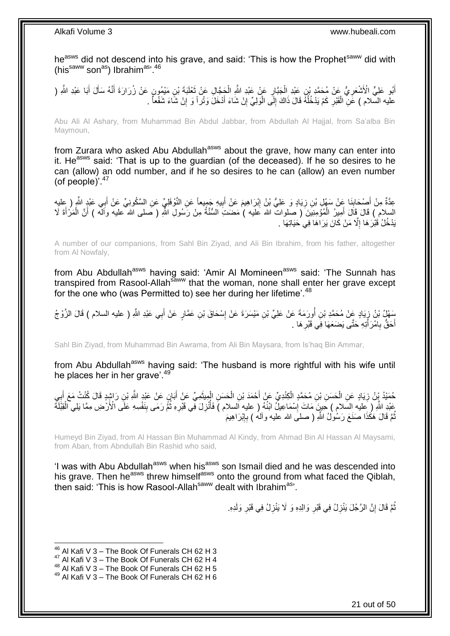he<sup>asws</sup> did not descend into his grave, and said: 'This is how the Prophet<sup>saww</sup> did with (hissaww sonas) Ibrahimas<sup>, 46</sup>

أَبُو عَلِيٍّ الْأَشْعَرِ يُّ عَنْ مُحَمَّدٍ بْنِ عَبْدِ الْجَبَّارِ عَنْ عَبْدِ اللَّهِ الْجَجَّالِ عَنْ ثَعْلَبَةَ بْنِ مَيْمُونٍ عَنْ زُرَارَةَ أَنَّهُ سَأَلَ أَبَا عَبْدِ اللَّهِ ( **∶** َ َ Í َ َ ْ ِ ْ عليه السّلام ) عََنِّ الْقَبْرِ كَمْ يَدْخُلُهُ قَالَ ذَاكَ إِلَى الْوَلِيِّ إِنْ شَاءَ أَدْخَلَ وَنْز اً وَ إِنْ شَاءَ شَفْعاً . ِ ِ ْ ∣l<br>∶ ُ **∶** ْ

Abu Ali Al Ashary, from Muhammad Bin Abdul Jabbar, from Abdullah Al Hajjal, from Sa'alba Bin Maymoun,

from Zurara who asked Abu Abdullah<sup>asws</sup> about the grave, how many can enter into it. He<sup>asws</sup> said: 'That is up to the guardian (of the deceased). If he so desires to he can (allow) an odd number, and if he so desires to he can (allow) an even number (of people)'. $47$ 

عِدَّةٌ مِنْ أَصِحْابِنَا عَنْ سَهْلِ بْنِ زِيَادٍ وَ عَلِيُّ بْنُ إِبْرَاهِيمَ عَنْ أَبِيهِ جَمِيعاً عَنِ النَّوْفَلِيِّ عَنِ السَّكُونِيِّ عَنْ أَبِي عَبْدٍ اللَّهِ ( عِلْبِه ِ َ ِ **∶** ِ َ َ السلام ) قَالَ قَالَ أَمِيرُ الْمُؤْمِنِيَنَ ( صلواتٌ الله عليه ) مَضَىتِ السُّنَّةُ مِنْ رَسُولِ اللَّهِ ( صلى الله عليه واَللَّه ) أَنَّ الْمَرْأَةَ لَا ْ َ َ ْ َ يَدْخُلُ قَبْْرَ هَا إِلَّا مَنْ كَانَ يَرَاهَا فِي حَيَاتِهَا . ِ

A number of our companions, from Sahl Bin Ziyad, and Ali Bin Ibrahim, from his father, altogether from Al Nowfaly,

from Abu Abdullah<sup>asws</sup> having said: 'Amir Al Momineen<sup>asws</sup> said: 'The Sunnah has transpired from Rasool-Allah<sup>saww</sup> that the woman, none shall enter her grave except for the one who (was Permitted to) see her during her lifetime<sup>'.48</sup>

بَعْلٍۢ بْنُ زٍ يَادٍ عَنْ مُحَمَّدِ بْنِ أُورِدَمَةَ عَنْ عَلِيٍّ بْنِ مَيْسَرَةَ عَنْ إِسْحَاقَ بْنِ عَمَّارٍ عَنْ أَبِي عَبْدِ اللَّهِ ( عليه السلام ) قَالَ الزَّوْ جُ َ ِ ُ ِ أَحَقُّ بِامْرَ أَتِهِ حَتَّى يَضَعَهَا فِي قَبْرِ هَا . ِ َ **∶** َ

Sahl Bin Ziyad, from Muhammad Bin Awrama, from Ali Bin Maysara, from Is'haq Bin Ammar,

from Abu Abdullah<sup>asws</sup> having said: 'The husband is more rightful with his wife until he places her in her grave'.<sup>49</sup>

ْ حُمَّئِدُ يِّنُ زِيَادٍ عَنِ الْحَسَنِ بْنِ مُحَمَّدٍ الْكِنْدِيِّ عَنْ أَحْمَدَ بْنِ الْحَسَنِ الْمِيثَمِيِّ عَنْ أَبَإِنٍ عَنْ عَبْدٍ اللَّهِ بْنِ رَاشٍدٍ قَالَ كُنْتُ مَعَ أَبِيِ َ ْ ْ ِ **∶** َ َ َ ْ عَبْدِ اللَّهِ ( عِلْيه السَّلام ) حَلِينَ مَاتَ إِسْمَاعِيلُ ابْنُهُ ( عليه السلام ) فَأُنْزِلَ فَمِي قَبْرِهِ ثُمَّ رَمَى بِنَفْسِهِ عَلَى الْأَرْضِ مِمَّا يَلِي الْقِبْلَةُ ِ ُ **∶** ِ ا<br>ا ِ ْ نُّمَّ قَالَ هَكَذَا صَنَعَ رَسُوْلُ اللَّهِ ( صلـَى الله عليه وآلـهُ ) بِإِبْرَاهِيمَ ِ ِ ُ

Humeyd Bin Ziyad, from Al Hassan Bin Muhammad Al Kindy, from Ahmad Bin Al Hassan Al Maysami, from Aban, from Abndullah Bin Rashid who said,

'I was with Abu Abdullah<sup>asws</sup> when his<sup>asws</sup> son Ismail died and he was descended into his grave. Then he<sup>asws</sup> threw himself<sup>asws</sup> onto the ground from what faced the Qiblah. then said: 'This is how Rasool-Allah<sup>saww</sup> dealt with Ibrahim<sup>as</sup>'.

> نُّمَّ قَالَ إِنَّ الرَّجُلَ يَنْزِلُ فِي قَبْرِ وَالِدِهِ وَ لَا يَنْزِلُ فِي قَبْرِ وَلَدِهِ. ِ ِ ֧<u>׀</u> ُ ِ ِ

 $46$  Al Kafi V 3 – The Book Of Funerals CH 62 H 3

<sup>47</sup> Al Kafi V 3 – The Book Of Funerals CH 62 H 4

<sup>48</sup> Al Kafi V 3 – The Book Of Funerals CH 62 H 5

<sup>49</sup> Al Kafi V 3 – The Book Of Funerals CH 62 H 6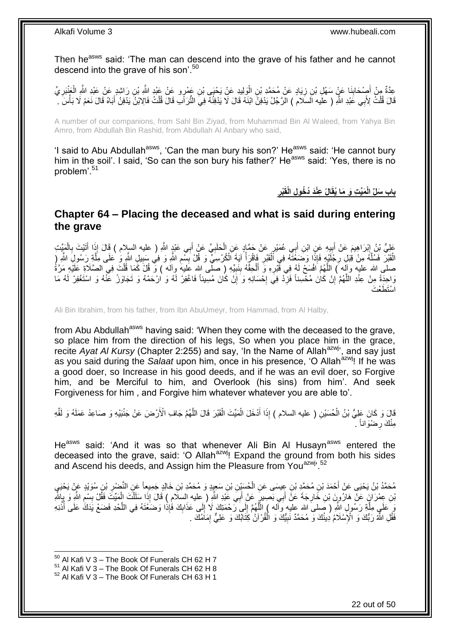Then he<sup>asws</sup> said: 'The man can descend into the grave of his father and he cannot descend into the grave of his son'.<sup>50</sup>

عِدَّةٌ مِنْ أَصِدْحَابِذَا عَنْ سَهْلِ بْنِ زِيَادٍ عَنْ مُحَمَّدِ بْنِ الْوَلِيدِ عَنْ يَحْيَى بْنِ عَمْرٍو عَنْ عَبْدٍ الثَّهِ رَاتِيدٍ عَنْ عَبْدِ الثَّهِ الْعَنْدَرِيِّ<br>حِدَّةٌ مِنْ أَصِدْحَابِذَا عَنْ سَهْلِ بْنِ زِي ْ ِ ِ ِ ْ ْ قَالَ قُلْتُ لِأَبِي عَبْدِ اللّهِ ( علَيه السّلَامُ ) الرَّجُلُ يَدْفِنُ ابْنَهُ قَالَ لَا يَدْفِنُهُ فِيّ النُّرَاّبِ قَالَ قُلْتُ فَالِابْنُ يَدْفِنُ اَبَنَاهُ قَالَ نَعَمْ لَا بَأْسَ ْ َ ْ

A number of our companions, from Sahl Bin Ziyad, from Muhammad Bin Al Waleed, from Yahya Bin Amro, from Abdullah Bin Rashid, from Abdullah Al Anbary who said,

'I said to Abu Abdullah<sup>asws</sup>, 'Can the man bury his son?' He<sup>asws</sup> said: 'He cannot bury him in the soil'. I said, 'So can the son bury his father?' He<sup>asws</sup> said: 'Yes, there is no problem'.<sup>51</sup>

> **ِ ْبر ِعْنَد ُد ُخو ِل الْقَ الُ َمِّي ِت َو َما ُيقَ باب َسلِّ الْ**

### <span id="page-21-0"></span>**Chapter 64 – Placing the deceased and what is said during entering the grave**

عَلِيُّ بْنُ إِبْرَاهِيمَ عَنْ أَبِيهِ عَنِ ابْنِ أَبِي عُمَيْرٍ عَنْ حَمَّادٍ عَنِ الْحَلَبِيِّ عَنْ أَبِي عَبْدٍ اللَّهِ ( عليه السلام ) قَالَ إِذَا أَتَيْتَ بِالْمَيِّتِ ֦֦֦֦֦֦֦֦֦֦֦֦֦֧֦֧֦֧֦֧֦֧֦֚֚֚֚֚֚֚֚֚֚֚֚֚֚֚֚֚֝֟֝֝֝֝֓֝֝֝֝֓֟֓֡֟֓֡֟֓֡֟֓֡֟֟ َ ِ ْ ِ َ ْ ِ َ الْقَبْرَ فَسُلَّهُ مِنْ قِٰبَلِ رِجُلَيْهِ فَإِذَا وَضَغَّتَهُ فِي اَلْقَبْرِ فَاقْرَأْ آيَةَ الْكُرْسِيِّ وَ قُلْ بِسْعِ اللَّهِ وَ فِي سَبِيلِ اللَّهِ وَ حَلَى مِلَّةٍ رَسُولِ اللَّهِ رِ *<u>British</u>* **∶** ْ ِ َّ َّ ِ ِ **!** ْ صلى الله عليه وآله ) اللَّهُمَّ افْسَحْ لَهُ فِي قَْبْرِهِ وَ أَلْحِقْهُ بِنَبِيِّهِ ( صلَّى الله عَليهَ وآله ) وَ قُلْ كَمَا قُلْتَ فِي الصَّلَاةِ عَلَيْهِ مَرَّةً ِ **∣** ْ َ ِ وَاحِدَةً مِنْ عِنْدِ اللَّهُمَّ إِنْ كَانَ مُحْسِناً فَزِّدْ فِيَ إِحْسَانِهِ وَ إِنْ كَانَ مُسِيئاً فَاغْفِرْ لَهُ وَ الرْحَمْهُ وَ تَجَاوَزْ عَنْهُ وَ اسْتَغْفِرْ لَهُ مَا ِ **∶ ∶** ِ َّ طُعْتَ م<br>أست

Ali Bin Ibrahim, from his father, from Ibn AbuUmeyr, from Hammad, from Al Halby,

from Abu Abdullah<sup>asws</sup> having said: 'When they come with the deceased to the grave, so place him from the direction of his legs, So when you place him in the grace, recite *Ayat Al Kursy* (Chapter 2:255) and say, 'In the Name of Allah<sup>azwj</sup>', and say just as you said during the *Salaat* upon him, once in his presence, 'O Allah<sup>azwj</sup>! If he was a good doer, so Increase in his good deeds, and if he was an evil doer, so Forgive him, and be Merciful to him, and Overlook (his sins) from him'. And seek Forgiveness for him , and Forgive him whatever whatever you are able to'.

َّالَ وَ كَانَ عَلِيُّ بْنُ الْحُسَيْنِ ( عليه السلام ) إِذَا أَدْخَلَ الْمَيِّتَ الْقَيْرَ قَالَ اللَّهُمَّ جَافِ الْأَرْضَ عَنْ جَنْبَيْهِ وَ صَاعِدْ عَمَلَهُ وَ لَقِّهِ َّ ْ ْ َ ْ مِنْكَ رِضْوَاناً مُ ِ

He<sup>asws</sup> said: 'And it was so that whenever Ali Bin Al Husayn<sup>asws</sup> entered the deceased into the grave, said: 'O Allah<sup>azwj</sup>! Expand the ground from both his sides and Ascend his deeds, and Assign him the Pleasure from You<sup>azwj, 52</sup>

مُحَمَّدُ بْنُ يَحْيَى عَنْ أَحْمَدَ بْنِ مُحَمَّدِ بْنِ عِِيسَى عَنِ الْحُسَيِّنِ بْنِ سَعِيِدٍ وَ مُحَمَّدِ بْنِ خَطِيعٍ عَنِ النَّصْرِ بْنِ سُوَيْدٍ عَنْ يَحْيَي ِ ْ َّبْنِ عِِمْرَانَ عَنْ هَارُونَ بْنِ خَارِجَةَ عَنْ أَبِي بَصِيرٍ عَنْ أَبِي عََيْدِ الثَّهِ ( عليه السلام ) قَالَ إِذَا سَلَلْتَ الْمَيِّتَ فَقُلْ بِسْمِ اللَّهِ وَ بِإِللَّهِ َ ِ ِ ِ ِ ْ ْ وَ عَلَيٍ مِلَّةٍ رَسُولٍ لِشَّرِ ( صلى الله عليه وآله ) اللَّهُمَّ إِلَي رَحْمَتِكَ لَا إِلَي عَذَابِكَ فَإِذا وَضَعْتَهُ فِي اللَّحْدِ فَضَعْ يَدَكَ عَلَى أُنُذِهِ ِ  $\frac{1}{2}$ ِ َّ َّ َّ فَقُلِ اللَّهُ رَبُّكَ وَ الْإِسْلَامُ دِينُكَ وَ مُحَمَّدٌ نَبِيُّكَ وَ الْقُرْآنُ كِتَابُكَ وَ عَلِيٌّ إِمَامُكَ . ِ ْ **!** 

 $50$  Al Kafi V 3 – The Book Of Funerals CH 62 H 7

 $51$  Al Kafi V 3 – The Book Of Funerals CH 62 H 8

 $52$  Al Kafi V 3 – The Book Of Funerals CH 63 H 1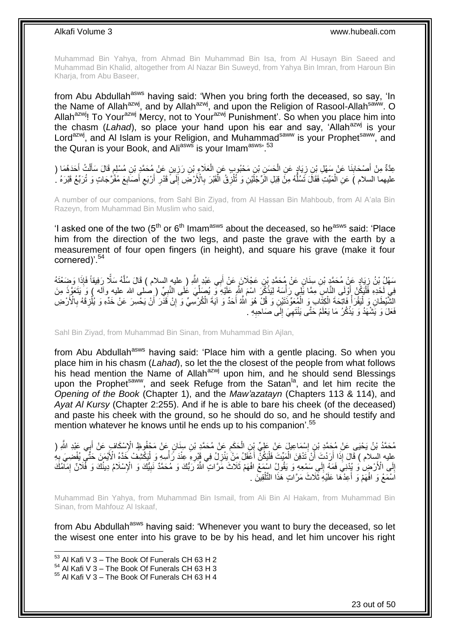Muhammad Bin Yahya, from Ahmad Bin Muhammad Bin Isa, from Al Husayn Bin Saeed and Muhammad Bin Khalid, altogether from Al Nazar Bin Suweyd, from Yahya Bin Imran, from Haroun Bin Kharja, from Abu Baseer,

from Abu Abdullah<sup>asws</sup> having said: 'When you bring forth the deceased, so say, 'In the Name of Allah<sup>azwj</sup>, and by Allah<sup>azwj</sup>, and upon the Religion of Rasool-Allah<sup>saww</sup>. O Allah<sup>azwj</sup>! To Your<sup>azwj</sup> Mercy, not to Your<sup>azwj</sup> Punishment'. So when you place him into the chasm (*Lahad*), so place your hand upon his ear and say, 'Allah<sup>azwj</sup> is your Lord<sup>azwj</sup>, and Al Islam is your Religion, and Muhammad<sup>saww</sup> is your Prophet<sup>saww</sup>, and the Quran is your Book, and Ali<sup>asws</sup> is your Imam<sup>asws, 53</sup>

عِدَّةٌ مِنْ أَصْحَابِنَا عَنْ سَهْلِ بْنِ زِيَادٍ عَنِ الْحَسَنِ بْنِ مَحْبُوبٍ عَنِ الْعَلَاءِ بْنِ رَزِينٍ عَنْ مُحَمَّدٍ بْنِ مُسْلِمٍ قَالَ سَأَلْتُ أَحَدَهُمَا (<br>-ِ ْ ْ **∶ ∣** َ َ ْ َ **ื** عليهما السلام ) عَنِ الْمَيِّتِ فَقَالَ تَسُلُّهُ مِنَّ قِبَلِ الرِّجْلَيْنِ وَ تُنْزِقُ الْقَبْرَ بِالْأَرْضِّ إِلَى قَدْرِ أَرْبَعِ أَصَابِعَ مُفَرَّجَاتٍ وَ تُرَبِّعُ قَبْرَهُ ، ِ ُّ ْ ِ َ اً **∶** ِ **∶** ْ

A number of our companions, from Sahl Bin Ziyad, from Al Hassan Bin Mahboub, from Al A'ala Bin Razeyn, from Muhammad Bin Muslim who said,

'I asked one of the two  $(5<sup>th</sup>$  or  $6<sup>th</sup>$  Imam<sup>asws</sup> about the deceased, so he<sup>asws</sup> said: 'Place him from the direction of the two legs, and paste the grave with the earth by a measurement of four open fingers (in height), and square his grave (make it four cornered)'.<sup>54</sup>

سَهْلُ بْنُ زِيَادٍ عَنْ مُحَمَّدٍ بْنِ سِنَانٍ عَنْ مُحَمَّدٍ بْنِ عَجْلَانَ عَنْ أَبِي عَبْدِ اللَّهِ ( عليه السلام ) قَالَ سُلَّهُ سَلَّا زَفِيقاً فَإِذَا وَضِعْتَهُ ِ َّ ِّ ِّفِي لَحْدِهِ فَلْيَكُنْ إَوْلَى النَّاسِ مِمَّا يَلِّي رَأْسَهُ لِيَذْكُرَ اسْمَ إِلَيّْ عَلَيْهِ وَ يُصَلِّيَ وَاسْلِي الله عليهِ وآله ) وَ يَتَعَوَّذَ مِنَ **ٔ ٔ** ز<br>ا :<br>ا ِ ِ الشَّيْطَانِ وَ لْيَقْرَأْ فَاتِحَةَ الْكِتَّابِ وَ الْمُعَوِّذَتَيْنِ وَ قُلْ هُوَ اللَّهُ أَحَدٌ وَ آيَةَ الْكُرْسِيِّ وَ إِنْ قَذَّرَ أَنْ يَحْسِرَ عَنْ خَدِّهِ وَ يُلْزِقَهُ بِالْأَرْضِ َ ْ ْ ْ :<br>ا **∶** ِ َ فَعَلَ وَ يَشْهَدُ وَ يَذْكُرُ مَا يَعْلَمُ حَتَّى يَنْتَهِيَ إِلَى صَاحِبِهِ . ِ ِ ِ **ٔ** 

Sahl Bin Ziyad, from Muhammad Bin Sinan, from Muhammad Bin Ajlan,

from Abu Abdullah<sup>asws</sup> having said: 'Place him with a gentle placing. So when you place him in his chasm (*Lahad*), so let the the closest of the people from what follows his head mention the Name of Allah<sup>azwj</sup> upon him, and he should send Blessings upon the Prophet<sup>saww</sup>, and seek Refuge from the Satan<sup>la</sup>, and let him recite the *Opening of the Book* (Chapter 1), and the *Maw'azatayn* (Chapters 113 & 114), and *Ayat Al Kursy* (Chapter 2:255). And if he is able to bare his cheek (of the deceased) and paste his cheek with the ground, so he should do so, and he should testify and mention whatever he knows until he ends up to his companion'.<sup>55</sup>

مُحَمَّدُ بْنُ يَحْيَى عَنْ مُحَمَّدِ بْنِ إِسْمَاعِيلَ عَنْ عَلِيٍّ بِنِ الْحَكَمِ عَنْ مُحَمَّدٍ بْنِ سِنَانٍ عَنْ مَحْفُوظٍ الْإِسْكَافِ عَنْ أَبِي عَبْدِ الثَّهِ (<br>مُحَمَّدُ بْنُ يَحْيَى عَنْ أَيُمَهُ عَلَى الْمَسْرَحِ ِ ْ ِ َ عِليه السِّلام ) قَالَ إِذَا أَرَدْتَ أَنْ تَدْفِنَ الْمَيِّتَ فَلْيَكُنَّ أَعْقَلُ مَنْ يَنْزِلُ فِي قَبْرِهِ عِنْدَ رَّأْسِهِ وَ لْيَكْشِفْ خَدَّهُ الْأَيْمَنَ حَتَّى يُفْضِيَ بِهِ َ :<br>إ ْ اً اُ **∶** ْ ِ **∶** ِ إِلَى الْأَرْضِ وَ يُدْنِيَ فَمَهُ إِلَي سَمْعِهِ وَ يَقُولُ اسْمَعْ افْهَمْ ثَلَاثٌ مَّرَّاتٍ اللَّهُ رَبُّكَ وَ مُحَمَّدٌ نَبِيُّكَ وَ الْإِسْلَامُ دِينُكَ وَ فَلَانٌ إِمَاّمُكَ  $\frac{1}{2}$  ِ ِ اَسْمَعْ وَ افْهَمْ وَ أَعِدْهَا عَلَيْهِ ثَلَاثَ مَرَّاتٍ هَذَا التَّلْقِينَ . ْ ا<br>أ

Muhammad Bin Yahya, from Muhammad Bin Ismail, from Ali Bin Al Hakam, from Muhammad Bin Sinan, from Mahfouz Al Iskaaf,

from Abu Abdullah<sup>asws</sup> having said: 'Whenever you want to bury the deceased, so let the wisest one enter into his grave to be by his head, and let him uncover his right

1

23 out of 50

 $53$  Al Kafi V 3 – The Book Of Funerals CH 63 H 2

 $54$  Al Kafi V 3 – The Book Of Funerals CH 63 H 3

<sup>55</sup> Al Kafi V 3 – The Book Of Funerals CH 63 H 4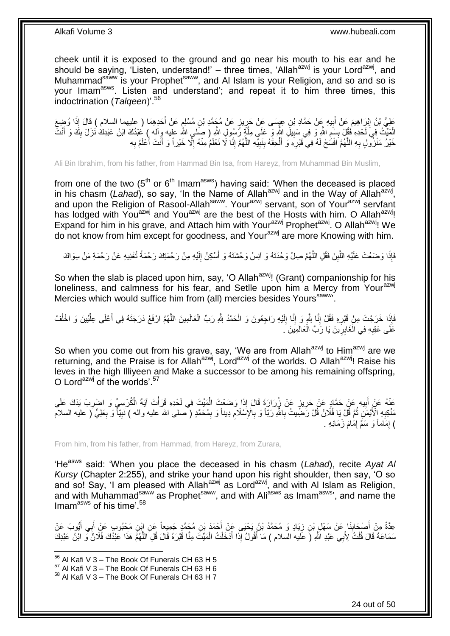cheek until it is exposed to the ground and go near his mouth to his ear and he should be saying, 'Listen, understand!' – three times, 'Allah<sup>azwj</sup> is your Lord<sup>azwj</sup>, and Muhammad<sup>saww</sup> is your Prophet<sup>saww</sup>, and Al Islam is your Religion, and so and so is your Imam<sup>asws</sup>. Listen and understand'; and repeat it to him three times, this indoctrination (*Talqeen*)'.<sup>56</sup>

عَلِيُّ بْنُ إِبْرَاهِيمَ عَنْ أَبِيهِ عَنْ حَمَّادِ بْنِ عِيِسَى عَنْ حَرِيزٍ عَنْ مُجَمَّدِ بْنِ مُسْلِمٍ عَنْ أَخَدِهِمَا ( عليهما السلام ) قَالَ إِذَا وُضِعَ َ ֧֧֖֧֖֧֧֧֧֚֚֚֚֓֝֝֓֝֝֟֓֡֓֓֝֓֝֓֬֝֓ ِ **!** َ ِ الْمَيِّتُ فِيَ لَحْدِهِ فَقُلْ بِسْمِ اللَّهِ وَ فِي سَبِيلِ اللَّهِ وَ عَلَى مِلَّةٍ رَّسُولِ اللَّهِ ( صَلى اللَّه عليه وِاله ) عَبْدُكَ ابْنُ عَبْدِكَ نَزَلَ بِكَ وَ أَنْتَ َّ **!** ِ **ِ** َ ِ ِ خَيْرُ مَنْزُولٍ بِهِ اللَّهُمَّ افْسَٰحْ لَهُ فِي قَبْرِهِ وَ أَلْحِقْهُ بِنَبِيِّهِ اللَّهُمَّ إِنَّا لَا نَعْلَمُ مِنْهُ إِلَّا خَيْراً وَ أَنْتَ أَعْلَمُ بِهِ ِ َّ **! ∣** ْ َ **∶** َّ ِ ِ َ َ

Ali Bin Ibrahim, from his father, from Hammad Bin Isa, from Hareyz, from Muhammad Bin Muslim,

from one of the two  $(5<sup>th</sup>$  or  $6<sup>th</sup>$  Imam<sup>asws</sup>) having said: 'When the deceased is placed in his chasm (Lahad), so say, 'In the Name of Allah<sup>azwj</sup> and in the Way of Allah<sup>azwj</sup>, and upon the Religion of Rasool-Allah<sup>saww</sup>. Your<sup>azwj</sup> servant, son of Your<sup>azwj</sup> servfant has lodged with You<sup>azwj</sup> and You<sup>azwj</sup> are the best of the Hosts with him. O Allah<sup>azwj</sup>! Expand for him in his grave, and Attach him with Your<sup>azwj</sup> Prophet<sup>azwj</sup>. O Allah<sup>azwj</sup>! We do not know from him except for goodness, and Your<sup>azwj</sup> are more Knowing with him.

فَإِذَا وَضَعْتَ عَلَيْهِ اللَّبِنَ فَقُلِ اللَّهُمَّ صِلْ وَحْدَتَهُ وَ آنِسْ وَحْشَتَهُ وَ أَسْكِنْ إِلَيْهِ مِنْ رَحْمَتِكَ رَحْمَةً تُغْنِيهِ عَنْ رَحْمَةِ مَنْ سِوَاكَ لَ ِ َ َّ **∣** َّ

So when the slab is placed upon him, say, 'O Allah<sup>azwj</sup>! (Grant) companionship for his loneliness, and calmness for his fear, and Setlle upon him a Mercy from Your<sup>azwj</sup> Mercies which would suffice him from (all) mercies besides Yours<sup>saww</sup>.

فَإِذَا خَرَجْتَ مِنْ قَبْرِهِ فَقُلْ إِنَّا لِلَّهِ وَ إِنَّا إِلَيْهِ رَاجِعُونَ وَ الْحَمْدُ لِثَّهِ رَبِّ الْعَالَمِينَ اللَّهُمَّ ارْفَعْ دَرَجَتَهُ فِي أَعْلَى عِلَّيْينَ وَ اخْلُفْ َّ ْ ْ لَ  $\frac{1}{2}$ ِ ِ **∶** ُ ِّ َ عَلَى عَقِبِهِ فِي الْغَابِرِينَ يَا رَبَّ الْعَالَمِينَ ۚ. ْ ِ ْ **∶** 

So when you come out from his grave, say, 'We are from Allah<sup>azwj</sup> to Him<sup>azwj</sup> are we returning, and the Praise is for Allah<sup>azwj</sup>, Lord<sup>azwj</sup> of the worlds. O Allah<sup>azwj</sup>! Raise his leves in the high Illiyeen and Make a successor to be among his remaining offspring, O Lord<sup>azwj</sup> of the worlds'.<sup>57</sup>

ْ عَٰذُهُ عَنْ أَبِيهِ عَنْ حَمَّادٍ عَنْ حَرِيزٍ عَنْ زِرَارَةَ قَالَ إِذَا وَضَعْتَ الْمَيِّتَ فِي لَحْدِهِ قَرَأْتَ آيَةَ الْكُرْسِيِّ وَ اضْرِبْ يَذَكَ عَلَى **ٔ** ْ **∶ !** َ ِ مَنْكِبِهِ الْأَيْمَنِ ثُمَّ قُلْ يَا فُلَانُ قُلْ رَّضِّيتُ بِاللَّهِ رَبّاً وَ بِالْإِسْلَامِ دِيناً وَ بِمُحَمَّدٍ ( مسلى الله عليه وآله ) نَبِيّاً وَ بِعَلِيٍّ ( عليه السلام ِ ِ **∶** .<br>• • • • **∶** ِ ِ ِ ) إِمَاماً وَ سَمِّ إِمَامَ زَمَانِهِ . ِ ِ

From him, from his father, from Hammad, from Hareyz, from Zurara,

'He<sup>asws</sup> said: 'When you place the deceased in his chasm (Lahad), recite Ayat Al *Kursy* (Chapter 2:255), and strike your hand upon his right shoulder, then say, 'O so and so! Say, 'I am pleased with Allah<sup>azwj</sup> as Lord<sup>azwj</sup>, and with AI Islam as Religion, and with Muhammad<sup>saww</sup> as Prophet<sup>saww</sup>, and with Ali<sup>asws</sup> as Imam<sup>asws</sup>', and name the Imam<sup>asws</sup> of his time'.<sup>58</sup>

عِدَّةٌ مِنْ أَصْحَابِذَا عَنْ سَهْلِ بْنِ زِيَادٍ وَ مُحَمَّدُ بْنُ يَحْيَى عَنْ أَجْمَدَ بْنِ مُحَمَّدٍ جَمِيعاً عَنِ إِبْنِ مَحْبُوبٍ عَنْ أَبِي أَيُوبَ عَنْ َ **∶ ∣** َ َ َ سَمَاعَةً قَالَ قُلْتُ لِأَبِي عَبْدِ اللَّهِ (َ عَلَيهُ السلام ) مَا أَقُولُ إِذَا أَدْخَلْتُ الْمَيِّتَ مِنَّا قُبْرَهُ قَالَ قُلِ اللَّهُمَّ هَذَا عَبْدُكَ فُلَانٌ وَّ ابْنُ عَبْدِكَ ْ ْ َ َ ْ َّ

<sup>1</sup>  $^{56}$  Al Kafi V 3 – The Book Of Funerals CH 63 H 5

 $57$  Al Kafi V 3 – The Book Of Funerals CH 63 H 6

<sup>58</sup> Al Kafi V 3 – The Book Of Funerals CH 63 H 7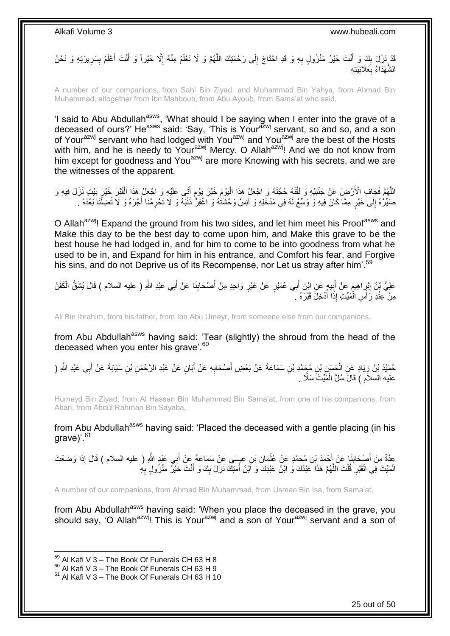قَدْ نَزَلَ بِكَ وَ أَنْتَ خَيْرُ مَنْزُولٍ بِهِ وَ قَدِ احْتَاجَ إِلَى رَحْمَتِكَ اللَّهُمَّ وَ لَا نَعْلَمُ مِنْهُ إِلَّا خَيْراً وَ أَنْتَ أَعْلَمُ بِسَرِيرَتِهِ وَ نَحْنُ ِ َّ ِ ِ َ  $\frac{1}{2}$ ِ ِ َ َ الشَّهَدَاءُ بِعَلَانِيَتِهِ **∶** 

A number of our companions, from Sahl Bin Ziyad, and Muhammad Bin Yahya, from Ahmad Bin Muhammad, altogether from Ibn Mahboub, from Abu Ayoub, from Sama'at who said,

'I said to Abu Abdullah<sup>asws</sup>, 'What should I be saying when I enter into the grave of a deceased of ours?' He<sup>asws</sup> said: 'Say, 'This is Your<sup>azwj</sup> servant, so and so, and a son of Your<sup>azwj</sup> servant who had lodged with You<sup>azwj</sup> and You<sup>azwj</sup> are the best of the Hosts with him, and he is needy to Your<sup>azwj</sup> Mercy. O Allah<sup>azwj</sup>! And we do not know from him except for goodness and You<sup>azwj</sup> are more Knowing with his secrets, and we are the witnesses of the apparent.

اللَّهُمَّ فَجَافِ الْأَرْضَ عَنْ جَنْبَيْهِ وَ لَقَّنْهُ حُجَّنَهُ وَ اجْعَلْ هَذَا الْيَوْمَ خَيْرَ يَوْمِ أَتَى عَلَيْهِ وَ اجْعَلْ هَذَا الْقَيْرَ خَيْرَ بَيْتِ نَزَلَ فِيهِ وَ َ ֧֖֧֚֚֓֝֝֝ :<br>ا ْ صَيِّرُهُ إِلَى خَيْرٍ مِمَّا كَانَ فِيهِ وَ وَسِّعْ لَهُ فِي مَدْخَلِهِ وَ آنِسْ وَحْشَتُهُ وَ اغْفِرٌ ذَنْبَهُ وَ لَا تَحْرِمْنَا أَجْرَهُ وَ لَا تُضِلَّنَا بَعْدَهُ .  $\frac{1}{2}$ َّ َ ِ

O Allah<sup>azwj</sup>! Expand the ground from his two sides, and let him meet his Proof<sup>asws</sup> and Make this day to be the best day to come upon him, and Make this grave to be the best house he had lodged in, and for him to come to be into goodness from what he used to be in, and Expand for him in his entrance, and Comfort his fear, and Forgive his sins, and do not Deprive us of its Recompense, nor Let us stray after him'.<sup>59</sup>

عَلِيُّ بْنُ اِبْرَاهِيمَ عَنْ أَبِيهٍ عَنِ ابْنِ أَبِي عُمَيْرٍ عَنْ غَيْرِ وَاحِدٍ مِنْ أَصْحَابِذَا عَنْ أَبِي عَبْدِ اللَّهِ ( عليه السلام ) قَالَ يُشَقُّ الْكَفَنُ َ **∣** َ ِ ِ َ ِ ْ مِنْ عِنْدِ رَأْسِ الْمَيِّتِ إِذَا أُدْخِلَ قَبْرَهُ كَم :<br>ا ْ

Ali Bin Ibrahim, from his father, from Ibn Abu Umeyr, from someone else from our companions,

from Abu Abdullah<sup>asws</sup> having said: 'Tear (slightly) the shroud from the head of the deceased when you enter his grave'.<sup>60</sup>

حُمَيْدُ بْنُ زِيَادٍ عَنِ الْحَسَنِ بْنِ مُجَمَّدِ بْنِ سَمَاعَةَ عَنْ بَعْضِ أَصْحَابِهِ عَنْ أَبَانٍ عَنْ عَبْدِ الرَّحْمَنِ بْنِ سَيَابَةَ عَنْ أَبِي عَبْدِ الثَّهِ ( ْ **∶** َ َ **∶** َ . َمِّي َُ َسًالً علي السالم ( ََا ََ ُس ََّ ال ْ

Humeyd Bin Ziyad, from Al Hassan Bin Muhammad Bin Sama'at, from one of his companions, from Aban, from Abdul Rahman Bin Sayaba,

from Abu Abdullah<sup>asws</sup> having said: 'Placed the deceased with a gentle placing (in his grave)'.<sup>61</sup>

ِي َعْبِد ََّّللِ ب ِن ِعي َسى َع ْن َس َما َع َة َع ْن أ َما َن ْب ِن ُم َح َّمٍد َع ْن ُعث ْح َمَد ْب َنا َع ْن أ ْص َحاب ِم ْن أ ذا َو َضْع َُ ِعَّدةٌ علي السالم ( ََا ََ إ َ ْ َ ِ َ َ ِ الْمَيِّتَ فِي الْقَبْرِ ۖ قُلْتَ اللَّهُمَّ هَذَا عَبْدُكَ وَ ابْنُ عَبْدِكَ وَ اَبْنُ أَمَتِكَ نَزَلَ بِكَ وَ أَنْتَ خَيْرٌ مَنْزُولٍ بِهِ **ِ** َ َّ ْ **∶** ْ ِ

A number of our companions, from Ahmad Bin Muhammad, from Usman Bin Isa, from Sama'at,

from Abu Abdullah<sup>asws</sup> having said: 'When you place the deceased in the grave, you should say, 'O Allah<sup>azwj</sup>! This is Your<sup>azwj</sup> and a son of Your<sup>azwj</sup> servant and a son of

 $59$  Al Kafi V 3 – The Book Of Funerals CH 63 H 8

 $^{60}$  Al Kafi V 3 – The Book Of Funerals CH 63 H 9

 $61$  Al Kafi V 3 – The Book Of Funerals CH 63 H 10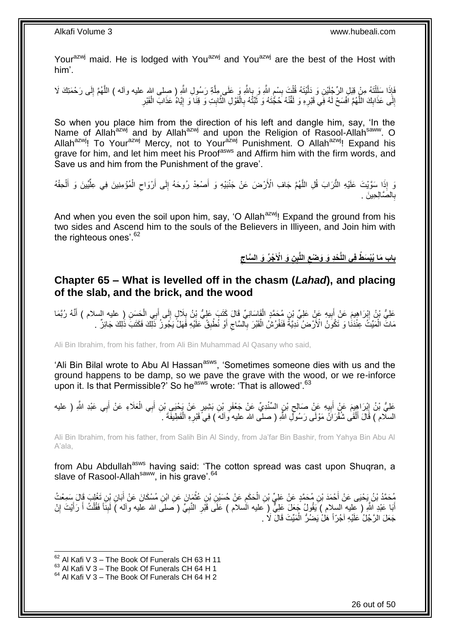Your<sup>azwj</sup> maid. He is lodged with You<sup>azwj</sup> and You<sup>azwj</sup> are the best of the Host with him'.

فَإِذَا سَلَلْنَهُ مِنْ قِيَلِ الرِّجْلَيْنِ وَ دَلَّيْتَهُ قُلْتَ بِسْمِ اللَّهِ وَ بِهاشَّهِ وَ عَلَى عَلَيْهِ اللَّهِ ( صلى الله عليه وأله ) اللَّهُمَّ إِلَى رَحْمَتِكَ لَا َّ ا<br>; ِ **∣** ْ َّ ֦֧֦֦֧֦֧֦֧֦֧֦֧֦֧֦֧֦֧֦֧֦֧֦֧֦֧֦֧֦֧֦֧֦֧֧֧֧֧֪֡֝֟֟֟֟֟֟֟֟֟֟֟֟֟֟֟֟֟֟֟֟֡֟֟֟֟֟֟֟֓֕֬֟֩֕֓֞֟֓֕֟֟֓֡֟֩֕֓֟֩֕֓֟֩֓֟֩֓֝֬֜֝<br>֧ׅ֧ׅ֜֜֞֟׆**֛** ِ َّ َ إِلَى عَذَابِكَ اللَّهُمَّ افْسَحْ لَهُ فِي قَيْرِهِ وَ لَقَّنْهُ حُجَّتَهُ وَ ثَبَّتْهُ بِالْقَوْلِ الثَّابِتِ وَ قِنَا وَ إِيَّاهُ عَذَابَ الْقَبْرِ ِ َّ  $\frac{1}{2}$ יִי<br>; ِ ْ ון<br>≀ ِ ن<br>پيون<br>ا ْ ِ

So when you place him from the direction of his left and dangle him, say, 'In the Name of Allah<sup>azwj</sup> and by Allah<sup>azwj</sup> and upon the Religion of Rasool-Allah<sup>saww</sup>. O Allah<sup>azwj</sup>! To Your<sup>azwj</sup> Mercy, not to Your<sup>azwj</sup> Punishment. O Allah<sup>azwj</sup>! Expand his grave for him, and let him meet his Proof<sup>asws</sup> and Affirm him with the firm words, and Save us and him from the Punishment of the grave'.

وَ إِذَا سَوَّيْتَ عَلَيْهِ النُّرَابَ قُلِ اللَّهُمَّ جَافِ الْأَرْضَ عَنْ جَنْبَيْهِ وَ أَصْعِدْ رُوحَهُ إِلَى أَرْوَاحِ الْمُؤْمِنِينَ فِي عِلَّيِّينَ وَ أَلْحِقْهُ َّ ْ َ ِّ ْ  $\zeta$ َ ِ َ الصَّالِحِينَ . ِ ب

And when you even the soil upon him, say, 'O Allah<sup>azwj</sup>! Expand the ground from his two sides and Ascend him to the souls of the Believers in Illiyeen, and Join him with the righteous ones'.<sup>62</sup>

> **ِ** بِابِ مَا يُبْسَطُ فِى اللَّحْدِ وَ وَصْعِ اللَّبِنِ وَ الْآجُرِّ وَ السَّاجِ **ِ**

### <span id="page-25-0"></span>**Chapter 65 – What is levelled off in the chasm (***Lahad***), and placing of the slab, and the brick, and the wood**

عَلِيُّ بْنُ إِبْرَاهِيمَ عَنْ أَبِيهِ عَنْ غَلِيِّ بْنِ مُحَمَّدٍ الْقَاسَانِيِّ قَالَ كَتَبَ عَلِيُّ بْنُ بِلَالٍ إِلَى أُبِي الْحَسَنِ ( عليه السلام ) أَنَّهُ رُبَّمَا<br>مَلِيُّ بْنُ إِبْرَاهِيمَ عَنْ أَبِيهِ عَنْ ْ َ ِ ِ ْ ِ َ  $\frac{1}{2}$ َ مَاتٌ الْمَيِّتُ عِنْدَنَا وَ تَكُونُ الْأَرْضُ نَدِيَّةً فَنَفْرُشُ الْقَبْرَ بِالسَّاجِ أَوْ نُطْبِقُ خَلَيْهِ فَهَلْ يَجُورُ ذَلِّكَ فَكَتَبَ ذَٰلِكَ جَائِزٌ . َ ِ ِ ْ ْ ِ

Ali Bin Ibrahim, from his father, from Ali Bin Muhammad Al Qasany who said,

'Ali Bin Bilal wrote to Abu Al Hassan<sup>asws</sup>, 'Sometimes someone dies with us and the ground happens to be damp, so we pave the grave with the wood, or we re-inforce upon it. Is that Permissible?' So he<sup>asws</sup> wrote: 'That is allowed'.<sup>63</sup>

عَلِيُّ بْنُ إِبْرَاهِيمَ عَنْ أَبِيهِ عَنْ صَالِحٍ بْنِ السِّنْدِيِّ عَنْ جَعْفَرِ بْنِ بَشِيرٍ عَنْ يَحْيَي بْنِ أَبِي الْعَلَاءِ عَنْ أَبِي عَبْدِ اللَّهِ ( عليه ْ َ ِ ِ ِ َ َ السلّام ) قَالَ أَلْقَىٰ شُقْرَانُ مَوْلَى رَسُولِ اللَّهِ ( صلَّى الله عليه وآلمهَ ) فِي ًقَبْرِهِ الْقَطِيفَةَ فَ ْ **∶** ْ َ

Ali Bin Ibrahim, from his father, from Salih Bin Al Sindy, from Ja'far Bin Bashir, from Yahya Bin Abu Al A'ala,

from Abu Abdullah<sup>asws</sup> having said: 'The cotton spread was cast upon Shuqran, a slave of Rasool-Allah<sup>saww</sup>, in his grave'.<sup>64</sup>

مُحَمَّدُ بْنُ يَحْيَى عَنْ أَحْمَدَ بْنِ مُحَمَّدٍ عَنْ عَلِيٍّ بْنِ الْحَكَمِ عَنْ حُسَيْنِ بْنِ عُثْمَانَ عَنِ ابْنِ مُسْكَانَ عَنْ أَبَانِ بْنِ تَغْلِبَ قَالَ سَمِعْتُ ْ ِ ْ َ أَبَا عَبْدِ اللَّهِ ( عليه السلام ) يَقُولُ جَعَلَ عَلِيٌّ ( عليه الْسلام ) عَلَى قَبْرِ النَّبِيِّ ( صلى الله عليه واله ) لَبِنَا فَقُلْتُ أَ رَأَيْتَ إِنْ ِ ِ ِ َ َ ْ ِ جَعَلَ الرَّجُلُ عَلَيْهِ آجُرِّاً هَلْ يَضُرُّ الْمَيِّتَ قَالَ لَا ۚ ـِ ْ

<sup>1</sup>  $62$  Al Kafi V 3 – The Book Of Funerals CH 63 H 11

 $^{63}$  Al Kafi V 3 – The Book Of Funerals CH 64 H 1

 $64$  Al Kafi V 3 – The Book Of Funerals CH 64 H 2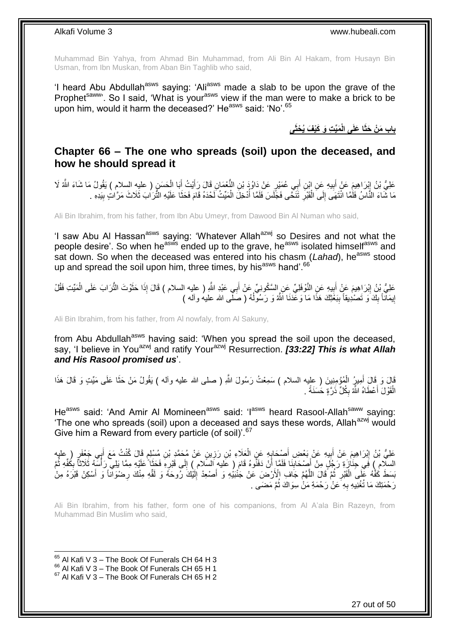Muhammad Bin Yahya, from Ahmad Bin Muhammad, from Ali Bin Al Hakam, from Husayn Bin Usman, from Ibn Muskan, from Aban Bin Taghlib who said,

'I heard Abu Abdullah<sup>asws</sup> saying: 'Ali<sup>asws</sup> made a slab to be upon the grave of the Prophet<sup>saww</sup>. So I said, 'What is your<sup>asws</sup> view if the man were to make a brick to be upon him, would it harm the deceased?' Heastern side: 'No'.<sup>65</sup>

**َمِّي ِت َو َكْي َف ُي ْحثَى ا َعلَى الْ باب َم ْن َحثَ**

### <span id="page-26-0"></span>**Chapter 66 – The one who spreads (soil) upon the deceased, and how he should spread it**

عَلِيُّ بْنُ إِبْرَاهِيمَ عَنْ أَبِيهِ عَنِ إِبْنِ أَبِي عُمَيْرٍ عَنْ دَاوُدَ بْنِ النُّعْمَانِ قَالَ رَأَيْتُ أَبَا الْحَسَنِ ( عليهِ السلام ) يَقُولُ مَا شَاءَ اللَّهُ لَا ْ َ َ َ **!** َ ِ مَا شَاءَ النَّاسُ فَلَمَّا انْتَهَى إِلَى الْقَبْرِ تَنَحَّى فَجَّلَسَ فَلَمَّا أَدْخِلَ الْمَيِّتُ لَحْدَهُ قَامَ فَحَثًا عَلَيْهِ الثَّرَابَ ثَلَاثَ مَرَّاتٍ بِيَدِهِ . ُ ِ ْ  $\frac{1}{2}$ ِ َ ْ

Ali Bin Ibrahim, from his father, from Ibn Abu Umeyr, from Dawood Bin Al Numan who said,

'I saw Abu AI Hassan<sup>asws</sup> saying: 'Whatever Allah<sup>azwj</sup> so Desires and not what the people desire'. So when he<sup>asws</sup> ended up to the grave, he<sup>asws</sup> isolated himself<sup>asws</sup> and sat down. So when the deceased was entered into his chasm (*Lahad*), he<sup>asws</sup> stood up and spread the soil upon him, three times, by his<sup>asws</sup> hand'.<sup>66</sup>

عَلِيُّ بِْنُ إِبْرَاهِيمَ عَنٍْ أَبِيهِ عَنِ النَّوْفَلِيِّ عِن السَّكُونِيِّ عَنْ أَبِي عَبْدِ اللَّهِ ( عليه السلام ) قَالَ إِذَا حَثَّوْتَ النُّرَابَ عَلَى الْمَيِّتِ فَقُلْ **֓**֖֖֖֚֚֚֓֡ َ َ **!** َ ْ إِيمَانَاً بِكَ َو تَصْدِيقاً بِبَعْثِكَ هَذَا مَا وَعَّدَنَا اَللَّهُ وَ رَسُولُهُ ( صَلَّى الله عليهُ وأله ) ُ **∣**  $\frac{1}{2}$ <u>֖֚֚֚֚֚֓</u>

Ali Bin Ibrahim, from his father, from Al nowfaly, from Al Sakuny,

from Abu Abdullah<sup>asws</sup> having said: 'When you spread the soil upon the deceased, say, 'I believe in You<sup>azwj</sup> and ratify Your<sup>azwj</sup> Resurrection. *[33:22] This is what Allah and His Rasool promised us*'.

قَالَ وَ قَالَ أَمِيرُ الْمُؤْمِنِينَ ( عليه السلام ) سَمِعْتُ رَسُولَ اللَّهِ ( صلى الله عليه وأله ) يَقُولُ مَنْ حَثَا عَلَى مَيِّتٍ وَ قَالَ هَذَا َ ْ َ الْقَوْلَ أَعْطَاهُ اللَّهُ بِكُلِّ ذَرَّةٍ حَسَنَةً . ِ َ ْ

He<sup>asws</sup> said: 'And Amir Al Momineen<sup>asws</sup> said: 'I<sup>asws</sup> heard Rasool-Allah<sup>saww</sup> saying: 'The one who spreads (soil) upon a deceased and says these words, Allah<sup>azwj</sup> would Give him a Reward from every particle (of soil)<sup>'.67</sup>

عَلِيُّ بْنُ إِبْرَاهِيمَ عَنْ أَبِيهِ عَنْ بَعْضِ أَصْحَابِهِ عَنِ الْعَلَاءِ بْنِ رَزِينٍ عَنْ مُحَمَّدِ بْنِ مُسْلِمٍ قَالَ كُنْتُ مَعَ أَبِي جَعْفَرٍ ( عليه ْ **∶** َ  $\frac{1}{2}$ َ ِ َ ٍ ِ السلام ) فَي جِنَازَةِ رَجُلٍ مِنْ أَصِنْحَابِنَا فَلَمَّا أَنْ دَفَنُوهُ قَامَ ( عَليهِ السّلام ) إِلَى قَبْرِهِ فَحَثَا عَلَيْهِ مِمَّا يَلِي رَأْسَهُ ثَلَاثًا بِكُفّهِ ثُمَّ َ ِ ِ َ ِ ُ ِ ا<br>أ بَسَطَ كُفَّهُ عَلَى الْقَبْرِ ثُمَّ قَالَ اللَّهُمَّ جَافِ الْأَرْضَ عَنْ جَنْبَيُٰهِ وَ أَصْعِدْ إِلَيْكَ رَوحَهُ وَ لَقَّهِ مِنْكَ رِضنُوآناً وَ أَسْكِنْ قَبْرَهُ مِنْ لَ ِ َ َّ .<br>• • • • ِ ْ َ ِ رَحْمَتِكَ مَا تُغْنِيهِ بِهِ ۖ عَنْ رَحْمَةِ مَنْ سِوَاكَ ثُمَّ مَضَى ۚ . ُ **∶** 

Ali Bin Ibrahim, from his father, form one of his companions, from Al A'ala Bin Razeyn, from Muhammad Bin Muslim who said,

 $65$  Al Kafi V 3 – The Book Of Funerals CH 64 H 3

 $^{66}$  Al Kafi V 3 – The Book Of Funerals CH 65 H 1

 $67$  Al Kafi V 3 – The Book Of Funerals CH 65 H 2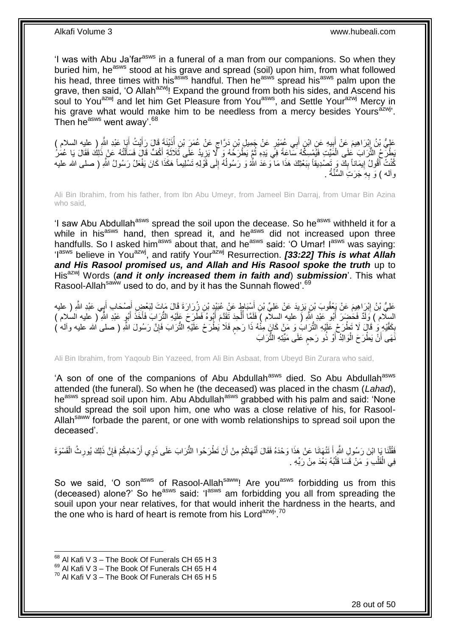'I was with Abu Ja'far<sup>asws</sup> in a funeral of a man from our companions. So when they buried him, he<sup>asws</sup> stood at his grave and spread (soil) upon him, from what followed his head, three times with his<sup>asws</sup> handful. Then he<sup>asws</sup> spread his<sup>asws</sup> palm upon the grave, then said, 'O Allah<sup>azwj</sup>! Expand the ground from both his sides, and Ascend his soul to You<sup>azwj</sup> and let him Get Pleasure from You<sup>asws</sup>, and Settle Your<sup>azwj</sup> Mercy in his grave what would make him to be needless from a mercy besides Yours<sup> $\frac{a}{b}$ </sup>. Then he<sup>asws</sup> went away'.<sup>68</sup>

عَلِيُّ بْنُ إِبْرَاهِيمَ عَنْ أَبِيهِ عَنِ ابْنِ أَبِي عُمَيْرٍ عَنْ جَمِيلٍ بْنِ دَرَّاجٍ عَنْ عُمَرَ بْنِ أُذَيْنَةَ قَالَ رَأَيْتُ أَبَا عَبْدِ اللَّهِ ( عليه السلام ) ا<br>ا ٍ َ **!** َ ِ َ َ َطِنٍّحُ الثُّرَابَ ۚ عَلَى الْمََيِّتِ فَيُمْسِكُهُ سَاعَةً فِي يَدِهِ ثُمَّ يَطْرَحُهُ وَ ۗ لَا يَزِيدُ عَلَى ثَلاثَةِ أَكُفٍّ قَالَ فَسَأَلْتُهُ عَنْ ذَلِكَ فَقَالَ يَا عُمَٰنُ َ َ ; ُ ْ ْ ĺ كُنْتُ أَقُولُ إِيمَاناً بِكَ وَ تَصْدِيقاً بِبَعْثِكَ هَذَا مَا ۖوَعَدَ اللّهُ وَ رَسُولُهُ إِلَى قَوْلِهِ تَسْلِيماً هَكَذَا كَانَ يَفْعَلُ رَسُولُ اللّهِ ( صلى الله عليه ِ ِ َ ِ ُ **∣** . وأله ) وَ بِهِ جَرَتِ السُّنَّةُ **∶** 

Ali Bin Ibrahim, from his father, from Ibn Abu Umeyr, from Jameel Bin Darraj, from Umar Bin Azina who said,

'I saw Abu Abdullah<sup>asws</sup> spread the soil upon the decease. So he<sup>asws</sup> withheld it for a while in his<sup>asws</sup> hand, then spread it, and he<sup>asws</sup> did not increased upon three handfulls. So I asked him<sup>asws</sup> about that, and he<sup>asws</sup> said: 'O Umar! I<sup>asws</sup> was saying: 'I<sup>asws</sup> believe in You<sup>azwj</sup>, and ratify Your<sup>azwj</sup> Resurrection. *[33:22] This is what Allah* and His Rasool promised us, and Allah and His Rasool spoke the truth up to His<sup>azwj</sup> Words (and it only increased them in faith and) submission<sup>'</sup>. This what Rasool-Allah<sup>saww</sup> used to do, and by it has the Sunnah flowed'.<sup>69</sup>

عَلِيُّ بْنُ إِبْرَاهِيمَ عَنْ يَعْقُوبَ بْنِ يَزِيدَ عَنْ عَلِيِّ بْنِ أَسْنِبَاطٍ عَنْ عُبَيْدٍ بْنِ زُِرَارَةَ قَالَ مَاتَ لِبَعْضِ أَصِدْحَابِ أَبِي عَبْدِ اللَّهِ ( عليه َ **∶** ِ َ َ السِلَّام ) وَلَدٌ فَحَضِرَ أَبُو عَبْدِ إِللَّهِ ( عليه السلام ) فَلَمَّا أُلْحِدَ ثَقَدَّمَ أَبُوهُ فَطَرَحَ عَلَيْهِ النُّرَابَ فَأَخَذَ أَبُو عَبْدِ اللَّهِ ( عليه السلام ) َ َ َ ْ ا<br>ا َ بِكَفَّدِهِ وَ ْ قَالَ لَا تَطْرَحْ عَلَيْهِ النُّرَابُ وَ مَنْ كَانَ مِنْهُ ذَا رَحِم فَلَا يُطْرَحْ عَلَيْهِ النُّرَابَ فَإِنَّ رَسُولَ اللَّهِ ( صلى الله عليه وآلم ) ֧֧֧֖֧֧֧֧֦֧֧֧֚֓֝֬֝֝֓֝֬֟֓֟֓֓֝֓֝֬֝֓֝֓֟֓֟֓֝֬ ِ ِ َنَّهَى أَنَّ يَطْرَحَ الْوَالِّذُ أَوْ ذُو رَحِم عَلَى مَيِّتِهِ الثُّرَابَ ٍ َ ْ اً

Ali Bin Ibrahim, from Yaqoub Bin Yazeed, from Ali Bin Asbaat, from Ubeyd Bin Zurara who said,

'A son of one of the companions of Abu Abdullah<sup>asws</sup> died. So Abu Abdullah<sup>asws</sup> attended (the funeral). So when he (the deceased) was placed in the chasm (*Lahad*), he<sup>asws</sup> spread soil upon him. Abu Abdullah<sup>asws</sup> grabbed with his palm and said: 'None should spread the soil upon him, one who was a close relative of his, for Rasool-Allah<sup>saww</sup> forbade the parent, or one with womb relationships to spread soil upon the deceased'.

فَقُٰلْنَا بَإِ ابْنَ رَسُولِ النَّهِ أَ تَنْهَانَا عَنْ هَذَا وَحْدَهُ فَقَالَ أَنْهَاكُمْ مِنْ أَنْ تَطْرَحُوا النُّرَابَ عَلَى ذَوِي أَرْحَامِكُمْ فَإِنَّ ذَلِكَ يُورِثُ الْقَسْوَةَ َ َ ْ ْ ِ ِ َ فِي الْقَلْبِ وَ مَنْ قَسَا قَلْبُهُ بَعُدَ مِنْ رَبِّهِ . ْ ْ ْ

So we said, 'O son<sup>asws</sup> of Rasool-Allah<sup>saww</sup>! Are you<sup>asws</sup> forbidding us from this (deceased) alone?' So he<sup>asws</sup> said: ' $I^{asws}$  am forbidding you all from spreading the souil upon your near relatives, for that would inherit the hardness in the hearts, and the one who is hard of heart is remote from his Lord<sup>azwj, 70</sup>

 $68$  Al Kafi V 3 – The Book Of Funerals CH 65 H 3

 $^{69}$  Al Kafi V 3 – The Book Of Funerals CH 65 H 4

 $70$  Al Kafi V 3 – The Book Of Funerals CH 65 H 5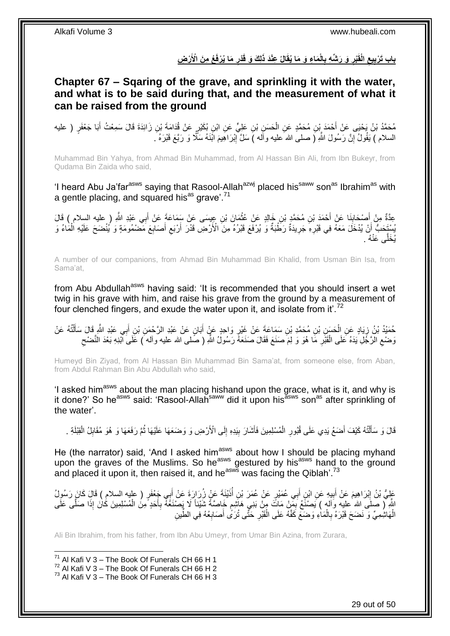باب تَرْبِيعِ الْقَبْرِ وَ رَشْهِ بِالْمَاءِ وَ مَا يُقَالُ عِنْدَ ذَلِكَ وَ قَدْرِ مَا يُرْفَعُ مِنَ الْأَرْضِ **ِ ِ ِ ِ ِ**

<span id="page-28-0"></span>**Chapter 67 – Sqaring of the grave, and sprinkling it with the water, and what is to be said during that, and the measurement of what it can be raised from the ground**

مُحَمَّدُ بْنُ يَحْيَى عَنْ أَحْمَدَ بِْنِ مُحَمَّدٍ عَنِ الْحَسَنِ بْنِ عَلِيٍّ عَنِ ابْنِ بُكَيْرٍ عَنْ قُدَامَةَ بْنِ زَائِدَةَ قَالَ سَمِعْتُ أَبَا جَعْفَرٍ ( عليه ْ َ السلام ) يَقُولُ إِنَّ رَسُولَ اللَّهِ ( صلى الله عليه وآله ) سَلَّ إِبْرَ اهِيمَ اَبْنَهُ سَكَّرٌ وَ رَبَّعَ قَبْرَهُ . ا ِ

Muhammad Bin Yahya, from Ahmad Bin Muhammad, from Al Hassan Bin Ali, from Ibn Bukeyr, from Qudama Bin Zaida who said,

'I heard Abu Ja'far<sup>asws</sup> saying that Rasool-Allah<sup>azwj</sup> placed his<sup>saww</sup> son<sup>as</sup> Ibrahim<sup>as</sup> with a gentle placing, and squared his<sup>as</sup> grave'.<sup>71</sup>

عِدَّةٌ مِنْ أَصْحَابِذَا عَنْ أَحْمَدَ بْنِ مُحَمَّدٍ بْنِ خَالِدٍ عَنْ عُثْمَانَ بْنِ عِيسَى عَنْ سَمَاعَةً عَنْ أَبِي عَبْدِ اللَّهِ ( عليه السلام ) قَالَ<br>حَدَّةٌ مِنْ أَصِدُهِ بِنَا عَنْ أَحْمَدَ بْنِ مُحَمَّدٍ بْنِ خَ َ **ٔ** َ ِ َ يُسْتَخِبُّ أَنْ يُدْخَلَ مَعَهُ فِي قَبْرِهِ جَرِيدَةٌ رَطَّبَةٌ وَ يُرْفَعَ قَبْرُهُ مِنَ الْأَرْضِ قَدْرَ أَرْبَع أَصَابِعَ مَضْمُومَةٍ وَ يُنْضَحَ عَلَيْهِ الْمَاءُ وَ **∶** ْ ِ َ  $\zeta$ َ **∶** . ُ َّى َعنْ ُي َخل

A number of our companions, from Ahmad Bin Muhammad Bin Khalid, from Usman Bin Isa, from Sama'at,

from Abu Abdullah<sup>asws</sup> having said: 'It is recommended that you should insert a wet twig in his grave with him, and raise his grave from the ground by a measurement of four clenched fingers, and exude the water upon it, and isolate from it'.<sup>72</sup>

حُمَيْدُ بْنُ زِيَادٍ عَنِ الْحَسَنِ بْنِ مُحَمَّدِ بْنِ سَمَاعَةَ عَنْ غَيْرٍ وَاحِدٍ عَنٍْ أَبَانٍ عَنْ عَبْدِ الرَّحْمَنِ بْنِ أَبِي عَبْدِ الثَّهِ قَالَ سَأَلْتُهُ عَنْ ֦֧֦ َ َ ِ ْ َ وَضْعِ الرَّجُلِ يَدَهُ عَلَى الْقَبْرِ مَا هُوَ وَ لِمَ صَنَعَ فَقَالَ صَنَعَهُ رَسُولُ اللَّهِ ( صَلى الله عليه وآله َ) عَلَى أَبْنِهِ بَعْدَ النَّضْحِ **∶** ْ  $\zeta$ ِ

Humeyd Bin Ziyad, from Al Hassan Bin Muhammad Bin Sama'at, from someone else, from Aban, from Abdul Rahman Bin Abu Abdullah who said,

'I asked him<sup>asws</sup> about the man placing hishand upon the grace, what is it, and why is it done?' So he<sup>asws</sup> said: 'Rasool-Allah<sup>saww</sup> did it upon his<sup>asws</sup> son<sup>as</sup> after sprinkling of the water'.

قَالَ وَ سَأَلْتُهُ كَيْفَ أَصَعُ يَدِي عَلَى قُبُورِ الْمُسْلِمِينَ فَأَشَارَ بِيَدِهِ إِلَى الْأَرْضِ وَ وَضَعَهَا عَلَيْهَا ثُمَّ رَفَعَهَا وَ هُوَ مُقَابِلُ الْقِبْلَةِ . ِ **!** َ ْ ِ َ ֦֖֖֦֖֦֪֦֧֦֦֦֖֦֦֖֦֧֦֪֦֦֧֦֪֦֪֦֪֦֧֦֪֦֧֦֪֦֧֦֧֦֪֦֧֦֧֦֪֦֧֦֧֪֦֧֦֧֦֧֦֟֟֟֟֟֟֟֟֟֟֟֟֟֟֟֟֟֟֟֟֟֟֟֟֟֟֟֟֟֟֟֟֟֟֟֟֟֟֟֩֕֟֟֟֟֟֟֟֟֟ ُ ْ ِ

He (the narrator) said, 'And I asked him<sup>asws</sup> about how I should be placing myhand upon the graves of the Muslims. So he<sup>asws</sup> gestured by his<sup>asws</sup> hand to the ground and placed it upon it, then raised it, and he<sup>asws</sup> was facing the Qiblah'.<sup>73</sup>

عَلِيُّ بْنُ إِبْرَاهِيمَ عَنْ أَبِيهِ عَنِ ابْنِ أَبِي عُمَيْرٍ عَنْ عُمَرَ بْنِ أَنَيْنَةَ عَنْ زُِرَارَةَ عَنْ أَبِي جَعْفَرٍ ( عليه السلام ) قَالَ كَانَ رَسُولُ َ ُ َ **!** َ اللَّهِ لِ صلَى الله عليه وَاله ) يَصنَعُ بَمِنْ مَاتَ مِنْ بَنِي هَاشِمٍ خَاصَّةً شَيْئاً لَا يَصنْغَهُ بِأَحَدٍ مِنَ الْمُسْلِمِينَ كَانَ إِذَا صَلَّى عَلَى ֧֖֖֖֧֖֧֧֧֧֧֧֧֧֧֧֧֚֚֚֚֓֝֝֝֝֟֓֟֓֝֬֝֓֝֬֟֓֟֓֬֝֓֟֓֟֓֝֬֝֓֝֓֟֓֝֬֝֬֝֓֝֬֝֓֝֬ ِ ْ َ ِ الْهَاشِٰمِيِّ وَ نَضَحَ قَبْرَهُ بِالْمَاٰءِ وَضَعَ كَفَّهُ عَلَى الْقَبْرِ حَتَّى تُرَىُّ أَصَابِعُهُ فِي الطِّينِ **∶** َ ِ ْ ْ **∶** ْ

Ali Bin Ibrahim, from his father, from Ibn Abu Umeyr, from Umar Bin Azina, from Zurara,

 $71$  Al Kafi V 3 – The Book Of Funerals CH 66 H 1

 $72$  Al Kafi V 3 – The Book Of Funerals CH 66 H 2

 $^{73}$  Al Kafi V 3 – The Book Of Funerals CH 66 H 3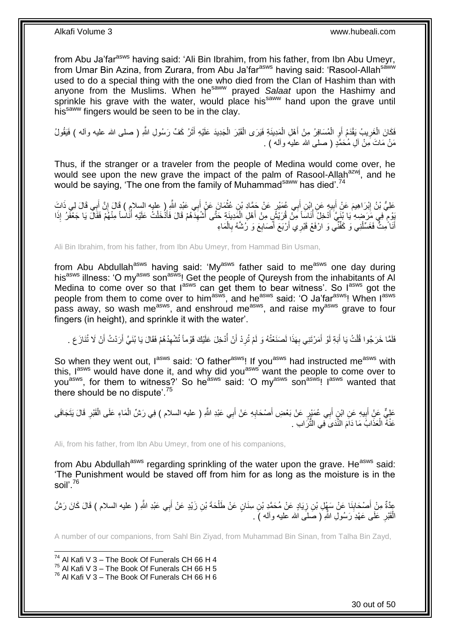from Abu Ja'far<sup>asws</sup> having said: 'Ali Bin Ibrahim, from his father, from Ibn Abu Umeyr, from Umar Bin Azina, from Zurara, from Abu Ja'far<sup>asws</sup> having said: 'Rasool-Allah<sup>saww</sup> used to do a special thing with the one who died from the Clan of Hashim than with anyone from the Muslims. When he<sup>saww</sup> prayed Salaat upon the Hashimy and sprinkle his grave with the water, would place his<sup>saww</sup> hand upon the grave until his<sup>saww</sup> fingers would be seen to be in the clay.

فَكَانَ الْغَرِيبُ يَقْدَمُ أَوِ الْمُسَافِرُ مِنْ أَهْلِ الْمَدِينَةِ فَيَرَى الْقَبْرَ الْجَدِيدَ عَلَيْهِ أَثَرُ كَفّ رَسُولِ اللّهِ ( صلى الله عليه وأله ) فَيَقُولُ َ َ ْ ْ ْ َ ْ ِ ِ مَنْ مَاتَ مِنْ أَلِ مُحَمَّدٍ ( صلى الله عليه وأله ) .

Thus, if the stranger or a traveler from the people of Medina would come over, he would see upon the new grave the impact of the palm of Rasool-Allahazwj, and he would be saying, 'The one from the family of Muhammad<sup>saww</sup> has died'.<sup>74</sup>

ِ عَلِيُّ بْنُ إِبْرَاهِيمَ عَنْ أَبِيهِ عَنِ إِبْنِ أَبِي عُمَيْرٍ عَنْ جَمَّادِ بْنِ عُثْمَانَ عَنْ أَبِي عَبْدِ النَّهِ ( عليه السلام ) قَالَ إِنَّ أَبِي قَالَ لِي ذَاتَ َ **!** َ ِ َ ِ **ٔ** ْ يُوْمٍ فِي مَرَحْبِهِ يَا بُنَيِّ أَدْخِلُ أَنَاسِاً مِنْ قُرَيْشٍ مِنْ أَهْلِ الْمَدِينَةِ حَتَّى أَشْهَدَهُمْ قَالَ فَأَذْخَلْتُ عَلَيْهِ أَنَاساً مِنْهُمْ فَقَالَ يَا جَعْفَرُ إِذَا َ ِ ُ ْ َ ُ َ ڔ ا<br>ا أَنَا َمِتٌّ فَغَسِّلْنِي وَ كَفِّنَّي وَ ارْفَعْ قَبْرِي أَرْبَعَ أَصَابِعَ وَ رُشَّهُ بِالْمَاءِ ْ ِ ِ َ ْ َ

Ali Bin Ibrahim, from his father, from Ibn Abu Umeyr, from Hammad Bin Usman,

from Abu Abdullah<sup>asws</sup> having said: 'My<sup>asws</sup> father said to me<sup>asws</sup> one day during his<sup>asws</sup> illness: 'O my<sup>asws</sup> son<sup>asws</sup>! Get the people of Qureysh from the inhabitants of Al Medina to come over so that  $I^{asws}$  can get them to bear witness'. So  $I^{asws}$  got the people from them to come over to him<sup>asws</sup>, and he<sup>asws</sup> said: 'O Ja'far<sup>asws</sup>! When l<sup>asws</sup> pass away, so wash me<sup>asws</sup>, and enshroud me<sup>asws</sup>, and raise my<sup>asws</sup> grave to four fingers (in height), and sprinkle it with the water'.

ِ فَلَمَّا خَرَجُوا قُلْتُ يَا أَبَةِ لَوْ أَمَرْتَنِي بِهَذَا لَصَنَعْتُهُ وَ لَمْ تُرِدْ أَنْ أَدْخِلَ عَلَيْكَ قَوْماً تُشْهِدُهُمْ فَقَالَ يَا بُنَيَّ أَرَدْتُ أَنْ لَا تُنَازَ عَ . ُ **∶** ِ َ َ ْ َ َ

So when they went out, lasws said: 'O father<sup>asws</sup>! If you<sup>asws</sup> had instructed me<sup>asws</sup> with this, I<sup>asws</sup> would have done it, and why did you<sup>asws</sup> want the people to come over to you<sup>asws</sup>, for them to witness?' So he<sup>asws</sup> said: 'O my<sup>asws</sup> son<sup>asws</sup>! I<sup>asws</sup> wanted that there should be no dispute<sup>'.75</sup>

عَلِيٌّ عَنِْ أَبِيهِ عَنِ ابْنِ أَبِي عُمَيْرٍ عَنْ بَعْضِ أَصْحَابِهِ عَنْ أَبِي عَبْدِ اللَّهِ ( عليه السلام ) فِي رَشِّ الْمَاءِ عَلَى الْقَبْرِ قَالَ يَتَجَافَى َ **∣** ِ ْ ْ َ **∶** َ عَنْهُ الْعَذَابُ مَا دَاَمَ النَّذَىَ فِي النُّزَالبِ . ْ

Ali, from his father, from Ibn Abu Umeyr, from one of his companions,

from Abu Abdullah<sup>asws</sup> regarding sprinkling of the water upon the grave. He<sup>asws</sup> said: 'The Punishment would be staved off from him for as long as the moisture is in the soil'.<sup>76</sup>

ْ عِدَّةٌ مِنْ أَصْحَابِنَا عَنْ سَهْلِ بْنِ زِيَادٍ عَنْ مُحَمَّدٍ بْنِ سِنَانٍ عَنْ طَلْحَةَ بْنِ زَيْدٍ عَنْ أَبِي عَبْدِ اللَّهِ ( عليه السلام ) قَالَ كَانَ رَشُّ ِ ِ َ َ الْقَبْرِ عَلَى عَهْدِ رَسُولِ اللَّهِ ( صَلَى الله عليه وأله ) . **∶** ْ

A number of our companions, from Sahl Bin Ziyad, from Muhammad Bin Sinan, from Talha Bin Zayd,

1  $74$  Al Kafi V 3 – The Book Of Funerals CH 66 H 4

 $^{75}$  Al Kafi V 3 – The Book Of Funerals CH 66 H 5

 $76$  Al Kafi V 3 – The Book Of Funerals CH 66 H 6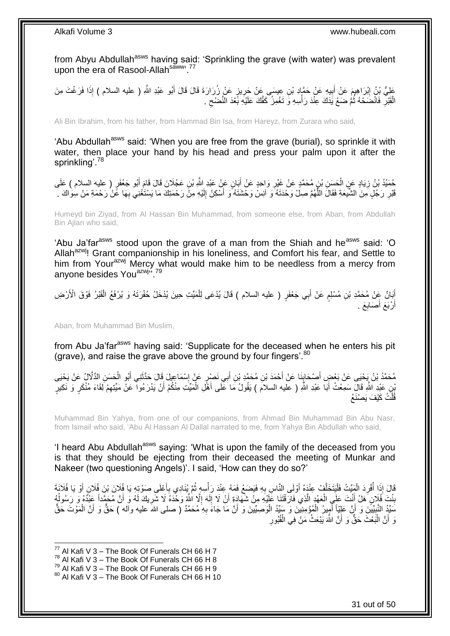from Abyu Abdullah<sup>asws</sup> having said: 'Sprinkling the grave (with water) was prevalent upon the era of Rasool-Allah<sup>saww</sup>.<sup>77</sup>

عَلِيُّ بْنُ إِبْرَاهِيمَ عَنْ أَبِيهِ عَنْ حَمَّإِدِ بْنِ عِيسَى عَنْ جَرِيزٍ عَنْ زُرَارَةَ قَالَ قَالَ أَبُو عَبْدِ اللَّهِ ( عليه السلام ) إِذَا فَرَغْتَ مِنَ َ **∶ !** َ ِ الْقَبْلِ فَانْضَحْهُ ثُمَّ ضَعْ يَدَكَ عِنْدَ رَأْسِهِ وَ تَغْمِزُ كَفَّكَ عَلَيْهِ بَّعْدَ النَّصْحِ .  $\zeta$ **ٔ** ُ **∶** ْ

Ali Bin Ibrahim, from his father, from Hammad Bin Isa, from Hareyz, from Zurara who said,

'Abu Abdullah<sup>asws</sup> said: 'When you are free from the grave (burial), so sprinkle it with water, then place your hand by his head and press your palm upon it after the sprinkling'.<sup>78</sup>

َمَنِّدُ بْنُ زِيَادٍ عَنِ الْحَسَنِ بْنِ مُحَمَّدٍ عَنْ غَيْرِ وَاحِدٍ عَنْ أَبَانٍ عَنْ عَبْدِ اللَّهِ بْنِ عَجْلَانَ قَالَ قَامَ أَبُو جَعْفَرٍ ( عليه السلام ) عَلَى<br>حُمَّيْدُ بْنُ زِيَادٍ عَنِ الْحَسَنِ بْنِ مُحَمَّدٍ َ ِ ْ ِ َ قَبْرِ رَجُلٍ مِنَ الشَّيَعَةِ فَقَالَ اللَّهُمَّ صِلْ وَحْدَثَهُ وَ اَنِسْ وَحْشَنَهُ وَ أَسْكِنْ إِلَيْهِ مِنْ رَحْمَتِكَ مَا يَسْتَغْنِي بِهَا عََنْ رَحْمَةِ مَنْ سِوَاكَ . لَ ِ َ َّ **∶** ِ

Humeyd bin Ziyad, from Al Hassan Bin Muhammad, from someone else, from Aban, from Abdullah Bin Ajlan who said,

'Abu Ja'far<sup>asws</sup> stood upon the grave of a man from the Shiah and he<sup>asws</sup> said: 'O Allah<sup>azwj</sup>! Grant companionship in his loneliness, and Comfort his fear, and Settle to him from Your<sup>azwj</sup> Mercy what would make him to be needless from a mercy from anyone besides You<sup>azwj</sup>". 79

إِّيَانٌ عِنْ مُحَمَّدِ بْنِ مُسْلِمٍ عَنْ أَبِي جَعْفَرٍ ( عليه السلام ) قَالَ يُدْعَى لِلْمَيِّتِ حِينَ يُدْخَلُ حُفْرَتَهُ وَ يُرْفَعُ الْقَبْرُ فَوْقَ الْأَرْضِ ْ َ م ْ أَرْبَعَ أَصَابِعَ . اً ِ َ

Aban, from Muhammad Bin Muslim,

from Abu Ja'far<sup>asws</sup> having said: 'Supplicate for the deceased when he enters his pit (grave), and raise the grave above the ground by four fingers'. 80

َ مُحَمَّدُ بْنُ يَحْيَى عَنْ بَعْضٍ أَصْحَابِنَا عَنْ أَحْمَدَ بْنِ مُحَمَّدِ بْنِ أَبِي نَصْرٍ عَنْ إِسْمَاعِيلَ قَالَ حَذَّثَنِي أَبُو الْحَسَنِ الدَّلَّالُ عَنْ يَحْيَى **↓** َ ْ َ َ ∣l<br>∶ َ ْنِي عَيْدِ اللَّهِ قَالَ سَمِعْتُ أَبَا عَبْدِ اللَّهِ ( عليه السلامَ ) يَقُولُ مَا عَلَى أَهْلِ الْمَيِّتِ مِنْكُمْ أَنْ يَدْرَءُوا ۖ عَنْ مَيِّتِهِمْ لَِقَاءَ مُنْكَرٍ وَ نَكِيرٍ َ ْ َ َ ِ قُلْتُ كَيْفَ يَصْنَعُ ْ

Muhammad Bin Yahya, from one of our companions, from Ahmad Bin Muhammad Bin Abu Nasr, from Ismail who said, 'Abu Al Hassan Al Dallal narrated to me, from Yahya Bin Abdullah who said,

'I heard Abu Abdullah<sup>asws</sup> saying: 'What is upon the family of the deceased from you is that they should be ejecting from their deceased the meeting of Munkar and Nakeer (two questioning Angels)'. I said, 'How can they do so?'

قَالَ إِذَا أَفْرِدَ الْمَيِّتُ فَلْيَتَخَلَّفْ عِنْدَهُ أَوْلَى النَّاسِ بِهِ فَيَضَعُ فَمَهُ عِنْدَ رَأْسِهٍ ثُمَّ يُنَادِي بِأَعْلَى صَوْتِهِ يَا فُلَانَ أَوْ يَا فُلَانَةَ :<br>ا ْ ِ ُ َ **∶** ُ **ٔ ∶** َ َ ِ بِنْتَ فُلَانٍ هَلْ أَنْتَ عَلَى الْعَهْدِ الَّذِي فَارَقْتَنَا عَلَيْهِ مِنْ شَهَادَةِ أَنْ لَا إِلَهَ إِلَّا اللَّهُ وَخْدَهُ لَا شَرِيكَ لَهُ وَ أَنَّ مُحَمَّداً عَبْدُهُ وَ رَسُولُهُ لَ ِ َ َّ ْ اً<br>ا ِ ا<br>ا َ ِ مَنِّذُ النَّبِيِّينَ وَ أَنَّ عَلِيَّاً أَمِيرُ الْمُؤْمِنِينَ وَ سَبِّدُ الْوَصِيِّينَ وَ أَنَّ مَا جَاءَ بِهِ مُحَمَّدٌ ( صلى الله عليه وآله ) حَقٌّ وَ أَنَّ الْمَوْتَ حَقٌّ **∶** َ ْ ْ َ اُ **!** ْ َ ِ وَ أَنَّ الْبَعْثَ حَقٌّ وَ أَنَّ اللَّهَ يَبْعَثُ مَنْ فِي الْقُبُورِ ْ َ ֦֦֧֦֦֦֖֦֦֖֦֖֦֪֦֦֦֦֦֪֦֪֦֪֦֪֦֪֦֧֦֡֟֟֟֟֟֟֟֟֟֟֟֟֟֟֟֕֕֟֟֟֟֟֟֟֟֟֩֕֞֟֞֟֟֟֟֟֟֟֟֟֩֩֞

1

 $^{79}$  Al Kafi V 3 – The Book Of Funerals CH 66 H 9

 $^{77}$  Al Kafi V 3 – The Book Of Funerals CH 66 H 7

 $78$  Al Kafi V 3 – The Book Of Funerals CH 66 H 8

 $80$  Al Kafi V 3 – The Book Of Funerals CH 66 H 10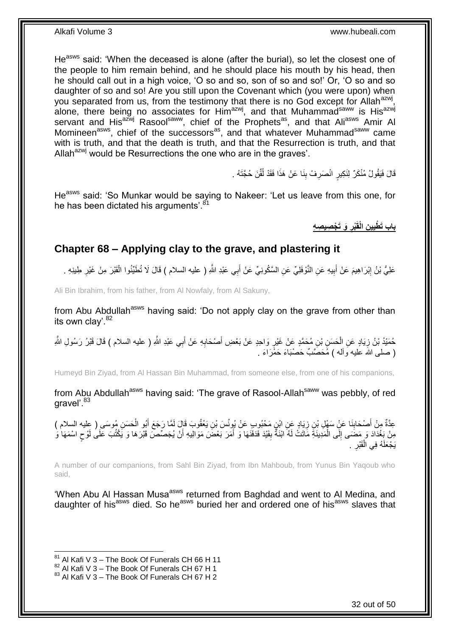He<sup>asws</sup> said: 'When the deceased is alone (after the burial), so let the closest one of the people to him remain behind, and he should place his mouth by his head, then he should call out in a high voice, 'O so and so, son of so and so!' Or, 'O so and so daughter of so and so! Are you still upon the Covenant which (you were upon) when you separated from us, from the testimony that there is no God except for Allah<sup>azwj</sup>, alone, there being no associates for Him<sup>azwj</sup>, and that Muhammad<sup>saww</sup> is His<sup>azwj</sup> servant and His<sup>azwj</sup> Rasool<sup>saww</sup>, chief of the Prophets<sup>as</sup>, and that Ali<sup>asws</sup> Amir Al Momineen<sup>asws</sup>, chief of the successors<sup>as</sup>, and that whatever Muhammad<sup>saww</sup> came with is truth, and that the death is truth, and that the Resurrection is truth, and that Allah $^{azwj}$  would be Resurrections the one who are in the graves'.

> قَالَ فَيَقُولُ مُنْكَرٌ لِنَكِيرٍ انْصَرِفْ بِنَا عَنْ هَذَا فَقَدْ لُقِّنَ حُجَّتَهُ . ا:<br>ا ِ **∶**

He<sup>asws</sup> said: 'So Munkar would be saying to Nakeer: 'Let us leave from this one, for he has been dictated his arguments<sup>'.81</sup>

> **َو َت ْج ِصي ِص ِه ْبر ِن الْقَ ي باب َت ْطي ِ ِ**

### <span id="page-31-0"></span>**Chapter 68 – Applying clay to the grave, and plastering it**

عَلِيُّ بْنُ إِبْرَاهِيمَ عَنْ أَبِيهِ عَنِ النَّوْفَلِيِّ عَنِ السَّكُونِيِّ عَنْ أَبِي عَبْدِ اللَّهِ ( عليه السلام ) قَالَ لَا تُطَيِّنُوا الْقَبْرَ مِنْ غَيْرِ طِينِهِ . **!** َ ِ ِ ْ

Ali Bin Ibrahim, from his father, from Al Nowfaly, from Al Sakuny,

from Abu Abdullah<sup>asws</sup> having said: 'Do not apply clay on the grave from other than its own clay'.<sup>82</sup>

حُمَيْدُ بْنُ زِيَادٍ عَنِ الْحَسَنِ بْنِ مُحَمَّدٍ عَنْ غَيْرٍ وَاحِدٍ عَنْ بَعْضِ أَصْحَابِهِ عَنْ أَبِي عَبْدِ اللَّهِ ( عليه السلام ) قَالَ قَبْرُ رَسُولِ اللَّهِ َ ِ َ ِ ْ ِ ( صلَّى الله عليه وأله ) مُحَصَّبٌ حَصْبَاءَ حَمْرَاءَ .

Humeyd Bin Ziyad, from Al Hassan Bin Muhammad, from someone else, from one of his companions,

from Abu Abdullah<sup>asws</sup> having said: 'The grave of Rasool-Allah<sup>saww</sup> was pebbly, of red aravel'.<sup>83</sup>

عِدَّةٌ مِنْ أَصْحَابِنَا عَنِْ سَهْلِ بْنِ زِيَادٍ عَنِ ابْنٍ مَحْبُوبِ عَنْ يُوِنُسَ بْنِ يَعْقُوبَ قَإِلَ لَمَّا رَجَعَ أَبُو الْحَسَنِ مُوسَى ( عِليه السلام )<br>-ِ **∣** َ ْ َ مِنْ بَغْدَادَ وَ مَضَى إِلَى الْمَدِينَةِ مَاتَتْ لَهُ ابْنَةٌ بِفَيْدَ فَدَفَنَهَا وَ أَمَرَ بَعْضَ مَوَالِيهِ أَنْ يُجَصِّصَ قَبْرَهَا وَ يَكْتُبَ عَلَى لَوْح اسْمَهَا وَ اُ َ **∣** ْ  $\frac{1}{2}$ ٍ يَجْعَلَهُ فِي الْقَبْرِ ۚ . ْ ِ

A number of our companions, from Sahl Bin Ziyad, from Ibn Mahboub, from Yunus Bin Yaqoub who said,

'When Abu Al Hassan Musa<sup>asws</sup> returned from Baghdad and went to Al Medina, and daughter of his<sup>asws</sup> died. So he<sup>asws</sup> buried her and ordered one of his<sup>asws</sup> slaves that

 $81$  Al Kafi V 3 – The Book Of Funerals CH 66 H 11

 $82$  Al Kafi V 3 – The Book Of Funerals CH 67 H 1

 $83$  Al Kafi V 3 – The Book Of Funerals CH 67 H 2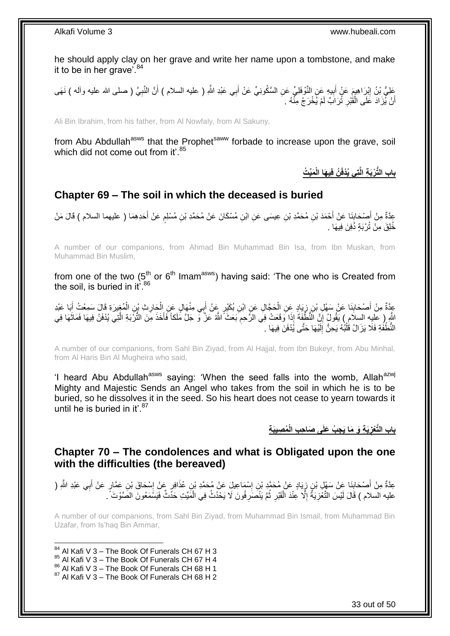he should apply clay on her grave and write her name upon a tombstone, and make it to be in her grave<sup>'84</sup>

َعْلِيُّ بْنُ إِبْرَاهِيمَ عَنْ أَبِيهِ عَنِ النَّوْفَلِيِّ عَنِ السَّكُونِيِّ عَنْ أَبِي عَبْدِ اللَّهِ ( عليه السلام ) أَنَّ النَّبِيَّ ( صلى الله عليه وأله ) نَهَى اُ َ **!** َ ِ ِ أَنْ يُزَادَ عَلَى الْقَٰبْرِ ثُرَابٌ لَمْ يُخْرَجْ مِنْهُ . ِ ْ اً

Ali Bin Ibrahim, from his father, from Al Nowfaly, from Al Sakuny,

from Abu Abdullah<sup>asws</sup> that the Prophet<sup>saww</sup> forbade to increase upon the grave, soil which did not come out from it'.<sup>85</sup>

**َمِّي ُت ُن فِي َها الْ تِي ُيْدفَ باب الُّت ْرَب ِة الَّ**

### <span id="page-32-0"></span>**Chapter 69 – The soil in which the deceased is buried**

عِدَّةٌ مِنْ أَصْحَابِنَا عَنْ أَحْمَدَ بْنِ مُحَمَّدِ بْنِ عِيسَى عَنِ ابْنِ مُسْكَانَ عَنْ مُحَمَّدِ بْنِ مُسْلِمٍ عَنْ أَحَدِهِمَا ( عليهما السلام ) قَالَ مَنْ<br>مُرِيَّةٌ َ م َ **∣** خُلِقَ مِنْ تُرْبَةٍ دُّفِنَ فِيهَا .

A number of our companions, from Ahmad Bin Muhammad Bin Isa, from Ibn Muskan, from Muhammad Bin Muslim,

from one of the two (5<sup>th</sup> or 6<sup>th</sup> Imam<sup>asws</sup>) having said: 'The one who is Created from the soil, is buried in it<sup>'.86</sup>

عِدَّةٌ مِنْ أَصْحَابِنَا عَنْ سَهْلِ بْنِ زِيَادٍ عَنِ الْحَجَّالِ عَنِ ابْنِ بُكَيْرٍ عَنْ أَبِي مِنْهَالٍ عَنِ الْحَارِثِ بْنِ الْمُغِيرَةِ قَالَ سَمِعْتُ أَبَا عَبْدِ ِ ْ َ ْ ₫ **∣** َ َ ْ اشُّرٍ ( عَلِيه السلام ) يَقُولُ إِنَّ الَّنُطُّفَةُ إِذَا وَقَعَتْ فِي الرَّحِمِ بَعَثَ اللَّهُ عَزٌ وَ جَلَّ مَلَكاً فَأَخَذَ مِنَ التُّرْبَةِ الَّتِي يُدْفَنُ فِيهَا فَمَاتَهَا فِي ِ َ َّ َ ِ النُّطْفُةِ فَلَا يَزَالُ قُلْبُهُ يَحِنُّ إِلَيْهَا حَتَّى يُدْفَنَ فِيهَا . لَ ِ :<br>ا

A number of our companions, from Sahl Bin Ziyad, from Al Hajjal, from Ibn Bukeyr, from Abu Minhal, from Al Haris Bin Al Mugheira who said,

'I heard Abu Abdullah<sup>asws</sup> saying: 'When the seed falls into the womb, Allah<sup>azwj</sup> Mighty and Majestic Sends an Angel who takes from the soil in which he is to be buried, so he dissolves it in the seed. So his heart does not cease to yearn towards it until he is buried in it'. $87$ 

> **ُم ِصيَب ِة ِج ُب َعلَى َصا ِح ِب الْ َي ِة َو َما َي باب الَّتْعز ِ**

<span id="page-32-1"></span>**Chapter 70 – The condolences and what is Obligated upon the one with the difficulties (the bereaved)**

عِدَّةٌ مِنْ أَصْحَابِنَا عَنْ سَهْلٍ بْنِ زِيَادٍ عَنْ مُحَمَّدٍ بْنِ إِسْمَاعِيلَ عَنْ مُحَمَّدٍ بْنِ عُذَافِرٍ عَنْ إِسْحَاقَ بْنِ عَمَّارٍ عَنْ أَبِي عَبْدِ اللَّهِ ( ِ ِ ِ **∣** َ َ عليه السلام ) قَالَ لَيْسَ التَّغُزِيَةُ إِلَّا عِنْدَ الْقَبْرِ ثُمَّ يَنْصَنِّرِفُونَ لَا يَحْدُثُ فِي الْمَيِّتِ حَدًّثٌ فَيَسْمَعُونَ الصَّوْتَ ۚ \_ ُ ِ :<br>ا ِ ِ ْ

A number of our companions, from Sahl Bin Ziyad, from Muhammad Bin Ismail, from Muhammad Bin Uzafar, from Is'haq Bin Ammar,

- 1  $84$  Al Kafi V 3 – The Book Of Funerals CH 67 H 3
- 85 Al Kafi V 3 The Book Of Funerals CH 67 H 4
- $^{86}_{-2}$  Al Kafi V 3 The Book Of Funerals CH 68 H 1

 $87$  Al Kafi V 3 – The Book Of Funerals CH 68 H 2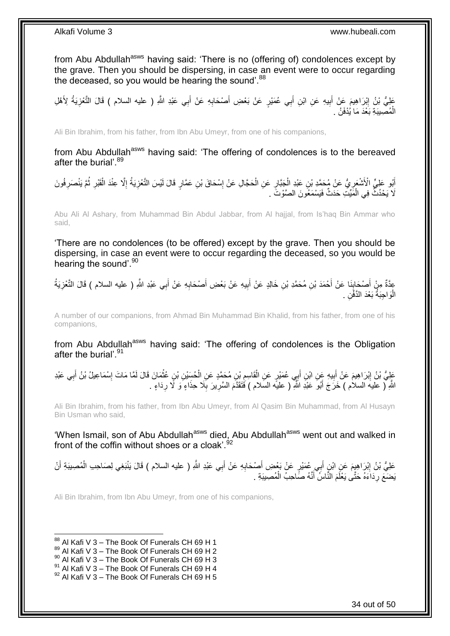from Abu Abdullah<sup>asws</sup> having said: 'There is no (offering of) condolences except by the grave. Then you should be dispersing, in case an event were to occur regarding the deceased, so you would be hearing the sound'.<sup>88</sup>

عَلِيُّ بْنُ إِبْرَاهِيمَ عَنْ أَبِيهِ عَنِ ابْنِ أَبِي عُمَيْرٍ عَنْ بَعْضِ أَصْحَابِهِ عَنْ أَبِي عَبْدِ اللَّهِ ( عليه السلام ) قَالَ التَّعْزِيَةُ لِأَهْلِ ِ َ ِ َ יִין<br>∶ ِ َ الْمُصِيبَةِ بَعْدَ مَا يُدْفَنُ . ْ

Ali Bin Ibrahim, from his father, from Ibn Abu Umeyr, from one of his companions,

from Abu Abdullah<sup>asws</sup> having said: 'The offering of condolences is to the bereaved after the burial'.<sup>89</sup>

أَبُو عَلِيٍّ الْأَشْعَرِيُّ عَنْ مُحَمَّدِ بْنِ عَبْدِ الْجَبَّارِ عَنِ الْحَجَّالِ عَنْ إِسْحَاقَ بْنِ عَمَّارٍ قَالَ لَيْسَ النَّعْزِيَةُ إِلَّا عِنْدَ الْقَبْرِ ثُمَّ يَنْصَرِفُونَ ِ ْ ِ ْ **∶** ِ ُ ِ ْ ا<br>ا ِ لَا يَحْدُثُ فِي الْمَيِّتِ حَدَثٌ فَيَسْمَعُونَ الصَّوْتَ . ْ

Abu Ali Al Ashary, from Muhammad Bin Abdul Jabbar, from Al hajjal, from Is'haq Bin Ammar who said,

'There are no condolences (to be offered) except by the grave. Then you should be dispersing, in case an event were to occur regarding the deceased, so you would be hearing the sound'.<sup>90</sup>

عِدَّةٌ مِنْ أَصْحَابِنَا عَنْ أَحْمَدَ بْنِ مُحَمَّدِ بْنِ خَالِدٍ عَنْ أَبِيهِ عَنْ بَعْضِ أَصْحَابِهِ عَنْ أَبِي عَبْدِ اللَّهِ ( عليه السلام ) قَالَ التَّعْزِيَةُ َ **∶** َ ِ َ َ ِ َ ِ الْوَاجِبَةُ بَعْدَ الذَّفْنِ . :<br>ا

A number of our companions, from Ahmad Bin Muhammad Bin Khalid, from his father, from one of his companions,

from Abu Abdullah<sup>asws</sup> having said: 'The offering of condolences is the Obligation after the burial'.<sup>91</sup>

عَلِيُّ بْنُ إِبْرَاهِيمَ عَنْ أَبِيهِ عَنِ ابْنِ أَبِي عُمَيْرٍ عَنِ الْقَاسِمِ بْنِ مُحَمَّدٍ عَنِ الْحُسِيْنِ بْنِ عُثْمَانَ قَالَ لَمَّا مَاتَ إِسْمَاعِيلُ بْنُ أَبِي عَبْدِ **! ֽוּ ∶** َ ِ ْ ْ ِ ْ َ اللَّهِ لَّ عليهَ السلام ) خَرَجَ أَبُوَ عَبْدِ اللَّهِ ( عليه السَلام ) فَتَقَدَّمَ السَّرِينَ بِلَا حِذَاءٍ وَ لَا رِدَاءٍ . ِ ِ ِ َ

Ali Bin Ibrahim, from his father, from Ibn Abu Umeyr, from Al Qasim Bin Muhammad, from Al Husayn Bin Usman who said,

'When Ismail, son of Abu Abdullah<sup>asws</sup> died, Abu Abdullah<sup>asws</sup> went out and walked in front of the coffin without shoes or a cloak'.  $92$ 

عَلِيُّ بْنُ إِبْرَاهِيِمَ عَنِ ابْنِ أَبِي عُمَيْرٍ عَنْ بَعْضِ أَصْحَابِهِ عَنْ أَبِي عَبْدِ اللَّهِ ( عليه السلام ) قَالَ يَنْبَغِي لِصَاحِبِ الْمُصِيبَةِ أَنْ َ ِ َ ِ َ ْ يَضَعَ رِدَاءَهُ حَتَّى يَعْلَمَ النَّاسُ أَنَّهُ صَّاحِبُ الْمُصِيبَةِ . ْ َ ِ

Ali Bin Ibrahim, from Ibn Abu Umeyr, from one of his companions,

 $88$  Al Kafi V 3 – The Book Of Funerals CH 69 H 1

 $89$  Al Kafi V 3 – The Book Of Funerals CH 69 H 2

<sup>90</sup> Al Kafi V 3 – The Book Of Funerals CH 69 H 3

 $^{91}$  Al Kafi V 3 – The Book Of Funerals CH 69 H 4

 $92$  Al Kafi V 3 – The Book Of Funerals CH 69 H 5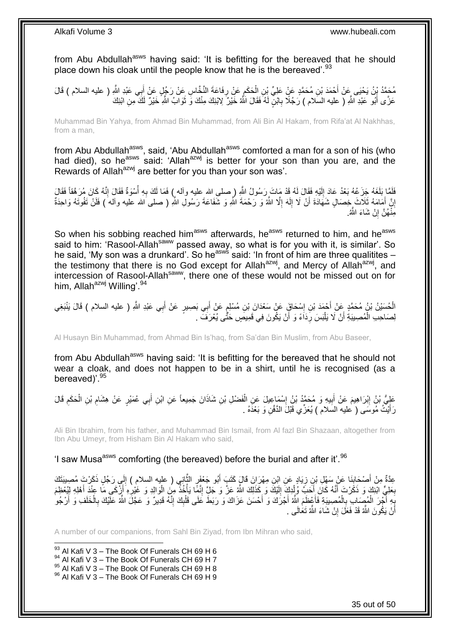from Abu Abdullah<sup>asws</sup> having said: 'It is befitting for the bereaved that he should place down his cloak until the people know that he is the bereaved'.<sup>93</sup>

مُحَمَّدُ بِنُ يَحْيَى عَنْ أَحْمَدَ بْنِ مُحَمَّدٍ عَنٍْ عَلِيٍّ بْنِ الْحَكَمِ عَنْ رِفَاعَةَ النَّخَّاسِ عَنْ رَجُلٍ عَنْ أَبِي عَبْدِ اللَّهِ ( عليه السلام ) قَالَ َ ِ ِ ْ عَزَّى أَبُو عَبْدِ اللَّهِ ( عليه السلام ) رَجُلًا بِابْنٍ لَهُ فَقَالَ اللَّهُ خَيْرٌ لِابْنِكَ مِنْكَ وَ ثَوَابُ اللَّهِ خَيْرٌ لَكَ مِنِ ابْنِكَ َ ِ َ

Muhammad Bin Yahya, from Ahmad Bin Muhammad, from Ali Bin Al Hakam, from Rifa'at Al Nakhhas, from a man,

from Abu Abdullah<sup>asws</sup>, said, 'Abu Abdullah<sup>asws</sup> comforted a man for a son of his (who had died), so he<sup>asws</sup> said: 'Allah<sup>azwj</sup> is better for your son than you are, and the Rewards of Allah<sup>azwj</sup> are better for you than your son was'.

**∶** فَلَمَّا بَلَغَهُ جَزَعُهُ بَعْدُ عَادَ إِلَيْهِ فَقَالَ لَهُ قَدْ مَِاتَ رَسُولُ اللَّهِ ( صلى الله عليه وأله ٍ) فَمَا لَكَ بِهِ أُسْوَةٌ فَقَالَ إِنَّهُ كَانَ مُرَهَّقاً فَقَالَ لَ ∣∣<br>∶ ِ ُ إِنَّ أَمَامَهُ ثَلَاثَ خِصَالٍ شَهَادَةَ أَنْ لَا إِلَهَ إِلَّا اللَّهُ وَ رَحْمَةَ اللَّهِ وَ شَفَاعَةَ رَسُولِ اللَّهِ ( صلى َالله عليه وألم َ) فَلَنْ تَفُوتَهُ وَاحِدَةٌ ِ لَ  $\frac{1}{2}$ َ مَثْـهُنَّ إِنْ شَاءَ اللَّهُ. **׀** 

So when his sobbing reached him<sup>asws</sup> afterwards, he<sup>asws</sup> returned to him, and he<sup>asws</sup> said to him: 'Rasool-Allah<sup>saww</sup> passed away, so what is for you with it, is similar'. So he said, 'My son was a drunkard'. So he<sup>asws</sup> said: 'In front of him are three qualitites – the testimony that there is no God except for Allah<sup>azwj</sup>, and Mercy of Allah<sup>azwj</sup>, and intercession of Rasool-Allah<sup>saww</sup>, there one of these would not be missed out on for him, Allah<sup>azwj</sup> Willing'.<sup>94</sup>

**∶** الْحُسَيْنُ بْنُ مُحَمَّدٍ عَنْ أَحْمَدَ بْنِ إِسْحَاقٍَ عَنْ سَعْدَانَ بْنِ مُسْلِمٍ عَنْ أَبِي بَصِبِيرٍ عَنْ أَبِي عَبْدِ اللَّهِ ( عليه السلام ) قَالَ يَنْبَغِي َ َ ֧׆֧ ِ لِصَاحِبِ الْمُصِبِيَةِ أَنْ لَا يَلْبَسَ رِدَاَءً وَ أَنْ يَكُونَ فِي قَمِيصٍ حَتَّى يُعْرَفَ . اً **∶** ْ َ ْ

Al Husayn Bin Muhammad, from Ahmad Bin Is'haq, from Sa'dan Bin Muslim, from Abu Baseer,

from Abu Abdullah<sup>asws</sup> having said: 'It is befitting for the bereaved that he should not wear a cloak, and does not happen to be in a shirt, until he is recognised (as a bereaved)<sup>'.95</sup>

عَلِيُّ بْنُ إِبْرَاهِيمَ عَنْ أَبِيهِ وَ مُحَمَّدُ بْنُ إِسْمَاعِيلَ عَنِ الْفَضْلِ بْنِ شَاذَانَ جَمِيعاً عَنِ ابْنِ أَبِي عُمَيْرٍ عَنْ هِشَامِ بْنِ الْحَكَمِ قَالَ ْ ِ ِ َ <u>֖֚֚֚֓</u> ِ ْ ِ َ رَأَيْتُ مُوسَى ( عليه السلام ) يُعَزِّي قَبْلَ الدَّفْنِ وَ بَعْدَهُ . َ

Ali Bin Ibrahim, from his father, and Muhammad Bin Ismail, from Al fazl Bin Shazaan, altogether from Ibn Abu Umeyr, from Hisham Bin Al Hakam who said,

'I saw Musa<sup>asws</sup> comforting (the bereaved) before the burial and after it'.<sup>96</sup>

عِدَّةٌ مِنْ أَصْحَابِنَا عَنْ سَهْلِ بْنِ زِيَادٍ عَنِ ابْنِ مِهْرَانَ قَالَ كَتَبَ أَبُو جَعْفَرٍ الثَّانِي ( عليه السلام ) إِلَى رَجُلٍ ذَكَرْتَ مُصِيبَتَكَ َّ َ ِ **∣** َ لَ ِ بَعْلِيٍّ ابْنِكَ وَ ذَكَّرْتَ أَنَّهُ كَانَ إِنَّحَبَّ وُلْدِكَ ۖ إِلَيْكَ وَ كِّذَلِّكَ اللَّهُ عَزَّ وَ جَلَّ إِنَّهِ الْمُخْذَ مِنَ الْوَالِدِ وَ غَيْرِهِ أَزْنَكَى مَا عِنْدَ أَهْلِهِ لِيُعْظِمَ ْ ِ لَ ِ ْ َ َ ِ َ َ ِ ْ بَِهِ أَجْرَ الْمُصِبَابِ بِالْمُصِبِبَةِ فَأَعْظَمَ اللَّهُ أَجْرَكَ وَ أَحْسَنَ عَزَاكَ وَ رَبَطَ عَلَى قَلْبِكَ إِنَّهُ قَدِيرٌ وَ عَجَّلَ اللَّهُ عَلَيْكَ بِالْخَلَفِ وَ أَرْجُو َ ْ ِ ْ ً<br>ً **∶** ْ ِ ِ ِ ْ َ َ َ أَنْ يَكُونَ النُّهُ قَدْ فَعَلَ إِنْ شَاءَ النُّهُ تَعَالَى <sub>.</sub> ِ ز<br>ا

A number of our companions, from Sahl Bin Ziyad, from Ibn Mihran who said,

 $93$  Al Kafi V 3 – The Book Of Funerals CH 69 H 6

1

96 Al Kafi V 3 - The Book Of Funerals CH 69 H 9

 $94$  Al Kafi V 3 – The Book Of Funerals CH 69 H 7

 $95$  Al Kafi V 3 – The Book Of Funerals CH 69 H 8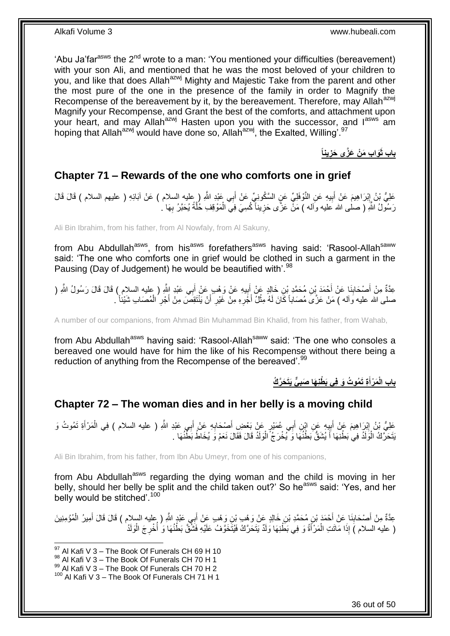'Abu Ja'far<sup>asws</sup> the 2<sup>nd</sup> wrote to a man: 'You mentioned your difficulties (bereavement) with your son Ali, and mentioned that he was the most beloved of your children to you, and like that does Allah<sup>azwj</sup> Mighty and Majestic Take from the parent and other the most pure of the one in the presence of the family in order to Magnify the Recompense of the bereavement by it, by the bereavement. Therefore, may Allah<sup>azwj</sup> Magnify your Recompense, and Grant the best of the comforts, and attachment upon your heart, and may Allah<sup>azwj</sup> Hasten upon you with the successor, and l<sup>asws</sup> am hoping that Allah<sup>azwj</sup> would have done so, Allah<sup>azwj</sup>, the Exalted, Willing'.<sup>97</sup>

> **ينا َوا ِب َم ْن َعَّزى َحز باب ثَ ِ**

### <span id="page-35-0"></span>**Chapter 71 – Rewards of the one who comforts one in grief**

عَلِيُّ بْنُ إِبْرَاهِيمَ عَنْ أَبِيهِ عَنِ النَّوْفَلِيِّ عَنِ السَّكُونِيِّ عَنْ أَبِي عَبْدِ اللَّهِ ( عِليه السلام ) عَنْ آبَائِهِ ( عليهم السلام ) فَالَ قَالَ َ **!** َ ِ رَسُولُ اللَّهِ ( صلٰى الله عليه وآله ) مَنّْ عَزَّى حَزِيناً كُسِيَ فِيَّ الْمَوْقِفِ خُلَّةً يُحَبَّرُ بِهَا َّ ْ **∶** ِ

Ali Bin Ibrahim, from his father, from Al Nowfaly, from Al Sakuny,

from Abu Abdullah<sup>asws</sup>, from his<sup>asws</sup> forefathers<sup>asws</sup> having said: 'Rasool-Allah<sup>saww</sup> said: 'The one who comforts one in grief would be clothed in such a garment in the Pausing (Day of Judgement) he would be beautified with'.<sup>98</sup>

عِدَّةٌ مِنْ أَصْحَابِنَا عَنْ أَحْمَدَ بْنِ مُحَمَّدِ بْنِ خَالِدٍ عَنْ أَبِيهِ عَنْ وَهْبِ عَنْ أَبِي عَبْدِ اللَّهِ ( عليه السلام ) قَالَ قَالَ رَسُولُ اللَّهِ ( َ ِ َ َ ِ َ صلى الله عليه وآله ) مَنْ عَزَى مُصَاباً كَانَ لَهُ مِثْلُ أَجْرِهِ مِنْ غَيْرِ أَنْ يَنْتَقِصَّ مِنْ أَجْرِ الْمُصَابِ شَيْئاً ۚ. ْ َ َ َ

A number of our companions, from Ahmad Bin Muhammad Bin Khalid, from his father, from Wahab,

from Abu Abdullah<sup>asws</sup> having said: 'Rasool-Allah<sup>saww</sup> said: 'The one who consoles a bereaved one would have for him the like of his Recompense without there being a reduction of anything from the Recompense of the bereaved'.<sup>99</sup>

> **ٌّي َيَت َح َّر ُك ِة َت ُمو ُت َو فِي َب ْطنِ َها َصب َم ْرأ باب الْ ِ َ**

## <span id="page-35-1"></span>**Chapter 72 – The woman dies and in her belly is a moving child**

عَلِيُّ بْنُ إِبْرِ اهِيمَ عَنْ أَبِيهِ عَنِ إِبْنِ أَبِي عُمَيْرٍ عَنْ بَعْضِ أَصِحَابِهِ عَنْ أَبِي عَبْدِ اللَّهِ ( عليه السلام ) فِي الْمَرْأَةِ تَمُوتُ وَ َ **∶** َ ¦ َ <u>֖֚֚֚֓</u> َ ْ َنَتَحَرَّكُ ۖ الْوَلَدُ فِي بَطْنِهَا أَ يُشَقُّ بَطْنُهَا وَ يُخْرَجُ ۖ الْوَلَدُ قَالَ فَقَالَ نَعَمْ وَ يُخَاطُ بَطَّنُهَا ۚ ـ ْ َ ْ

Ali Bin Ibrahim, from his father, from Ibn Abu Umeyr, from one of his companions,

from Abu Abdullah<sup>asws</sup> regarding the dying woman and the child is moving in her belly, should her belly be split and the child taken out?' So he<sup>asws</sup> said: 'Yes, and her belly would be stitched'.<sup>100</sup>

عِدَّةٌ مِنْ أَصْحَابِنَا عَنْ أَحْمَدَ بْنِ مُحَمَّدِ بْنِ خَالِدٍ عَنْ وَهْبٍ بْنِ وَهْبٍ عَنْ أَبِي عَبْدٍ اللَّهِ ( عِليه السلام ) قَالَ قَالَ أَمِيرُ الْمُؤْمِنِينَ َ **∣** َ ْ َ ( عليه السلام )َ إِذَا مَاتَتِ الْمَرْأَةُ وَ فِي بَطَّنِهَا وَلَدٌ يَتَحَرَّكُ فَيُتَّخَوَّفُ عَلَيْهِ فَشَّقَّ بَطْنُهَا وَ ُأُخْرِجَ الْوَلَدُ ْ **∶** ا<br>أ َ ْ

36 out of 50

<sup>1</sup>  $97$  Al Kafi V 3 – The Book Of Funerals CH 69 H 10

<sup>&</sup>lt;sup>98</sup> Al Kafi V 3 – The Book Of Funerals CH 70 H 1

 $99$  Al Kafi V 3 – The Book Of Funerals CH 70 H 2

 $100$  Al Kafi V 3 – The Book Of Funerals CH 71 H 1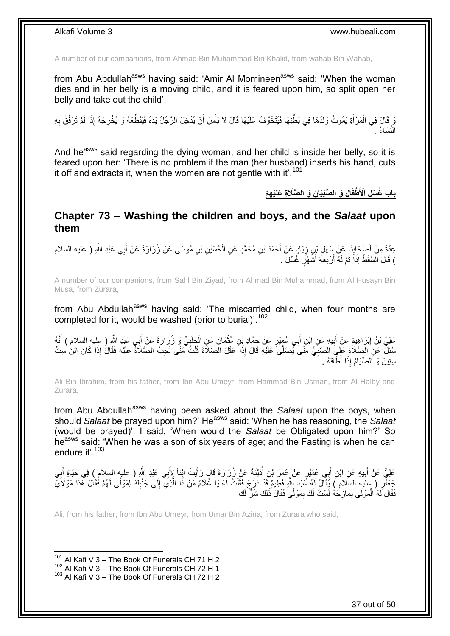A number of our companions, from Ahmad Bin Muhammad Bin Khalid, from wahab Bin Wahab,

from Abu Abdullah<sup>asws</sup> having said: 'Amir Al Momineen<sup>asws</sup> said: 'When the woman dies and in her belly is a moving child, and it is feared upon him, so split open her belly and take out the child'.

َ فَالَ فِي الْمَرْأَةِ يَمُوتُ وَلَدُهَا فِي بَطْنِهَا فَيُتَخَوَّفُ عَلَيْهَا قَالَ لَا بَأْسَ أَنْ يُدْخِلَ الرَّجُلُ يَدَهُ فَيُقَطِّعَهُ وَ يُخْرِجَهُ إِذَا لَمْ تَرْفُقْ بِهِ َ ْ َ ْ ِ ِ النِّسَاءُ .

And he<sup>asws</sup> said regarding the dying woman, and her child is inside her belly, so it is feared upon her: 'There is no problem if the man (her husband) inserts his hand, cuts it off and extracts it, when the women are not gentle with it'.<sup>101</sup>

**ِه ْم ْي ِن َو ال َّصَال ِة َعلَ ا ِل َو ال ِّصْبَيا باب ُغ ْس ِل اْْلَ ْطفَ**

### <span id="page-36-0"></span>**Chapter 73 – Washing the children and boys, and the** *Salaat* **upon them**

عِدَّةٌ مِنْ أَصْحَابِذَا عَنْ سَهْلٍ بْنِ زِيَادٍ عَنْ أَحْمَدَ بْنِ مُحَمَّدٍ عَنِ الْحُسَيْنِ بْنِ مُوسَى عَنْ زُرَارَةَ عَنْ أَبِي عَبْدِ اللَّهِ ( عليه السلام ِ **∣** َ َ ْ َ ) قَالَ الْسِّقْطُ إِذَاَ تَمَّ لَهُ أَرْبَعَةُ أَشَّهُٰرٍ ۖ غُسِّلَ ۖ ـِ َ اً

A number of our companions, from Sahl Bin Ziyad, from Ahmad Bin Muhammad, from Al Husayn Bin Musa, from Zurara,

from Abu Abdullah<sup>asws</sup> having said: 'The miscarried child, when four months are completed for it, would be washed (prior to burial)<sup>'.102</sup>

عَلِيُّ بْنُ إِبْرَاهِيمَ عَنْ أَبِيهِ عَنِ ابْنِ أَبِي عُهَيْرٍ عَنْ حَمَّادِ بْنِ عُثْمَانَ عَنِ الْخَلَبِيِّ وَ زُرَارَةَ عَنْ أَبِي عَبْدِ اللَّهِ ( عليه السلام ) أَنَّهُ **ٔ** َ ِ َ ِ َ َ ֢֧֚<u>֓</u> ْ سُئِلَ عَنِ الصَّلَاةِ عَلَيِ الصَّبِيِّ مَتَى يُصَلَّى عَلَيْهِ قَالَ إِذَا عَقَلَ الصَّلَاةَ قُلْتُ مَتَى تَجِبُ الصَّلَاةُ عَلَيْهِ فَقَالَ إِذَا كَانَ ابْنَ سِتِّ ْ **∶** سِنِينَ وَ اَلصِّيَامُ إِذَا أَطَّاقَهُ .

Ali Bin Ibrahim, from his father, from Ibn Abu Umeyr, from Hammad Bin Usman, from Al Halby and Zurara,

from Abu Abdullah<sup>asws</sup> having been asked about the *Salaat* upon the boys, when should *Salaat* be prayed upon him?' Heasws said: 'When he has reasoning, the *Salaat* (would be prayed)'. I said, 'When would the *Salaat* be Obligated upon him?' So he<sup>asws</sup> said: 'When he was a son of six years of age; and the Fasting is when he can endure it' 103

عَلِيٌّ عَنْ أَبِيهِ عَنِ ابْنِ أَبِي عُمَيْرٍ عَنْ عُمَرَ بْنِ أُذَيْنَةَ عَنْ زُرَارَةَ قَالَ رَأَيْتُ ابْناً لِأَبِي عَبْدِ اللَّهِ ( عليه السلام ) فِي حَيَاةِ أَبِي َ **∣** َ ا<br>ا ِ َ جَعْفَرِ ( عِلَيهِ السِّلام ) يُقَالُ لَهُ عَبْدُ اللَّهِ فَطِيمٌ قَدْ دَرَجَ فَقُلْتُ لَهُ يَا عُلَامُ مَنْ ذَا الَّذِي إِلَى جَنْبِكَ لِمَوْلًى لَهُمْ فَقَالَ هَذَا مَوْلَايَ ِ َّ ْ ِ فَقَالَ َلَهُ الْمَوْلَى يُمَازِحُهُ لَسْتُ لَكَ بِمَوْلًى فَقَالَ ذَلِكَ شَرٌّ لَكَ ِ ِ ْ

Ali, from his father, from Ibn Abu Umeyr, from Umar Bin Azina, from Zurara who said,

 $101$  Al Kafi V 3 – The Book Of Funerals CH 71 H 2

 $102$  Al Kafi V 3 – The Book Of Funerals CH 72 H 1

 $103$  Al Kafi V 3 – The Book Of Funerals CH 72 H 2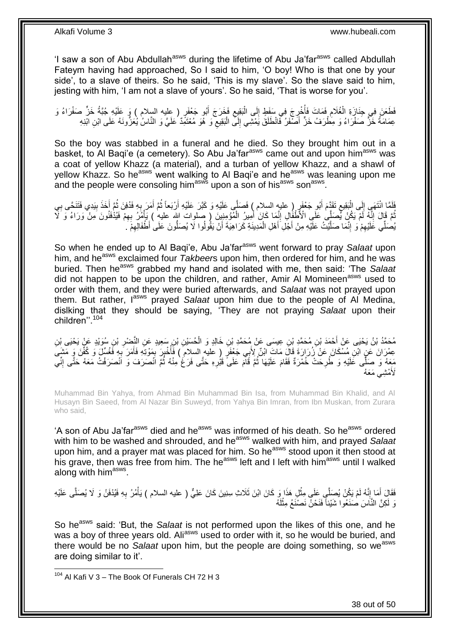'I saw a son of Abu Abdullah<sup>asws</sup> during the lifetime of Abu Ja'far<sup>asws</sup> called Abdullah Fateym having had approached, So I said to him, 'O boy! Who is that one by your side', to a slave of theirs. So he said, 'This is my slave'. So the slave said to him, jesting with him, 'I am not a slave of yours'. So he said, 'That is worse for you'.

فَطَعَنَ فِي جِنَازَةِ الْغُلَامِ فَمَاتَ فَأُخْرِجَ فِي سَفَطٍ إِلَى الْبَقِيعِ فَخَرَجَ أَبُو جَعْفَرٍ ( عليه السلام ) وَ عَلَيْهِ جُبَّةُ خَنٍّ صَفْرَاءُ وَ َ ِ ْ ِ ِ ان<br>المستقبل ِ ْ لَ عِمَامَةُ خَنَّ صَفْرَاءُ وَ مِطْرَفُ خَنٍّ أَصْفَرُ فَانْطَلَقَ يَمْشِي إِلَى الْبَقِيعِ وَ هُوَ مُعْتَمِّدٌ كَلَيَّ وَ النَّاسُ يُعَزُّونَهُ عَلَى ابْنِ ابْنِهِ ِ ْ ِ

So the boy was stabbed in a funeral and he died. So they brought him out in a basket, to Al Baqi'e (a cemetery). So Abu Ja'far<sup>asws</sup> came out and upon him<sup>asws</sup> was a coat of yellow Khazz (a material), and a turban of yellow Khazz, and a shawl of yellow Khazz. So he<sup>asws</sup> went walking to Al Baqi'e and he<sup>asws</sup> was leaning upon me and the people were consoling him<sup>asws</sup> upon a son of his<sup>asws</sup> son<sup>asws</sup>.

لَفَلَمَا انْتَهَى إِلَى الْبَقِيعِ تَقَدَّمَ أَبُو جَعْفَرٍ (عليهِ السلام ) فَصَلَّى عَلَيْهِ وَ كَبَّرَ عَلَيْهِ أَرْبَعاً ثُمَّ أَمَرَ بِهِ فَدُفِنَ ثُمَّ أَخَذَ بِيَدِي فَتَنَحَّى بِي ا دیکھیے َ َ ِ ْ ֖֖֦֦֦֦֦֧֧֚֚֚֚֚֚֚֚֚֚֚֚֚֚֚֝֟֝֝֟֘֝֟֓֡֟֓֡֟֓֟֟֓֡֟֓֡֟֓֡֟֓֡֟֓֡֟֓֡֟֟ **∶** ِ َ ُ **∶** َ ثُمَّ قَالَ إِنَّهُ لَمْ يَكُنْ يُصَلِّي عَلَى الْأَطْفُالِ إِنَّمَا كَانَ أَمِيرُ الْمُؤْمِنِينَ ( صلوات الله عليه ) يَأْمُرُ بِهِمْ فَيُذْفَنُونَ مَنْ وَرَاءُ وَ لَأَ ِ יִי י ُ ِ ْ ْ َ يُصَلِّي عََلَيْهِمْ وَ إِنَّمَا صَلَّيْتُ عَلَيْهِ مِنْ أَجْلِ أَهْلِ الْمَدِينَةِ كَرَاهِيَةَ أَنْ يَقُولُوا لَا يُصَلُّونَ عَلَى أَطْفَالِهِمْ َ ْ َ َّ ِ ِ ِ

So when he ended up to Al Bagi'e, Abu Ja'far<sup>asws</sup> went forward to pray *Salaat* upon him, and he<sup>asws</sup> exclaimed four *Takbeer*s upon him, then ordered for him, and he was buried. Then he<sup>asws</sup> grabbed my hand and isolated with me, then said: 'The *Salaat* did not happen to be upon the children, and rather, Amir Al Momineen<sup>asws</sup> used to order with them, and they were buried afterwards, and *Salaat* was not prayed upon them. But rather, l<sup>asws</sup> prayed Salaat upon him due to the people of Al Medina, dislking that they should be saying, 'They are not praying *Salaat* upon their children''.<sup>104</sup>

مُحَمَّدُ بْنُ يَحْيَى عَنْ أَحْمَدَ بْنِ مُحَمَّدِ بْنِ عِيسَى عَنْ مُحَمَّدِ بْنِ خَالِدٍ وَ الْحُسَيْنِ بْنِ سَعِيدٍ عَنِ النَّصْرِ بْنِ سُوَيْدٍ عَنْ يَحْيَى بْنِ ْ ِ عِمْرَانَ عَنْ ابْنِ مُسْكَانَ عَنْ َزُرَارَةَ قَالَ مَاتَ ابْنٌ لِأَبِي جَعْفَرٍ ( عَليه السلامِ ) فَأُخْبِرَ بَمَوْتِهِ فَأَمَرَ بِهِ فََعْسِّلٌ وَ كُفِّنَ وَ مَشَى ِ َ ; ِ ا<br>ا مَعَهُ وَ صَلِّى عَلَيْهِ وَ طُرِحَتْ خُمْرَةٌ فَقَامَ عَلَيْهَا ثُمَّ قَامَ عَلَى ًقَبُرِهِ حَتَّى فَرَغَ مِنْهُ ثُمَّ انْصَرَفَ وَ انْصَرَفْتُ مَعَهُ حَتَّى إِنِّي ُ ِ ُ **∶** ِ لَأَمْشِي مَعَهُ

Muhammad Bin Yahya, from Ahmad Bin Muhammad Bin Isa, from Muhammad Bin Khalid, and Al Husayn Bin Saeed, from Al Nazar Bin Suweyd, from Yahya Bin Imran, from Ibn Muskan, from Zurara who said,

'A son of Abu Ja'far<sup>asws</sup> died and he<sup>asws</sup> was informed of his death. So he<sup>asws</sup> ordered with him to be washed and shrouded, and he<sup>asws</sup> walked with him, and prayed Salaat upon him, and a prayer mat was placed for him. So he<sup>asws</sup> stood upon it then stood at his grave, then was free from him. The he<sup>asws</sup> left and I left with him<sup>asws</sup> until I walked along with him<sup>asws</sup>.

فَقَالَ أَمَا إِنَّهُ لَمْ يَكُنْ يُصَلَّي عَلَى مِثْلِ هَذَا وَ كَانَ ابْنَ ثَلَاثِ سِنِينَ كَانَ عَلِيٌّ ( عليه السلام ) يَأْمُرُ بِهِ فَيُدْفَنُ وَ لَا يُصَلَّى عَلَيْهِ ْ ِ َ **∶** ْ وَ لَكِنَّ النَّاسَ صَنَعُوا شَيْئاً فَنَحْنُ نَصْنَعُ مِثْلَهُ لَ **ٔ** 

So he<sup>asws</sup> said: 'But, the *Salaat* is not performed upon the likes of this one, and he was a boy of three years old. Ali<sup>asws</sup> used to order with it, so he would be buried, and there would be no Salaat upon him, but the people are doing something, so we<sup>asws</sup> are doing similar to it'.

1

38 out of 50

 $104$  Al Kafi V 3 – The Book Of Funerals CH 72 H 3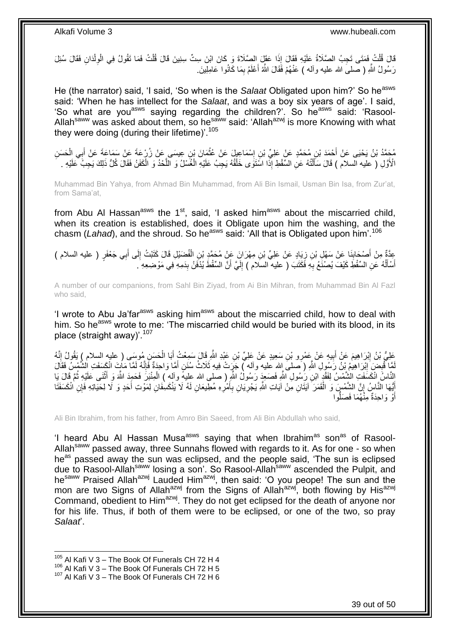قَالَ قُلْتُ فَمَتَى تَجِبُ الصَّلَاةُ عَلَيْهِ فَقَالَ إِذَا عَقَلَ الصَّلَاةَ وَ كَانَ ابْنَ سِتِّ سِنِينَ قَالَ قُلْتُ فَمَا تَقُولُ فِي الْوِلْدَانِ فَقَالَ سُئِلَ<br>فَالْمَنْسُمِ الْفَلْسَمِينَ الصَّلَاةُ عَلَيْهِ فَقَا ْ ْ ْ ِ رَسُولُ اللَّهِ ( صَلْمَى الله عليه وألمه ) عَنْهُمْ فَقَالَ اللَّهُ أَعْلَمُ بِمَا كَانُوا عَامِلِينَ ِ ِ َ

He (the narrator) said, 'I said, 'So when is the *Salaat* Obligated upon him?' So he<sup>asws</sup> said: 'When he has intellect for the *Salaat*, and was a boy six years of age'. I said, 'So what are you<sup>asws</sup> saying regarding the children?'. So he<sup>asws</sup> said: 'Rasool-Allah<sup>saww</sup> was asked about them, so he<sup>saww</sup> said: 'Allah<sup>azwj</sup> is more Knowing with what they were doing (during their lifetime)<sup>'.105</sup>

مُحَمَّدُ بْنُ يَحْيَى عَنْ أَحْمَدَ بْنِ مُحَمَّدٍ عَنْ عَلِيِّ بْنِ إِسْمَاعِيلَ عَنْ عُثْمَانَ بْنِ عِيسَى عَنْ زُرْعَةَ عَنْ سَمَاعَةَ عَنْ أَبِي الْحَسَنِ<br>\*\*\* يَعْمَدُ بَنْ يَحْيَى عَنْ أَجِمَدَ بْنِ مُحَمَّدٍ عَنْ ع ْ ِ َ ْ َ الْأَوَّلِ ( عَلَيه السلام ) قَالَ سَأَلْتُهُ عَنِ السَّقْطِ إِذًّا اسْتَوَى خَلْقُهُ يَجِبُ عَلَيْهِ الْغُسْلُ وَ الْلَّحْدُ وَ الْكَفَنُ فَقَالَ كُلُّ ذَلِكَ يَجِبُ عَلَيْهِ . ْ ْ ْ َ ْ َّ

Muhammad Bin Yahya, from Ahmad Bin Muhammad, from Ali Bin Ismail, Usman Bin Isa, from Zur'at, from Sama'at,

from Abu Al Hassan<sup>asws</sup> the  $1<sup>st</sup>$ , said, 'I asked him<sup>asws</sup> about the miscarried child, when its creation is established, does it Obligate upon him the washing, and the chasm (*Lahad*), and the shroud. So he<sup>asws</sup> said: 'All that is Obligated upon him'.<sup>106</sup>

عِدَّةٌ مِنْ أَصْحَابِذَا عَنْ سَهْلِ بْنِ زِيَادٍ عَنْ عَلِيٍّ بْنِ مِهْرَانَ عَنْ مُحَمَّدٍ بْنِ الْفُضَيْلِ قَالَ كَتَبْتُ إِلَى أَبِي جَعْفَرٍ ( عليه السلام )<br>يَسْئُفُ ِ َ ِ ْ أَسْأَلُهُ عَنِ السِّقْطِ كَيْفَ يُصنْغَعُ بِهِ فَكَتَبَ ( عليه السَلام ) إِلَيَّ أَنَّ السِّقْطَ يُدْفَنُ بِدَمِهِ فِي مَوْضِعِهِ ۖ. ِ َ لَ ِ ِ ٔ<br>ا َ َ

A number of our companions, from Sahl Bin Ziyad, from Ai Bin Mihran, from Muhammad Bin Al Fazl who said,

'I wrote to Abu Ja'far<sup>asws</sup> asking him<sup>asws</sup> about the miscarried child, how to deal with him. So he<sup>asws</sup> wrote to me: 'The miscarried child would be buried with its blood, in its place (straight away)'.<sup>107</sup>

عَلِّيُّ بْنُ إِبْرَاهِيمَ عَنْ أَبِيهِ عَنْ عَمْرِو بْنِ سَعِيدٍ عَنْ عَلِيٍّ بْنِ عَبْدِ اللَّهِ قَالَ سَمِعْتُ أَبَا الْحَسَنِ مُوسَى ( عليه السلام ) يَقُولُ إِنَّهُ<br>يَجِبُّ بِأَنَّ إِبْرَاهِيمَ عَنْ أَبِيهِ عَنْ عَمْرِ ْ َ **!** ِ ِ لَمَّا تُنْبِضَ إِبْرَاهِيمُ بِْنُ رََسُولِ اللَّهِ ( َصلـىَ إِلله عليه وآلم آّ جَرَبتْ فِيهِ ثَلَاثُ سُنَنٍ أَمَّا وَاحِدَّةٌ فَإِنَّهُ لَمَا مَاتٍ انْكَسَفَتِ الشَّمْسُ فَقَالَ ِ ِ ׀ו<br>ְי َ الْنَّاسُ اِنْكَسَفَتِ الشَّمْسُ لِفَقْدٍ ابْنِ رَبُسُولِ اللَّهِ فَصَعِدَ رَسُولُ اللَّهِ ( صلى الله عليهِ وآلم ) الْمِنْبَرَ فَحَمِدَ اللَّهَ وَ أَثْنَى عَلَيْهِ ثُمَّ قَالَ يَا<br>النَّاسُ انْكَسَفَتِ الشَّمْسُ لِفَقْدٍ اب ْ ر<br>: **ٔ** َ إِيُّهَا النَّاسُ إِنَّ الشَّمْسِ وَ الْقَمَرَ آيَتَانِ مِنْ آيَاتِ اللَّهِ يَجْرِيَانِ بِأَمْرِهِ مُطِيعَانِ لَهُ لَا يَنْكَسِفَانِ لِمَوْتِ أَحَدٍ وَ لَا لِحَيَاتِهِ فَإِنِ انْكَسَفَنَا َ ِ َ **∶** ِ ْ ِ َ أَوْ وَاحِدَةٌ مِنّْهُمَا فَصَلُّوا َ ُّ

Ali Bin Ibrahim, from his father, from Amro Bin Saeed, from Ali Bin Abdullah who said,

'I heard Abu AI Hassan Musa<sup>asws</sup> saying that when Ibrahim<sup>as</sup> son<sup>as</sup> of Rasool-Allah<sup>saww</sup> passed away, three Sunnahs flowed with regards to it. As for one - so when he<sup>as</sup> passed away the sun was eclipsed, and the people said, 'The sun is eclipsed due to Rasool-Allahsaww losing a son'. So Rasool-Allahsaww ascended the Pulpit, and hesaww Praised Allah<sup>azwj</sup> Lauded Him<sup>azwj</sup>, then said: 'O you peope! The sun and the mon are two Signs of Allah<sup>azwj</sup> from the Signs of Allah<sup>azwj</sup>, both flowing by His<sup>azwj</sup> Command, obedient to Him<sup>azwj</sup>. They do not get eclipsed for the death of anyone nor for his life. Thus, if both of them were to be eclipsed, or one of the two, so pray *Salaat*'.

 $105$  Al Kafi V 3 – The Book Of Funerals CH 72 H 4

 $^{106}$  Al Kafi V 3 – The Book Of Funerals CH 72 H 5

<sup>107</sup> Al Kafi V 3 – The Book Of Funerals CH 72 H 6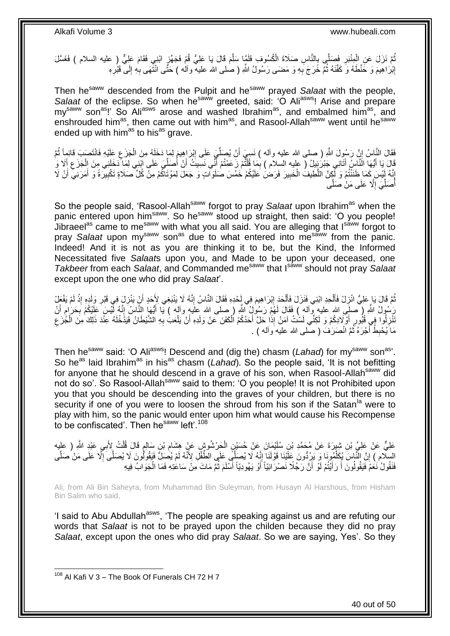ثُمَّ نَزَلَ عَنِ الْمِنْبَرِ فَصَلَّى بِالنَّاسِ صَلَاةَ الْكُسُوفِ فَلَمَّا سَلَّمَ قَالَ يَا عَلِيُّ قُمْ فَجَهِّزٍ ابْنِي فَقَامَ عَلِيٌّ (ِ عليه السلام ) فَغَسَّلَ ِ ِ ْ ِ َّ إِبْرَاهِيمَ وَ خَنَّطَهُ وَ كَفَّنَهُ ثُمَّ خَرَجَ بِهِ وَ مَضـَى رَسُولُ اللَّهِ ( صلـى الله عليه ۗ وآلٰه ) خَنَّى انْتَّهَى بِهِ إِلَى ۗ قَبْرِهِ ِ **∶** ُ <u>֖֚֚֚֓</u> ِ ِ

Then he<sup>saww</sup> descended from the Pulpit and he<sup>saww</sup> prayed *Salaat* with the people, Salaat of the eclipse. So when he<sup>saww</sup> greeted, said: 'O Ali<sup>asws</sup>! Arise and prepare my<sup>saww</sup> son<sup>as</sup>!' So Ali<sup>asws</sup> arose and washed Ibrahim<sup>as</sup>, and embalmed him<sup>as</sup>, and enshrouded him<sup>as</sup>, then came out with him<sup>as</sup>, and Rasool-Allah<sup>saww</sup> went until he<sup>saww</sup> ended up with him<sup>as</sup> to his<sup>as</sup> grave.

ْ فَقَالَ النَّيْاسُ إِنَّ رَسُولَ اللَّهِ ( صلى الله عليه وأله ) نَسِمٍّ أَنْ يُصَلِّيَ عَلَى إِبْرَاهِيمَ لِمَا دَخَلَهُ مِنَ الْجَزَعِ عَلَيْهِ فَانْتَصَبَ قَائِمِاً ثُمَّ ِ ِّ ِ ِ الہ میں بنیاد ہے۔<br>منابع قَالَ يَا أَيُّهَا النَّاسِ أَتَانِي جَبْرَبِيْلُ ( عليه السلام ) بِمَا قُلْتُمْ زَعَمْتُمْ أَنِّي نَسِيتُ أَنْ أَصَلِّيَ عَلَى ابْنِي لِمَا دَخَلَنِي مِنَ الْجَزَعِ أَلَا وَ ِّ اُ َ َ ֖֦֦֦֦֦֧֦֦֧֦֦֧֦֪֦֦֪֦֪֦֪֦֧֦֪֦֧֦֪֦֧֦֦֦֧֦֪֦֡֟֟֟֟֟֟֟֟֟֟֟֟֟֟֟֟֟֟֟֟֟֟֬֟֩֕֟֟֟֟֩֕֞֟֟֟֓֞֟֟֩֕֟֟֩֕֟֟֟֟֟֟֟֞֟֟ ِ َ َ َ ِ ْ إِنَّهُ لَيْسَ كَمَا ظَنَنْتُمْ وَ لَكِنَّ اللَّطِيفُ الْخَبِيرَ فَرَضْ عَلَيْكُمْ خَمْسَ صُلَوَاتٍ وَ جَعَلَ لِمَوْتَاكُمْ مِنْ كُلِّ صَلَاةٍ تَكْبِيرَةً وَ أَمَرَنِي أَنْ لَا ِ ْ َّ ِ َ َ ِ أَصَلِّيَ إِلَّا عَلَى مَنْ صَلُّى ِ ِّ ُ

So the people said, 'Rasool-Allah<sup>saww</sup> forgot to pray *Salaat* upon Ibrahim<sup>as</sup> when the panic entered upon him<sup>saww</sup>. So he<sup>saww</sup> stood up straight, then said: 'O you people! Jibraeel<sup>as</sup> came to me<sup>saww</sup> with what you all said. You are alleging that Isaww forgot to pray *Salaat* upon my<sup>saww</sup> son<sup>as</sup> due to what entered into me<sup>saww</sup> from the panic. Indeed! And it is not as you are thinking it to be, but the Kind, the Informed Necessitated five *Salaat*s upon you, and Made to be upon your deceased, one *Takbeer* from each *Salaat*, and Commanded me<sup>saww</sup> that I<sup>saww</sup> should not pray *Salaat* except upon the one who did pray *Salaat*'.

تُمَّ قَالَ يَا عَلِيُّ انْزِلْ فَأَلْحِدِ ابْنِي فَنَزَلَ فَأَلْحَدَ إِبْرَاهِيمَ فِي إِحْدِهِ فَقَالَ النَّاسُ إِنَّهُ لَا يَنْبَغِي لِأَحَدٍ أَنْ يَنْزِلَ فِي قَبْرِ وَلَدٍهِ إِذْ لَمْ يَفْعَلْ ِ **ְי** ْ َ ْ َ ِ لَ **ٔ** ِ ِ َ رَسُولُ اللَّهِ ( َصلَبِى اللهِ عليهِ وَأله ) فَقَالَ لَمَهُمْ رَسُولُ اللَّهِ ( صلى الله علَيهِ وأله ) يَا أَئِهَا النَّاسُ إِنَّهُ لَّيْسَ عَلَيْكُمْ بَحَرَام أَنْ َ م ِ ِ َ ِ َنْزِلُوا فِي قُبُورِ أَوْلَادِكُمْ وَ لَكِنِّي لَسْتُ آمَنُ إِذَا حَلَّ أَحَدُكُمُ الْكَفَنَ عَنْ وَلَدِهِ أَنْ يَلْعَبُ بِهِ الشَّيْطَانُ فَيَذَخُلَهُ عِنْدَ ذَلِكَ مِنَ الْجُّزَعِ ْ َ ْ َ َ ِ **∶** ِ ْ مَا يُحْبِطُ أَجْرَهُ ثُمَّ اَنْصَرَفَ ( صَلَّى الله عليه وآله ) . ٔ.<br>ـ ِ

Then he<sup>saww</sup> said: 'O Ali<sup>asws</sup>! Descend and (dig the) chasm (*Lahad*) for my<sup>saww</sup> son<sup>as</sup>'. So he<sup>as</sup> laid Ibrahim<sup>as</sup> in his<sup>as</sup> chasm (*Lahad*). So the people said, 'It is not befitting for anyone that he should descend in a grave of his son, when Rasool-Allah<sup>saww</sup> did not do so'. So Rasool-Allah<sup>saww</sup> said to them: 'O you people! It is not Prohibited upon you that you should be descending into the graves of your children, but there is no security if one of you were to loosen the shroud from his son if the Satan<sup>la</sup> were to play with him, so the panic would enter upon him what would cause his Recompense to be confiscated'. Then he<sup>saww</sup> left'.<sup>108</sup>

عَلِيٌّ عَنْ عَلِيٍّ بْنِ شِيِرَةَ عَنْ مُحَمَّدِ بْنِ سُلَيْمَانَ عَنْ حُسَيْنٍ الْجَرْشُوشٍ عَنْ هِشَامِ بْنِ سَالِمٍ قَالَ قُلْتُ لِأَبِي عَبْدٍ اللَّهِ ( عليه ْ ∶<br>} ِ ْ السِلَّامِ ﴾ إِنَّ النَّاسَ بُكِلِّمُونَا وَ يَزِدُّونَ عَلَّيْنَا قَوْلَنَا إِنَّهُ لَا يُصَلِّي عَلَى الطَّفِّلِ لِأَنَّهُ لَمْ يُصَلِّ فَيَقُولُونَ لَا يُصَلِّى إِنَّلا عَلَى مَنْ صَلَّى ِ ِّ اٍ َّ ِ فَنَقُولُ نَعَمْ فَيَقُولُونَ أَ رَأَيْتُمْ لَوْ أَنَّ رَجُلًا نَصْرَانِيَّاً أَوْ يَهُودِيّاً أَسْلَمَ ثُمَّ مَاتَ مِنْ سَاعَتِهِ فَمَا الْجَوَابُ فِيهِ ُ َ اُ اُ َ َ ْ

Ali, from Ali Bin Saheyra, from Muhammad Bin Suleyman, from Husayn Al Harshous, from Hisham Bin Salim who said,

'I said to Abu Abdullah<sup>asws</sup>, 'The people are speaking against us and are refuting our words that *Salaat* is not to be prayed upon the childen because they did no pray *Salaat*, except upon the ones who did pray *Salaat*. So we are saying, Yes'. So they

 $108$  Al Kafi V 3 – The Book Of Funerals CH 72 H 7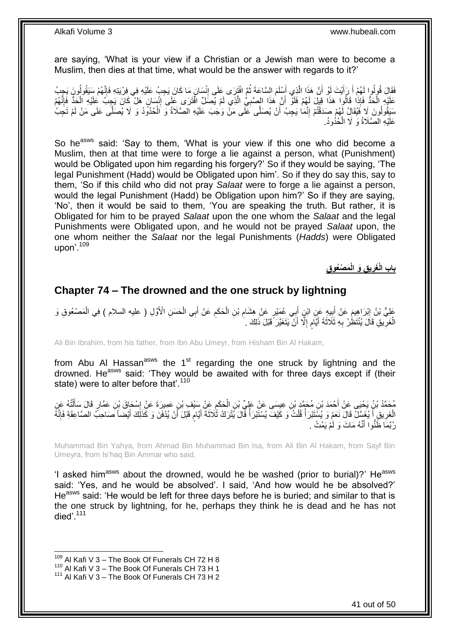are saying, 'What is your view if a Christian or a Jewish man were to become a Muslim, then dies at that time, what would be the answer with regards to it?'

فَقَالَ قُولُوا لَهُمْ أَ رَأَيْتَ لَوْ أَنَّ هَذَا الَّذِي أَسْلَمَ السَّاعَةَ ثُمَّ افْتَرَى عَلَى إِنْسَانٍ مَا كَانَ يَجِبُ عَلَيْهِ فِي فِرْيَتِهِ فَإِنَّهُمْ سَيَقُولُونَ يَجِبُ َّ َ َ َ ا∣<br>ِ∘ِ ِ ان<br>المقامات َ عَلَيْهِ الْحَدُّ فَإِذَا قَالُوا هَذَا قِيلَ لَهُمْ فَلَقَ أَنَّ هَذَا الصَّنِيُّ الَّذِي لَمْ يُصَلِّ افْتَرَى عَلَى إِنْسَانٍ هَلْ كَانَ يَجِبُ عَلَيْهِ الْحَدُّ فَإِنَّهُمْ ِ َّ ِ ْ ا∣<br>ِ∘ ْ سَيَقُولُونَ لَا فَيُقَالُ لَهُمْ صَدَقْتُمْ إِنَّمَا يَجِبُ أَنْ يُصَلَّى كَلَى مَنْ وَجَبَ عَلَيْهِ الصَّلَاةُ وَ الْحُدُوَدُ وَ لَا يُصَلَّى عَلَى مَنْ لَمْ تَجِبْ ْ اُ יִי (ו عَلَيْهِ الصَّلَاةُ وَ لَا الْحُذُودُ. ْ

So he<sup>asws</sup> said: 'Say to them, 'What is your view if this one who did become a Muslim, then at that time were to forge a lie against a person, what (Punishment) would be Obligated upon him regarding his forgery?' So if they would be saying, 'The legal Punishment (Hadd) would be Obligated upon him'. So if they do say this, say to them, 'So if this child who did not pray *Salaat* were to forge a lie against a person, would the legal Punishment (Hadd) be Obligation upon him?' So if they are saying, 'No', then it would be said to them, 'You are speaking the truth. But rather, it is Obligated for him to be prayed *Salaat* upon the one whom the *Salaat* and the legal Punishments were Obligated upon, and he would not be prayed *Salaat* upon, the one whom neither the *Salaat* nor the legal Punishments (*Hadds*) were Obligated upon'.<sup>109</sup>

> **َم ْصُعو ِق ِق َو الْ ي باب الْ َغر ِ**

## <span id="page-40-0"></span>**Chapter 74 – The drowned and the one struck by lightning**

عَلِيُّ بْنُ إِبْرَاهِيمَ عَنْ أَبِيهِ عَنِ ابْنِ أَبِي عُمَيْرٍ عَنْ هِشَامٍ بْنِ الْحَكَمِ عَنْ أَبِي الْحَسَنِ الْأَوَّلِ ( عليه السلام ) فِي الْمَصْعُوقِ وَ ْ َ ِ ْ ِ َ ِ َ יִין<br>: ْ الْغَرِيقِ قَالَ يُنْتَظِّرُ بِهِ ثَلَاثَةَ أَيَّامٍ إِلَّا أَنْ يَتَغَيَّرَ قَبْلَ ذَلِكَ مَ اً ِ ٍ َ ِ ِ ْ

Ali Bin Ibrahim, from his father, from Ibn Abu Umeyr, from Hisham Bin Al Hakam,

from Abu Al Hassan<sup>asws</sup> the  $1<sup>st</sup>$  regarding the one struck by lightning and the drowned. He<sup>asws</sup> said: 'They would be awaited with for three days except if (their state) were to alter before that'.<sup>110</sup>

مُحَمَّدُ بْنُ يَحْيَى عَنْ أَحْمَدَ بْنِ مُحَمَّدٍ بْنِ عِيسَى عَنْ عَلِيِّ بْنِ الْحَكَمِ عَنْ سَيْفٍ بْنِ عَمِيرَةَ عَنْ إِسْحَاقَ بْنِ عَمَّارٍ قَالَ سَأَلْتُهُ عَنِ<br>وَجَمَّدُ بَنِي عَمَّارِ قَالَ سَأَلْتُهُ عَنِّ  $\ddot{\phantom{a}}$ ْ َ ْ َ  $\frac{1}{2}$ اً الْغَرِيقِ أَ يُغَسَّلُ قَالَ نَعَمْ وَ يُسْتَبْرَأُ قُلْتُ وَ كَيْفَ يُسْتَبْرَأُ قَالَ يُتْرَكُ ثَلَاثَةَ أَيَّامٍ قَبْلَ أَنْ يُذْفَنَ وَ كَذَلِكَ أَيْضاً صَاحِبً الصَّاعِقَةِ فَإِنَّهُ ֧֧֚֓֝֝֓֝ َ ان<br>ا ْ المناسبة المناسبة المناسبة.<br>والمناسبة ا<br>أ ِ ْ  $\frac{1}{2}$ َ رُبَّمَا ظَّنُّوا أَنَّهُ مَاتَ وَ لَٰمْ يَمُتْ <sub>.</sub> َ

Muhammad Bin Yahya, from Ahmad Bin Muhammad Bin Isa, from Ali Bin Al Hakam, from Sayf Bin Umeyra, from Is'haq Bin Ammar who said,

'I asked him<sup>asws</sup> about the drowned, would he be washed (prior to burial)?' He<sup>asws</sup> said: 'Yes, and he would be absolved'. I said, 'And how would he be absolved?' He<sup>asws</sup> said: 'He would be left for three days before he is buried; and similar to that is the one struck by lightning, for he, perhaps they think he is dead and he has not died'.<sup>111</sup>

 $109$  Al Kafi V 3 – The Book Of Funerals CH 72 H 8

<sup>110</sup> Al Kafi V  $3 -$  The Book Of Funerals CH 73 H 1

<sup>111</sup> Al Kafi V 3 – The Book Of Funerals CH 73 H 2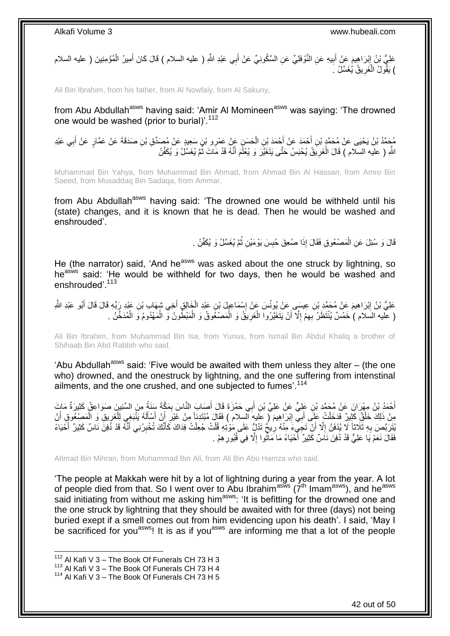عَلِيُّ بْنُ إِبْرَاهِيمَ عَنْ أَبِيهِ عَنِ النَّوْفَلِيِّ عَنِ السَّكُونِيِّ عَنْ أَبِي عَبْدِ اللَّهِ ( عليه السلام ) قَالَ كَانَ أَمِيرُ الْمُؤْمِنِينَ ( عليه السلام َ **!** َ ِ ْ َ ) يَقُولُ الْغَرِيقُ يُغَسَّلُ كَ ِ ْ

Ali Bin Ibrahim, from his father, from Al Nowfaly, from Al Sakuny,

from Abu Abdullah<sup>asws</sup> having said: 'Amir Al Momineen<sup>asws</sup> was saying: 'The drowned one would be washed (prior to burial)'.<sup>112</sup>

مُحَمَّدُ بْنُ يَحْيَى عَنْ مُحَمَّدٍ بْنِ أَحْمَدَ عَنْ أَحْمَدَ بْنِ الْحَسَنِ عَنْ عَمْرِو بْنِ سَعِيدٍ عَنْ مُصَدِّقٍ بْنِ صَدَقَةَ عَنْ عَمَّارٍ عَنْ أَبِي عَبْدِ<br>يَعْمَدُ بْنُ يَجْدَى عَيْنِ الْمُدَامِنِ فَيْ الْحَس ْ َ َ ِ َ اللَّهِ ( عليه السلّام ) قَالَ الْغَرِيقُ يُحْبَسُ حَتَّى يَتَغَيَّرَ وَ يُعْلَمَ أَنَّهُ قَدْ مَاتَ ثُمَّ يُغَسَّلُ وَ يُكَفَّنُ ُ َ ِ ْ

Muhammad Bin Yahya, from Muhammad Bin Ahmad, from Ahmad Bin Al Hassan, from Amro Bin Saeed, from Musaddaq Bin Sadaqa, from Ammar,

from Abu Abdullah<sup>asws</sup> having said: 'The drowned one would be withheld until his (state) changes, and it is known that he is dead. Then he would be washed and enshrouded'.

> قَالَ وَ سُئِلَ عَنِ الْمَصْعُوقِ فَقَالَ إِذَا صُعِقَ حُبِسَ يَوْمَيْنِ ثُمَّ يُغَسَّلُ وَ يُكَفَّنُ . ان<br>المقامات المقامات المقامات المقامات المقامات المقامات المقامات المقامات المقامات المقامات المقامات المقامات<br>المقامات المقامات المقامات المقامات المقامات المقامات المقامات المقامات المقامات المقامات المقامات المقامات ِ ْ

He (the narrator) said, 'And he<sup>asws</sup> was asked about the one struck by lightning, so heasws said: 'He would be withheld for two days, then he would be washed and enshrouded'<sup>113</sup>

عَلِيُّ بْنُ إِبْرَاهِيمَ عَنْ مُحَمَّدِ بْنِ عِيسَى عَنْ يُونُسَ عَنْ إِسْمَاعِيْلَ بْنِ عَبْدِ الْخَالِقِ أَخِي شِهَابِ بْنِ عَبْدِ رِبِّهِ قَالَ قَالَ أَبُو عَبْدِ الثَّهِ َ ْ ِ ِ َ ( عَلَيه السَلام ) خَمْسٌ يُنْتَظَرُ بِهِمْ إِلَّآ أَنْ يَتَغَيَّرُوا الْغَرِيقُ وَ الْمَصْغُوقُ وَ الْمَبْطُونُ وَّ الْمَهْدُومُ وَ الْمُدَخَّنُ . **∶** ْ ِ ِ ْ ْ ْ ْ

Ali Bin Ibrahim, from Muhammad Bin Isa, from Yunus, from Ismail Bin Abdul Khaliq a brother of Shihaab Bin Abd Rabbih who said,

'Abu Abdullah<sup>asws</sup> said: 'Five would be awaited with them unless they alter – (the one who) drowned, and the onestruck by lightning, and the one suffering from intenstinal ailments, and the one crushed, and one subjected to fumes'.<sup>114</sup>

أَحْمَدُ بْنُ مِهْرَانَ عَنْ مُحَمَّدِ بْنِ عَلِيٍّ عَنْ عَلِيٍّ بْنِ أَبِي حَمْزَةَ قَالَ أَصَابَ النَّاسَ بِمَكَّةَ سَنَةً مِنَ السِّنْنِينَ صَوَاعِقُ كَثِيرَةٌ مَاتَ<br>يَهْمُدُ بِّنَّ يَسْمَعُ الْجَمَعَةِ بِّنِ عَلِيٍّ ع َ ِ َ مِنْ ذَلِكَ خَلْقٌ كَثِيرٌ فَدَخَلْتُ عَلَى أَبِي إِبْرَاهِيمَ ( عِلَيه السلام ) فَقَالَ مُنْتَدِئًا مِنْ غَيْرِ أَنْ أَسْأَلَهُ يَنْبَغِي لِلْغَرِيقِ وَ الْمَصْعُوقِ أَنْ لَ ĺ َ َ ِ <u>֖֓</u> َ ْ َ ْ ِ ْ يُثَرَبَّصَ بِهِ ثَلَاثًا لَا يُدْفَنُ إِلَّا أَنْ تَجِيءَ مِنْهُ رِيخٌ تَدُلٍّ عَلَى مَوْتِهِ قُلْتُ جُعِلْتُ فِذاكَ كَأَنَّكَ تُخْبِرُنِي أَنَّهُ قَدْ دُفِنَ نَاسٌ كَثِيرٌ أَخْيَاءً اً ِ **∶** َ َ ِ َ ْ ْ ِ فَقَالَ نَعَمْ يَا عَلِيُّ قَدْ دُفِنَ نَـاَسٌ كَثِيرٌ ۖ أَحْيَاءً مَا مَاَتُوا إِلَّا فِي قُبُورِ هِمْ . َ ِ ِ

Ahmad Bin Mihran, from Muhammad Bin Ali, from Ali Bin Abu Hamza who said,

'The people at Makkah were hit by a lot of lightning during a year from the year. A lot of people died from that. So I went over to Abu Ibrahim<sup>asws</sup> ( $7<sup>th</sup>$  Imam<sup>asws</sup>), and he<sup>asws</sup> said initiating from without me asking him<sup>asws</sup>: 'It is befitting for the drowned one and the one struck by lightning that they should be awaited with for three (days) not being buried exept if a smell comes out from him evidencing upon his death'. I said, 'May I be sacrificed for you<sup>asws</sup>! It is as if you<sup>asws</sup> are informing me that a lot of the people

 $112$  Al Kafi V 3 – The Book Of Funerals CH 73 H 3

<sup>113</sup> Al Kafi V  $3 -$  The Book Of Funerals CH 73 H 4

<sup>114</sup> Al Kafi V 3 – The Book Of Funerals CH 73 H 5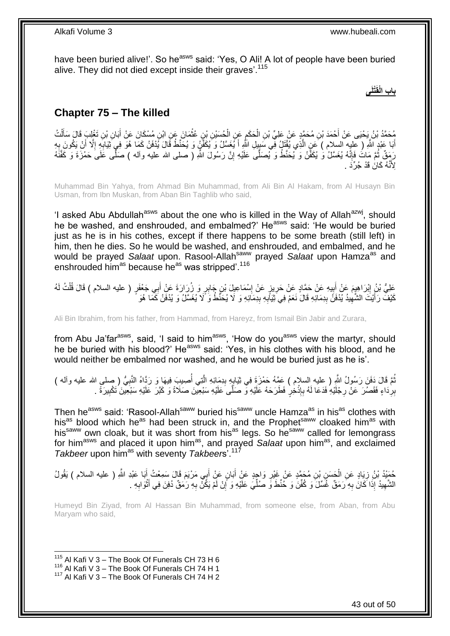have been buried alive!'. So he<sup>asws</sup> said: 'Yes, O Ali! A lot of people have been buried alive. They did not died except inside their graves'.<sup>115</sup>

**ْتلَى باب الْقَ**

## <span id="page-42-0"></span>**Chapter 75 – The killed**

مُحَمَّدُ بْنُ يَحْيَى عَنْ أَحْمَدَ بْنِ مُحَمَّدٍ عَنْ عَلِيِّ بْنِ الْحَكَمِ عَنِ الْحُسَيْنِ بْنِ عُثْمَانَ عَنِ ابْنِ مُسْكَانَ عَنْ أَبَانِ بْنِ تَغْلِبَ قَالَ سَأَلْتُ<br>مُحَمَّدُ بْنُ يَحْيَى عَنْ أَحْمَدَ بْنِ مُحَم ْ ْ ِ ْ َ ْ َ َ أَبَا عَبْدٍ اللَّهِ ( عَلِيهِ السلام ) عَنِ الَّذِي يُقْتَلُ فَي سَبِيلِ اللَّهِ أَ يُغَسَّلُ وَ يُكَفَّنُ وَ يُحَنَّطُ قَالَ يُدْفَنُ كَمَا هُوَ فِي َتَيَابِهِ إِلَّا أَنْ يَكُونَ بِهِ َ ِ ِ َ ¦<br>₹ َّ ِ َ رَمَقٌ ثُمَّ مَاتُ فَإِنَّهُ يُغَسَّلُ وَ يُكفَّنُ وَ يُحَنَّطُ وَ يُصَلَّى عَلَيْهِ إِنَّ رَسُولَ اللَّهِ ( صلى الله عليه وآله ) صَلَّى عَلَى حَمْزَةَ وَ كَفَّنَهُ ِ  $\frac{1}{2}$ ٔ.<br>ـ ِلِأَنَّهُ كَانُ قَدْ جُرِّدَ .

Muhammad Bin Yahya, from Ahmad Bin Muhammad, from Ali Bin Al Hakam, from Al Husayn Bin Usman, from Ibn Muskan, from Aban Bin Taghlib who said,

'I asked Abu Abdullah<sup>asws</sup> about the one who is killed in the Way of Allah<sup>azwj</sup>, should he be washed, and enshrouded, and embalmed?' He<sup>asws</sup> said: 'He would be buried just as he is in his cothes, except if there happens to be some breath (still left) in him, then he dies. So he would be washed, and enshrouded, and embalmed, and he would be prayed *Salaat* upon. Rasool-Allah<sup>saww</sup> prayed *Salaat* upon Hamza<sup>as</sup> and enshrouded him<sup>as</sup> because he<sup>as</sup> was stripped'.<sup>116</sup>

عَلِيُّ بْنُ إِبْرَاهِيمَ عَنْ جَمَّادٍ عَنْ حَمَّادٍ عَنْ حَرِيزٍ عَنْ إِسْمَاعِيلَ بْنِ جَابِرٍ وَ زُرَارَةَ عَنْ أَبِي جَعْفَرٍ ( عليه السلام ) قَالَ قُلْتُ لَهُ ∣l<br>∶ **∶**  $\ddot{\ddot{\ }}$ َ ِ ْ َ كَيْفَ ۖ زَأَيْتَ الشَّهِيدُ يُدْفَنُ بِدِمَالَهِ قَالَ نَعَمْ فِي َثِيَالِهِ بِدِمَالِهِ وَ لَا يُحَنَّطُ وَ لَا يُغَسَّلُ وَ يُدْفَنُ كَمَّا هُوَ **ِ** ِ ِ ِ َ

Ali Bin Ibrahim, from his father, from Hammad, from Hareyz, from Ismail Bin Jabir and Zurara,

from Abu Ja'far<sup>asws</sup>, said, 'I said to him<sup>asws</sup>, 'How do you<sup>asws</sup> view the martyr, should he be buried with his blood?' He<sup>asws</sup> said: 'Yes, in his clothes with his blood, and he would neither be embalmed nor washed, and he would be buried just as he is'.

نُّمَ قَالَ دَفَنَ رَسُولُ اللَّهِ ( عليه السلام ) عَمَّهُ حَمْزَةَ فِي ثِيَابِهِ بِدِمَائِهِ الَّذِي أُصِيبَ فِيهَا وَ رَدَّاهُ النَّبِيُّ ( صلى الله عليه وأله ) ا<br>ا َّ ِ ¦ ُ ِ بِرِدَاءٍ فَقَصُرَ عَنْ رِجْلَيْهِ فَدَعَا لَهُ بِإِذْخِرٍ فَطَرَحَهُ عَلَيْهِ وَ صَلَّى عَلَيْهِ سَبْعِينَ صَلَاةً وَ كَبَّرَ عَلَيْهِ سَبْعِينَ تَكْبِيرَةً . ِ **∶** ِ **ٔ** ِ

Then he<sup>asws</sup> said: 'Rasool-Allah<sup>saww</sup> buried his<sup>saww</sup> uncle Hamza<sup>as</sup> in his<sup>as</sup> clothes with his<sup>as</sup> blood which he<sup>as</sup> had been struck in, and the Prophet<sup>saww</sup> cloaked him<sup>as</sup> with his<sup>saww</sup> own cloak, but it was short from his<sup>as</sup> legs. So he<sup>saww</sup> called for lemongrass for him<sup>asws</sup> and placed it upon him<sup>as</sup>, and prayed *Salaat* upon him<sup>as</sup>, and exclaimed *Takbeer* upon him<sup>as</sup> with seventy *Takbeers*<sup>'.117</sup>

حُمَيْدُ بْنُ زِيَادٍ عَنِ الْحَسَنِ بْنِ مُحَمَّدٍ عَنْ غَيْرِ وَاجِدٍ عَنِْ أَبَانٍ عَنِْ أَبِي مَرْيَمَ قَالَ سَمِعْتُ أَبَا عَبْدِ اللَّهِ ( عليه السلام ) يَقُولُ َ َ َ ِ ْ ِ الشَّهِيدُ إِذَا كَانَ بِهِ رَمَقٌ غُسِّلَ َو كُفِّنَ وَ حُنِّطَ وَ صُلِّيَ عَلَيْهِ وَ إِنْ لَمْ يَكُنْ بِهِ رَمَقٌ دُفِنَ فِي أَثْوَابِهِ . ِ ِّ ِ ِ ِ ْ َ ِ لَ

Humeyd Bin Ziyad, from Al Hassan Bin Muhammad, from someone else, from Aban, from Abu Maryam who said,

 $115$  Al Kafi V 3 – The Book Of Funerals CH 73 H 6

<sup>116</sup> Al Kafi V  $3 -$  The Book Of Funerals CH 74 H 1

<sup>117</sup> Al Kafi V 3 – The Book Of Funerals CH 74 H 2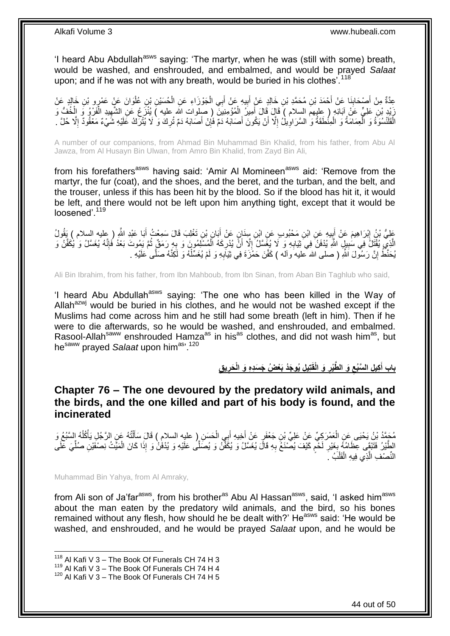'I heard Abu Abdullah<sup>asws</sup> saying: 'The martyr, when he was (still with some) breath, would be washed, and enshrouded, and embalmed, and would be prayed *Salaat* upon; and if he was not with any breath, would be buried in his clothes<sup>'.118</sup>

عِدَّةٌ مِنْ أَصْحَابِذَا عَنْ أَحْمَدَ بْنِ مُحَمَّدِ بْنِ خَالِدٍ عَنْ أَبِيهِ عَنْ أَبِي الْجَوْزَاءِ عَنِ الْحُسَيْنِ بْنِ عُلْوَانَ عَنْ عَمْرِو بْنِ خَالِدٍ عَنْ<br>حَمَّدَتُّ مِنْ أَصْحَابِهِ حَمَّدَ مِنْ يَنْصُحَمَّد ْ ْ َ **!** َ َ ِ َ ْ َ يَذِرْ بْنِ عَلِيٍّ عَنْ آبَائِهِ ( عِليهمَ السلام ) قَالَ قَالَ أُمِيزُ الْمُؤْمِنِيَنَ ( صلوات الله عليه ) يُنْزَعُ عَنِ الشَّهِيدِ الْفَرْوُ وَ الْخُفُّ وَ ْ َ ْ ِ الْقَلْسُوَةُ وَ الْعِمَامَةُ وَ الْمِنْطَقَةُ وَ السَّرَاوِيلُ إِلَّا أَنْ يَكُونَ أَصَابَهُ دَمِّ فَإِنْ أَصَابَهُ دَمْ تُرِكَ وَ لَا يُثْرَكُ عَلَيْهِ شَيْءٌ مَعْقُودٌ إِلَّا حُلَّ . ْ ْ ِ َ ِ اً ِ ِ ِ

A number of our companions, from Ahmad Bin Muhammad Bin Khalid, from his father, from Abu Al Jawza, from Al Husayn Bin Ulwan, from Amro Bin Khalid, from Zayd Bin Ali,

from his forefathers<sup>asws</sup> having said: 'Amir AI Momineen<sup>asws</sup> aid: 'Remove from the martyr, the fur (coat), and the shoes, and the beret, and the turban, and the belt, and the trouser, unless if this has been hit by the blood. So if the blood has hit it, it would be left, and there would not be left upon him anything tight, except that it would be loosened'.<sup>119</sup>

عَلِيُّ بْنُ إِبْرَاهِيمَ عَنْ أَبِيهِ عَنِ ابْنِ مَحْبُوبِ عَنِ ابْنِ سِنَانٍ عَنْ أَبَانٍ بْنِ تَغْلِبَ قَالَ سَمِعْتُ أَبَا عَبْدِ اللَّهِ ( عليه السلام ) يَقُولُ<br>يَجِبُّ ثُمِّنَ إِنَّ الْمَسْلَمِينَ عَنْ أَبِيهِ عَنِ َ **!** َ ِ َ الَّذِيِّ يُقْتَلُ فِي سَٰبِيلِ اللَّهِ يُدْفَنُ فِي َثِيَابِهِ وَ لَا يُغَسَّلُ إِلَّا أَنَّ يُدْرِكَهُ الْمُسْلَمُونَ وَ بِهِ رَمَقٌ ثُمَّ يَمُوتَ بَعْدُ فَإِنَّهُ يُغَسَّلُ وَ يُكَفَّنُ وَ **∶** ْ ِ ِ ِ **!**  $\frac{1}{2}$ ُ يُحَنَّطُ إِنَّ رَسُولَ اللَّهِ ( صلى الله عليه وآله ) كَفَّنَ حَمْزَةَ فِي ثِيَابِهِ وَ لَمْ يُغَسِّلْهُ وَ لَكِنَّهُ صَلَّى عَلَيْهِ . ْ **∶** اٍ

Ali Bin Ibrahim, from his father, from Ibn Mahboub, from Ibn Sinan, from Aban Bin Taghlub who said,

'I heard Abu Abdullah<sup>asws</sup> saying: 'The one who has been killed in the Way of Allah<sup>azwj</sup> would be buried in his clothes, and he would not be washed except if the Muslims had come across him and he still had some breath (left in him). Then if he were to die afterwards, so he would be washed, and enshrouded, and embalmed. Rasool-Allah<sup>saww</sup> enshrouded Hamza<sup>as</sup> in his<sup>as</sup> clothes, and did not wash him<sup>as</sup>, but he<sup>saww</sup> prayed *Salaat* upon him<sup>as, 120</sup>

> باب أَكِيلِ السَّبُعِ وَ الطَّيْرِ وَ الْقَتِيلِ يُوجَدُ بَعْضُ جَسَدِهِ وَ الْحَرِيقِ **ِ ِ ِ َ**

<span id="page-43-0"></span>**Chapter 76 – The one devoured by the predatory wild animals, and the birds, and the one killed and part of his body is found, and the incinerated**

َ مُحَمَّدُ بْنُ يَحْيَى عَنِ الْعَمْرَكِيِّ عَنْ عَلِيِّ بِنِ جَعْفَرٍ عَنْ أَخِيهِ أَبِي الْحَسَنِ ( عليهِ السلامِ ) قَالَ سَأَلْتُهُ عَنِ الرَّجُلِ يَأْكُلُهُ السَّبُعُ وَ<br>مُتَّذِهِ بَيْنَ يَحْيَى عَنِ الْعَمْرَكِيِّ عَنْ ْ َ َ ْ ُ **ٔ** الطَّيْرُ. فَتَنْقَى عِظَامُهُ بِغَيْرِ لَحْمٍ كَيْفَ يُصَّنْعُ بِهِ قَالَ يُغَسَّلُ وَ يُكَفِّنُ وَ يُصَلِّى عَلَيْهِ وَ يُدْفُنُ وَ إِذَا كَانَ الْمَيَّتُ نِصْفَيْنِ صُلِّيَ عَلَى ِ ٍ لَ ِ ِ ِّ ْ ْ النِّصْفِ الَّذِي فِيهِ الْقَلْبُ ۚ ـَ ْ ئ<br>إ

Muhammad Bin Yahya, from Al Amraky,

1

from Ali son of Ja'far<sup>asws</sup>, from his brother<sup>as</sup> Abu Al Hassan<sup>asws</sup>, said, 'I asked him<sup>asws</sup> about the man eaten by the predatory wild animals, and the bird, so his bones remained without any flesh, how should he be dealt with?' He<sup>asws</sup> said: 'He would be washed, and enshrouded, and he would be prayed *Salaat* upon, and he would be

 $118$  Al Kafi V 3 – The Book Of Funerals CH 74 H 3

<sup>119</sup> Al Kafi V  $3 -$  The Book Of Funerals CH 74 H 4

<sup>120</sup> Al Kafi V 3 – The Book Of Funerals CH 74 H 5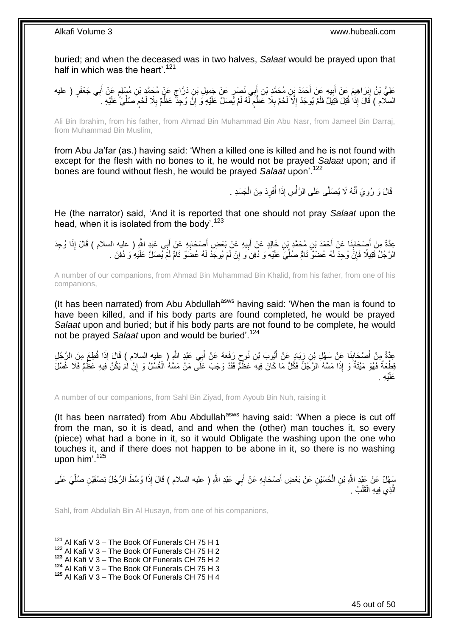buried; and when the deceased was in two halves, *Salaat* would be prayed upon that half in which was the heart'.<sup>121</sup>

عَلِيُّ بْنُ إِبْرَاهِيمَ عَنْ أَبِيهِ عَنْ أَحْمَدَ بْنِ مُحَمَّدِ بْنِ أَبِي نَصْرٍ عَنْ جَمِيلِ بْنِ دَرَّاجٍ عَنْ مُحِمَّدٍ بْنِ مُسْلِمٍ عَنْ أَبِي جَعْفَرٍ ( عليه ון<br>בי ِ َ ٍ ٍ َ ا<br>ا **!** السلّام ) قَالَ إِذَا قُتِلَ قَتِيلٌ فَلَمْ يُوجَدْ إِلَّا لَحْمٌ بِلَا عََظْمٍ لَّهُ لَمْ يُصَلِّ عَلَيْهِ وَ إِنَّ وُجِدًّ عَظْمٌ بِلَا لَحْمٍ صَلُّيَ ۢ عَلَيْهِ . ِ لَ ֧֖֖֖֧֖֧֧֧֧֧֧֧֧֧֧֧֚֚֚֚֓֝֝֝֝֟֓֟֓֝֬֝֓֝֬֟֓֟֓֬֝֓֟֓֟֓֝֬֝֓֝֓֟֓֝֬֝֬֝֓֝֬֝֓֝֬ ِ ِ ِّ ֧֖֖֖֖֧֧֧֧֦֧ׅ֧֧ׅ֧֛֧ׅ֧֛֛֛֚֚֚֚֚֚֚֚֓֝֝֬֝֟֓֝֓֝֓֝֓֜֟֓֟֓֝֬֜֓֜֜֡֓֜֜֜ ِ

Ali Bin Ibrahim, from his father, from Ahmad Bin Muhammad Bin Abu Nasr, from Jameel Bin Darraj, from Muhammad Bin Muslim,

from Abu Ja'far (as.) having said: 'When a killed one is killed and he is not found with except for the flesh with no bones to it, he would not be prayed *Salaat* upon; and if bones are found without flesh, he would be prayed *Salaat* upon'.<sup>122</sup>

> ُ قَالَ وَ رُوِيَ أَنَّهُ لَا يُصَلَّى عَلَى الرَّأْسِ إِذَا أَفْرِدَ مِنَ الْجَسَدِ . :<br>أ َ ِ ْ ِ

He (the narrator) said, 'And it is reported that one should not pray *Salaat* upon the head, when it is isolated from the body'.<sup>123</sup>

عِدَّةٌ مِنْ أَصِدَابِنَا عَنْ أَحْمَدَ بْنِ مُحَمَّدٍ بْنِ خَالِدٍ عَنْ أَبِيهِ عَنْ بَعْضِ أَصْحَابِهِ عَنْ أَبِي عَبْدِ اللَّهِ ( عليه السلام ) قَالَ إِذَا وُجِدَ<br>وَعَيْدُ الْمَرْكَبِ الْمَسْلَمِينَ مَنْ الْمَحْمَدِ بْ **∶** َ **!** َ َ **ِ** َ الرَّجُلُ قَتِيلًا فَإِنَّ وُجِدَ لَهُ عُضْوٌّ تَامٌّ صُلِّيَ عَلَيْهِ وَ دُفِنَ وَ إِنْ لَمْ يُوجَدْ لَهُ عُضَوٌّ تَامٌّ لَمْ يُصَلَّ عَلَيْهِ وَ دُفِنَ . ِ ِّ ِ

A number of our companions, from Ahmad Bin Muhammad Bin Khalid, from his father, from one of his companions,

(It has been narrated) from Abu Abdullah<sup>asws</sup> having said: 'When the man is found to have been killed, and if his body parts are found completed, he would be prayed *Salaat* upon and buried; but if his body parts are not found to be complete, he would not be prayed *Salaat* upon and would be buried'.<sup>124</sup>

عِدَّةٌ مِنْ أَصْحَابِنَا عَنْ سَهْلِ بْنِ زِيَادٍ عَنْ أَيُّوبَ بْنِ نُوحٍ رَفَعَهُ عَنْ أَبِي عَبْدِ اللَّهِ ( عليه السلام ) قَالَ إِذَا قُطِعَ مِنَ الرَّجُلِ<br>-َ ٍ َ ֦֧֦֧֦ ِ َ قِطْعَةٌ فَهُوَ مَيْتَةٌ وَ إِذَا مَسَّهُ الرَّجُلُ فَكُلُّ مَا كَانَ فِيهِ عَظْمٌ فَقَدْ وَجَبَ عَلَى مَنْ مَسَّهُ الْغُسْلُ وَ إِنْ لَمْ يَكُنْ فِيهِ عَظَّمٌ فَلَا غُسْلَ ْ ِ عَلَيْهِ .

A number of our companions, from Sahl Bin Ziyad, from Ayoub Bin Nuh, raising it

(It has been narrated) from Abu Abdullah<sup>asws</sup> having said: 'When a piece is cut off from the man, so it is dead, and and when the (other) man touches it, so every (piece) what had a bone in it, so it would Obligate the washing upon the one who touches it, and if there does not happen to be abone in it, so there is no washing upon him'. $125$ 

سَهْلٌ عَنْ عَبْدِ اللَّهِ بْنِ الْحُسَيْنِ عَنْ بَعْضِ أَصْحَابِهِ عَنْ أَبِي عَبْدِ اللَّهِ ( عليه السلام ) قَالَ إِذَا وُسِّطَ الرَّجُلُ نِصْفَيْنِ صُلِّيَ عَلَى َ **∶** َ ْ ِّ الَّذِي فِيهِ الْقَلْبُ . ْ ْ َّ

Sahl, from Abdullah Bin Al Husayn, from one of his companions,

 $121$  Al Kafi V 3 – The Book Of Funerals CH 75 H 1

 $122$  Al Kafi V 3 – The Book Of Funerals CH 75 H 2

<sup>123</sup> Al Kafi V 3 – The Book Of Funerals CH 75 H 2

<sup>124</sup> Al Kafi V 3 – The Book Of Funerals CH 75 H 3

**<sup>125</sup>** Al Kafi V 3 – The Book Of Funerals CH 75 H 4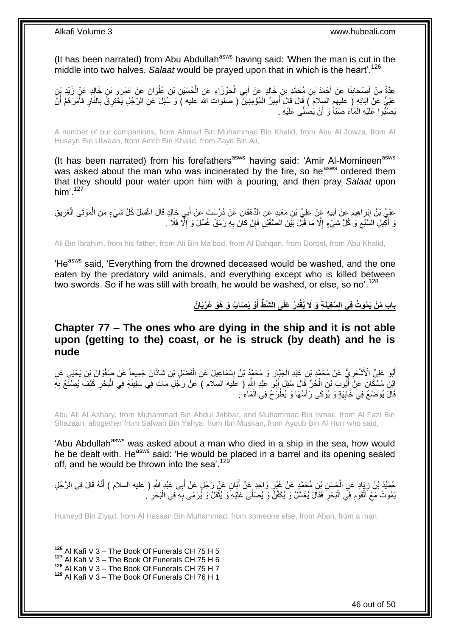(It has been narrated) from Abu Abdullah<sup>asws</sup> having said: 'When the man is cut in the middle into two halves, *Salaat* would be prayed upon that in which is the heart'.<sup>126</sup>

عِدَّةٌ مِنْ أَصْحَابِذَا عَنْ أَحْمَدَ بْنِ مُحَمَّدِ بْنِ خَالِدٍ عَنْ أَبِي الْجَوْزَاءِ عَنِ الْحُسَيْنِ بْنِ عُلْوَانَ عَنْ عَمْرِو بْنِ خَالِدٍ عَنْ زَيْدِ بْنِ<br>يَذَهِّ مَنْ أَصْحَابِذَا عَنْ أَحْمَدَ بْنِ مُحَمَّدٍ ْ ْ ْ َ َ **∣** َ عَلِيٍّ عَنْ آبَائِهٍ ( عليهمِ السلام ) قَالَ قَالَ أُمِيرُ الْمُؤْمِنِينَ ( صلوات الله عليه ) وَ سُئِلَ عَنِ الرَّجُلِ يَحْتَرِقُ بِالنَّارِ فَأَمَرَهُمْ أَنْ ْ َ َ َ ِ ِ ِ يَصُنُّوا عَلَيْهِ الْمَاءَ صَبّاً وَ أَنْ يُصَلَّى عَلَيْهِ . َ ْ

A number of our companions, from Ahmad Bin Muhammad Bin Khalid, from Abu Al Jowza, from Al Husayn Bin Ulwaan, from Amro Bin Khalid, from Zayd Bin Ali,

(It has been narrated) from his forefathers<sup>asws</sup> having said: 'Amir Al-Momineen<sup>asws</sup> was asked about the man who was incinerated by the fire, so he<sup>asws</sup> ordered them that they should pour water upon him with a pouring, and then pray *Salaat* upon him' $127$ 

عَلِيُّ بْنُ إِبْرَاهِيمَ عَنْ أَبِيهِ عَنْ عَلِيٍّ بْنِ مَعْبَدٍ عَنِ الدِّهْقَانِ عَنْ دُرُسْتَ عَنْ أَبِي خَالِدٍ قَالَ اغْسِلْ كُلَّ شَيْءٍ مِنَ الْمَوْتَى الْغَرِيقِ َ ِ َ ِ ْ ْ َّ أَكِيلِ السَّبُعِ وَ كُلَّ شَيْءٍ إِلَّا مَا قُتِّلَ بَيْنَ الصَّفَّيْنِ فَإِنْ كَانَ بِهِ رَمَقٌ غُسِّلَ وَ إِلَّا فَلَا ۚ ـ  $\zeta$ ֖֧֦֪֪֪֪֪֪֪֚֚֚֚֝֠֝֟֓֡֟֩֬֟֓֡֟֓֡֟֓֟֓֡֟֩֬֓֡֟֩֓֓֞֟֓֞֟֓֡֟֓֡֟֩֓֓֞֟֓֡֬֓֞֞֩֞֩֞֞֟֓֞֞֞֟֝֬֝֬֞֝֬֝֬֞֝֬֝֓֞֝֬ ِ ِ ِ ِ

Ali Bin Ibrahim, from his father, from Ali Bin Ma'bad, from Al Dahqan, from Dorost, from Abu Khalid,

'He<sup>asws</sup> said, 'Everything from the drowned deceased would be washed, and the one eaten by the predatory wild animals, and everything except who is killed between two swords. So if he was still with breath, he would be washed, or else, so no'.<sup>128</sup>

> باب مَنْ يَمُوتُ فِي السَّفِينَةِ وَ لَا يُقْدَرُ عَلَى الشَّطَّ أَوْ يُصَابُ وَ هُوَ عُرْيَانٌ **َ**

<span id="page-45-0"></span>**Chapter 77 – The ones who are dying in the ship and it is not able upon (getting to the) coast, or he is struck (by death) and he is nude**

أَبُو عَلِيٍّ الْأَشْعَرِ يُ عَنْ مُحَمَّدٍ بْنِ عَبْدِ الْجَبَّارِ وَ مُحَمَّدُ بْنُ إِسْمَاعِيلَ عَنِ الْفَضْلِ بْنِ شَاذَانَ جَمِيعاً عَنْ صَفْوَانَ بْنِ يَحْيَى عَنِ ِ **∶** ْ **∶** َ ْ ابْنِ مُسْكَانَ عَنْ أَيُّوبَ بْنِ اِلْحُرِّ قَالَ سُئِلَ أَبُو عَبْدِ اللَّهِ ( علَيه السلام ) عَنْ رَجُلٍ مَاتَ فِي سَفِينَةٍ فِي الْبَحْرِ كَيْفَ يُصْنَعُ بِهِ ْ َ **∶** ِ ْ قَالََ يُوضَعُ فِي خَابِيَةٍ وَ يُومَى رَأْسُهَا وَ يُطْرَحُ فِي الْمَاءِ ۢ. ْ **ٔ !** 

Abu Ali Al Ashary, from Muhammad Bin Abdul Jabbar, and Muhammad Bin Ismail, from Al Fazl Bin Shazaan, altogether from Safwan Bin Yahya, from Ibn Muskan, from Ayoub Bin Al Hurr who said,

'Abu Abdullah<sup>asws</sup> was asked about a man who died in a ship in the sea, how would he be dealt with. He<sup>asws</sup> said: 'He would be placed in a barrel and its opening sealed off, and he would be thrown into the sea'.<sup>129</sup>

مُبَدُّ بْنُ زِيَادٍ عَنِ الْجَسَنِ بْنِ مُحَمَّدٍ عَنْ غَيْرِ وَاحِدٍ عَنْ أَبَانٍ عَنْ رَجُلٍ عَنْ أَبِي عَبْدٍ اللَّهِ ( عليه السلام ) أَنَّهُ قَالَ فِي الرَّجُلِ ْ ِ َ َ َ **∶** ْبَعُوتُ مَعَ الْقَوْمِ فِي الْبَحْرِ فَقَالَ يُغَسَّلُ وَ يُكَفَّنُ وَ يُصَلَّى عَلَيْهِ وَ يُثْقَلُ وَ يُرْمَى بِهِ فِي الْبَحْرِ . ْ **∶ ٔ ∶** :<br>ا ِ ْ ِ

Humeyd Bin Ziyad, from Al Hassan Bin Muhammad, from someone else, from Aban, from a man,

**<sup>126</sup>** Al Kafi V 3 – The Book Of Funerals CH 75 H 5

 $\overline{a}$ 

**<sup>127</sup>** Al Kafi V 3 – The Book Of Funerals CH 75 H 6

**<sup>128</sup>** Al Kafi V 3 – The Book Of Funerals CH 75 H 7

**<sup>129</sup>** Al Kafi V 3 – The Book Of Funerals CH 76 H 1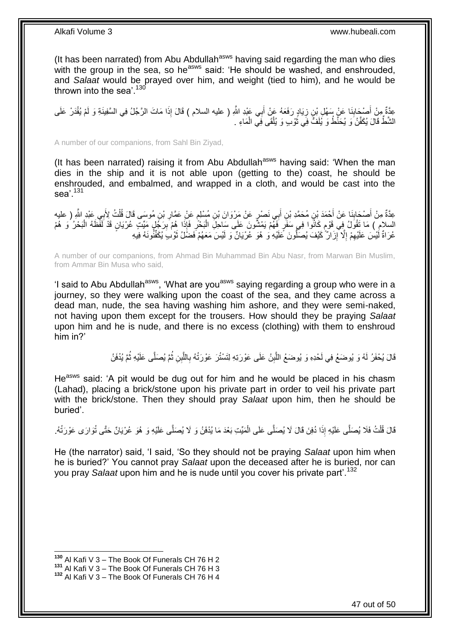(It has been narrated) from Abu Abdullah<sup>asws</sup> having said regarding the man who dies with the group in the sea, so he<sup>asws</sup> said: 'He should be washed, and enshrouded, and *Salaat* would be prayed over him, and weight (tied to him), and he would be thrown into the sea'.  $130$ 

عِدَّةٌ مِنْ أَصْحَابِنَا عَنْ سَهْلِ بْنِ زِيَادٍ رَفَعَهُ عَنْ أَبِي عَنْدِ اللَّهِ ( عليه السلام ) قَالَ إِذَا مَاتَ الرَّجُلُ فِي السَّفِينَةِ وَ لَمْ يُقْدَرْ عَلَى<br>وَيَقَعُّ مِنْ مُوَجَّدِينَا عَنْ سَهْلِ بْنِ زِيَاد َ ِ **∣** َ الشَّطِّ قَالَ يُكَفَّنُ وَ يُحَنَّطُ وَ يُلَفُّ فِي ثُوْبٍ وَ يُلْقَى فِي الْمَاءِ . ْ ْ َ

A number of our companions, from Sahl Bin Ziyad,

(It has been narrated) raising it from Abu Abdullah $a<sup>asws</sup>$  having said: 'When the man dies in the ship and it is not able upon (getting to the) coast, he should be enshrouded, and embalmed, and wrapped in a cloth, and would be cast into the sea<sup>'</sup>. 131

عِدَّةٌ مِنْ أَصْحَابِنَا عَنْ أَحْمَدَ بْنِ مُحَمَّدِ بْنِ أَبِي نَصْرٍ عَنْ مَرْوَانَ بْنِ مُسْلِمٍ عَنْ عَمَّارِ بْنِ مُوسَى قَالَ قُلْتُ لِأَبِي عَبْدِ اللَّهِ ( عليه **ٍ** ֧֖֖֚֚֚֓֝֬֝ َ َ **∣** َ ْ السلامِ ) مَا تَقُولُ فِي قَوْمٍ كَانُوا فِي سَفَرٍ فَهُمْ يَمْشُونَ عَلَى سَاحِلِ الْبَحْرِ فَإِذَا هُمْ بِرَجُلٍ مَيِّتٍ عُرْيَانٍ قَدْ لَفَظَهُ الْبَحْرُ وَ هُمْ ِ ِ ْ م ْ عُرَاةٌ لَّيْسَ عَلَيْهِمْ إِلَّا إِزَالٌ كَيْفَ يُصَلَّونَ عَلَيْهِ وَ هُوَ عُرْيَانٌ وَ لَيْسَ مَعَهُمْ فَضَلْلُ ثَوْبِ يُكَفِّنُونَهُ فِيهِ יִי, ِ ِ َ

A number of our companions, from Ahmad Bin Muhammad Bin Abu Nasr, from Marwan Bin Muslim, from Ammar Bin Musa who said,

'I said to Abu Abdullah<sup>asws</sup>, 'What are you<sup>asws</sup> saying regarding a group who were in a journey, so they were walking upon the coast of the sea, and they came across a dead man, nude, the sea having washing him ashore, and they were semi-naked, not having upon them except for the trousers. How should they be praying *Salaat* upon him and he is nude, and there is no excess (clothing) with them to enshroud him in?'

> قَالَ يُحْفَرُ لَهُ وَ يُوضَعُ فِي لَحْدِهِ وَ يُوضَعُ اللَّبِنُ عَلَى عَوْرَتِهِ لِتَسْتُرَ عَوْرَتُهُ بِاللَّبِنِ ثُمَّ يُصَلَّى عَلَيْهِ ثُمَّ يُدْفَنُ ا<br>المقام َّ **∶** ِ َّ ا<br>ا

He<sup>asws</sup> said: 'A pit would be dug out for him and he would be placed in his chasm (Lahad), placing a brick/stone upon his private part in order to veil his private part with the brick/stone. Then they should pray *Salaat* upon him, then he should be buried'.

قَالَ قُلْتُ فَلَا يُصَلَّى عَلَيْهِ إِذَا دُفِنَ قَالَ لَا يُصَلَّى عَلَى الْمَيِّتِ بَعْدَ مَا يُدْفَنُ وَ لَا يُصَلَّى عَلَيْهِ وَ هُوَ عُرْيَانٌ حَتَّى تُوَارَى عَوْرَتُهُ. ْ ْ

He (the narrator) said, 'I said, 'So they should not be praying *Salaat* upon him when he is buried?' You cannot pray *Salaat* upon the deceased after he is buried, nor can you pray *Salaat* upon him and he is nude until you cover his private part'.<sup>132</sup>

**<sup>130</sup>** Al Kafi V 3 – The Book Of Funerals CH 76 H 2

**<sup>131</sup>** Al Kafi V 3 – The Book Of Funerals CH 76 H 3

**<sup>132</sup>** Al Kafi V 3 – The Book Of Funerals CH 76 H 4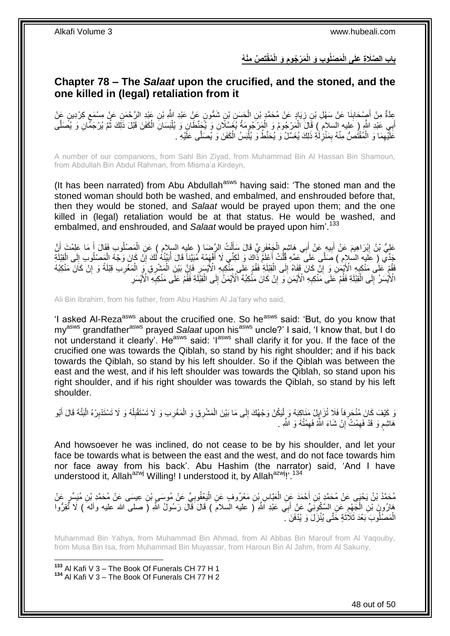باب الصَّلَاةِ عَلَى الْمَصْلُوبِ وَ الْمَرْجُومِ وَ الْمُقْتَصِّ مِنْهُ **ِ**

### <span id="page-47-0"></span>**Chapter 78 – The** *Salaat* **upon the crucified, and the stoned, and the one killed in (legal) retaliation from it**

عِدَّةٌ مِنْ أَصِدْحَابِنَا عَنْ سَهْلِ بْنِ زِيَادٍ عَنْ مُحَمَّدٍ بْنِ الْحَسَنِ بْنِ شَمُّونٍ عَنْ عَبْدِ الثَّهِ بْنِ عَبْدِ الرَّحْمَنِ عَنْ مِسْمَعٍ كِرْدِينٍ عَنْ ْ ِ ِ َ ٍ أَبِي عَبْدِ اللَّهِ (ِ عَليه السلامُ ) قَالَ الْمَرْجُومُ وَ الْمَرْجُومَةُ يُغَسِّلَانِ وَ يُحَظِّلنِ وَ يُلْبَسَانِ الْكَفَنَ قَبْلَ ذَلِكَ ثُمَّ يُرْجَمَّانِ وَ يُصَلَّى ْ ْ ْ ْ َّ ُ عََلَيْهِمَا وَ الْمُقْتُصُّ مِنْهُ بِمَنْزِٰلَٰةِ ذَلِكَ يُغَسَّلُ وَ يُحَنَّطُ وَ يُلْبَسُ الْكَفَنَ وَ يُصَلَّى عَلَّيْهِ ۚ ـ لَ **∶** ِ ْ ِ ْ ْ

A number of our companions, from Sahl Bin Ziyad, from Muhammad Bin Al Hassan Bin Shamoun, from Abdullah Bin Abdul Rahman, from Misma'a Kirdeyn,

(It has been narrated) from Abu Abdullah<sup>asws</sup> having said: 'The stoned man and the stoned woman should both be washed, and embalmed, and enshrouded before that, then they would be stoned, and *Salaat* would be prayed upon them; and the one killed in (legal) retaliation would be at that status. He would be washed, and embalmed, and enshrouded, and *Salaat* would be prayed upon him<sup>'.133</sup>

عَلِيُّ بْنُ إِبْرَاهِيمَ عَنْ أَبِيهٍ عَنْ أَبِي هَاشِمٍ الْجَعْفَرِيِّ قَالَ سَأَلْتُ الرِّضَا ( عليه السلام ) عَنِ الْمَصْلُوبِ فَقَالَ أَ مَا عَلِمْتَ أَنَّ ْ ْ َ ِ ْ ֧֠<sup>֚</sup>֧֓׆ َ **!** َ **֓**ׇ֖֦֧֦֦֧֦֦֖֖֧֢ׅ֦֧֦֧֚֚֚֚֚֚֓֝֝֘֝֘֝֘֘֝ َ َ جَدِّي ( عَليه السلام ) صَلَّى عَلَى عَمِّهِ قُلْتُ أَعْلَمَ ذَٰاكَ وَ لَكِنِّي لَا أَفْهِمُهُ مُبَيَّناً قَالَ أُبَيِّنُهُ لَكَ إِنَّ كَانَ وَجْهُ الْمَصْلُوبِ إِلَى الْقِبْلَةِ ِ ُ َ َ ْ ْ ِ ْ ِ ِفَقُمْ عَلَى مَنْكِبِهِ الْأَيْمَنِ وَ إِنَّ كَانَ قَفَاهُ إِلَى الْقِلْلَةِ فَقُمْ عَلَى مَنْكِبُهُ<br>فَقُمْ عَلَى مَنْكِبِهِ الْأَيْمَنِ وَ إِنَّ كَانَ قَفَاهُ إِلَى الْقِلْلَةِ فَقُمْ عَلَى مَنْكِبُهُ ْ ِ ِ **∶** ِ ِ ْ ْ ا ِ الْأَيْسَرُ ۚ إِلَى الْقِبْلَةِ فَقُمْ عَلَى مَنْكِبِهِ ۗ الْأَيْمَنِ ۚ وَ ۗ إِنْ كَانَ مَنْٰكِبُهُ ۗ الْأَيْمَنُ إِلَى الْقِبَّلَةِ فَفََّمْ عَلَى مَنْكِبِهِ ۗ الْأَيْسَرِ ْ ∣∣<br>∶ ِ **∶** ْ יִי<br>י ِ ِ

Ali Bin Ibrahim, from his father, from Abu Hashim Al Ja'fary who said,

'I asked Al-Reza<sup>asws</sup> about the crucified one. So he<sup>asws</sup> said: 'But, do you know that my<sup>asws</sup> grandfather<sup>asws</sup> prayed *Salaat* upon his<sup>asws</sup> uncle?' I said, 'I know that, but I do not understand it clearly'. He<sup>asws</sup> said: 'I<sup>asws</sup> shall clarify it for you. If the face of the crucified one was towards the Qiblah, so stand by his right shoulder; and if his back towards the Qiblah, so stand by his left shoulder. So if the Qiblah was between the east and the west, and if his left shoulder was towards the Qiblah, so stand upon his right shoulder, and if his right shoulder was towards the Qiblah, so stand by his left shoulder.

َ كَيْفَ كَانَ مُنْحَرِ فَأَ فَلَا تُزَايِلُ مَنَاكِبَهُ وَ إِنْيَكُنْ وَجْهُكَ إِلَى مَا بَيْنَ الْمَشْرِقِ وَ الْمَغْرِبِ وَ لَا تَسْتَقْبِلْهُ وَ لَا تَسْتَثْبِرْهُ الْبَتَّةَ قَالَ أَبُو<br>مِنْدَ مَعَ وَلَا تَسْتَدْبِرْ ِ ْ ِ **∶** َ ْ ِ ْ ِ ِ ْ ْ هَاشِمِ وَ قَدْ فَهِمْتُ َإِنْ شَاءَ اللَّهُ فَهِمْتُهُ وَ اللَّهِ . ِ ِ ِ ٍ

And howsoever he was inclined, do not cease to be by his shoulder, and let your face be towards what is between the east and the west, and do not face towards him nor face away from his back'. Abu Hashim (the narrator) said, 'And I have understood it, Allah<sup>azwj</sup> Willing! I understood it, by Allah<sup>azwj</sup>!'.<sup>134</sup>

مُحَمَّدُ بْنُ يَحْيَى عَنْ مُحَمَّدٍ بْنِ أَحْمَدَ عَنِ الْعَيَّاسِ بْنِ مَعْرُوفٍ عَنِ الْيَعْقُوبِيِّ عَنْ مُوسَى بِبْنِ عِيسَى عَنْ مُحَمَّدِ بْنِ مُيَسِّرٍ عَنْ ِ ْ ْ َ هَارُونَ بْنِ الْجَهْمِ عَنِ السَّكُونَِيِّ عَنْ أَبِي عَبْدِ اللَّهِ ( عليه السلامَ ) قَالَ قَالَ رَسُولُ اللَّهِ ( صلى الله عليه وألمه ) لَا تُقِرُّوا َ ; ْ الْمَصْلُوبَ بَعْدَ ثَلَاّثَةٍ حَتَّى يُنْزَلَ ۚ وَ يُدْفَنَ ۚ ـ َ ْ

Muhammad Bin Yahya, from Muhammad Bin Ahmad, from Al Abbas Bin Marouf from Al Yaqouby, from Musa Bin Isa, from Muhammad Bin Muyassar, from Haroun Bin Al Jahm, from Al Sakuny,

**<sup>133</sup>** Al Kafi V 3 – The Book Of Funerals CH 77 H 1 **<sup>134</sup>** Al Kafi V 3 – The Book Of Funerals CH 77 H 2

1

48 out of 50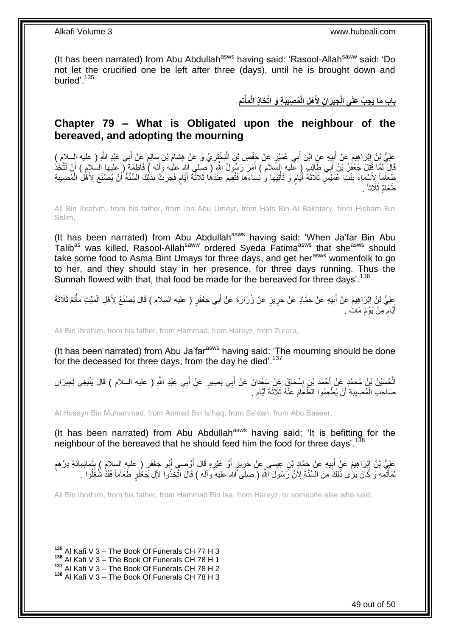(It has been narrated) from Abu Abdullah<sup>asws</sup> having said: 'Rasool-Allah<sup>saww</sup> said: 'Do not let the crucified one be left after three (days), until he is brought down and buried'.<sup>135</sup>

> باب مَا يَجِبُ عَلَى الْجِيرَانِ لِأَهْلِ الْمُصِيبَةِ وَ اتِّخَاذِ الْمَأْتَمِ **ِ ْ**

### <span id="page-48-0"></span>**Chapter 79 – What is Obligated upon the neighbour of the bereaved, and adopting the mourning**

֧֖֖֚֚֚֓֝֬֝ عَلِيُّ بِنُ إِبْرَاهِيمَ عَنْ أَبِيِهِ عَنِ ابْنِ أَبِي عُمَيْرٍ عَنْ جَفْصِ بْنِ الْبَخْتَزِيِّ وَ عَنْ هِشَامٍ بْنِ سَالِمٍ عَنْ أَبِي عَبْدِ اللَّهِ ( عليه السلام ) ِ **∶** ْ َ ¦ َ ِ َ قَالَ لَمَّا قُتِّلَ جَعْفُوُ بْنُ أَبِي طَالِبٍ ۚ (ٍ عَليه إِلسَّلام ) أَمَرَ رَسُولُ اللَّهِ ( َصِلى الله علَيه وَاله ) فَاطِمَةً ( عليها السالام ) أَنْ تَتَّخذُ َ َ َ لَغَاماً لِأَسْمَاءَ بِنْتِ عُمَيْسٍ ثَلَاثَةَ أَيَّامٍ وَ تَأْتِيْهَا وَ نِسَاءَهَا فَتُقِيمَ عِنْدَهُا ثَلَاثَةَ أَيَّامٍ فَجَرَتْ بِذَلِكَ السُّنَّةُ أَنْ يُصْنَعَ لِأَهْلِ الْمُصِيبَةِ ْ م َ **∣** ْ َ ֧֖֖֖֧֧֖֧֧֧֧֧ׅ֧֧֧֧֧֚֚֚֚֓֝֝֝֝֟֓֟֓֝֬֝֓֝֓֝֬֟֓֟֓֟֓֟֓֝֬֝֬֝֓֝֬֜֓֝֬֝֓֝֬֝֬֝ َ طَعَامٌ ثَلَاثًا ۚ .

Ali Bin Ibrahim, from his father, from Ibn Abu Umeyr, from Hafs Bin Al Bakhtary, from Hisham Bin Salim,

(It has been narrated) from Abu Abdullah $a<sup>asws</sup>$  having said: 'When Ja'far Bin Abu Talib<sup>as</sup> was killed, Rasool-Allah<sup>saww</sup> ordered Syeda Fatima<sup>asws</sup> that she<sup>asws</sup> should take some food to Asma Bint Umays for three days, and get her<sup>asws</sup> womenfolk to go to her, and they should stay in her presence, for three days running. Thus the Sunnah flowed with that, that food be made for the bereaved for three days'.<sup>136</sup>

عَلِيُّ بْنُ إِبْرَاهِيمَ عَنْ أَبِيهِ عَنْ حَمَّادٍ عَنْ حَرِيزٍ عَنْ زُرَارَةَ عَنْ أَبِي جَعْفَرٍ ( عليه السلام ) قَالَ يُصنْغُ لِأَهْلِ الْمَيِّتِ مَأْتُمٌ ثَلاثَةَ َ ِ **!** ِ ْ ْ اُيَّامٍ مِنْ يَوْمَ مَاتَ . ٍ َ

Ali Bin Ibrahim, from his father, from Hammad, from Hareyz, from Zurara,

(It has been narrated) from Abu Ja'far<sup>asws</sup> having said: 'The mourning should be done for the deceased for three days, from the day he died'.<sup>137</sup>

الْحُسَيْنُ بْنُ مُحَمَّدٍ عَنْ أَحْمَدَ بْنِ إِسْحَاقَ عَنْ سَعْدَانَ عَنْ أَبِي بَصِيرٍ عَنْ أَبِي عَبْدِ اللَّهِ ( عليه السلام ) قَالَ يَنْبَغِي لِجِيرَانِ َ َ ∣l<br>∶ ْ صَاحِبِ الْمُصِيبَةِ أَنْ يُطْعِمُوا الطَّعَامَ عَنْهُ ثَلَاثَةَ أَيَّامٍ ۚ. ٍ َ ْ

Al Husayn Bin Muhammad, from Ahmad Bin Is'haq, from Sa'dan, from Abu Baseer,

(It has been narrated) from Abu Abdullah<sup>asws</sup> having said: 'It is befitting for the neighbour of the bereaved that he should feed him the food for three days'.<sup>138</sup>

عَلِيُّ بْنُ إِبْرَاهِيمَ عَنْ أَبِيهِ عَنْ حَمَّادٍ بْنِ عِيسَى عَنْ حَرِيزٍ أَوْ غَيْرِهِ قَالَ أَوْصَبِي أَبُو جَعْفَرٍ ( عليهِ السلام ) بِثْمَانِمِائَةِ دِرْهَمٍ ِ َ ِ َ َ ِ اُ ِ **!** ֧֖֧֦֧֦֧֦֧֚֚֝֝֝֝֬֝֓֝֓֝֓**֓** لِمَأْتُمِهِ وَ كَانَ يَرَىٰ ذَلِكَ مِنَ السُّنَّةِ لِأَنَّ رَسُولَ اللَّهِ ( صلَى ًالله عليه وآله ) قَالَ اتَّخِذُوا لأِلِ جَعْفَرٍ طَعَاماً فَقَدْ شُغَلُوا . ֧֧֧֦֧֦֧֦֧֦֧֦֧֧֧֧֧֦֧֧֦֧֧֧֧֧֧֧֧֧֧֧֧֧֧֧֧֧֧֧֧֧֧֧֧֧֧֧֧֧֧֝֟֝֟֓֝֝֟֓֝֬֝֟֓֝֬֝֬֝֟֓֟֓֝֬֓֝֓֟֓֓֝֓֝֬֓֞֟֓֝֬֓֝֬֓֬֓֝֬֝֬֝֬֝֬֬֓֓֝֬ ا<br>ا

Ali Bin Ibrahim, from his father, from Hammad Bin Isa, from Hareyz, or someone else who said,

 $\overline{a}$ **<sup>135</sup>** Al Kafi V 3 – The Book Of Funerals CH 77 H 3

**<sup>136</sup>** Al Kafi V 3 – The Book Of Funerals CH 78 H 1

**<sup>137</sup>** Al Kafi V 3 – The Book Of Funerals CH 78 H 2

**<sup>138</sup>** Al Kafi V 3 – The Book Of Funerals CH 78 H 3